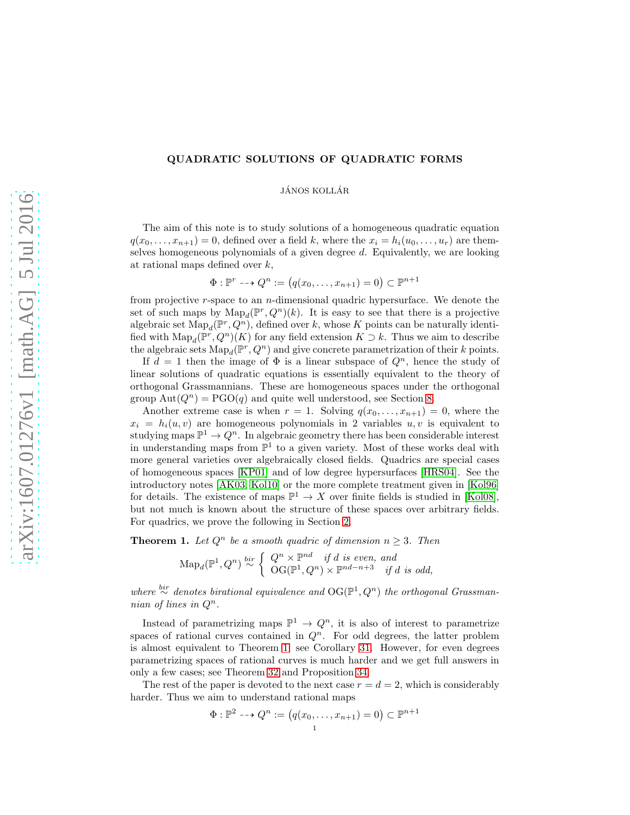# QUADRATIC SOLUTIONS OF QUADRATIC FORMS

JÁNOS KOLLÁR

The aim of this note is to study solutions of a homogeneous quadratic equation  $q(x_0, \ldots, x_{n+1}) = 0$ , defined over a field k, where the  $x_i = h_i(u_0, \ldots, u_r)$  are themselves homogeneous polynomials of a given degree d. Equivalently, we are looking at rational maps defined over  $k$ ,

 $\Phi: \mathbb{P}^r \dashrightarrow Q^n := (q(x_0, \ldots, x_{n+1}) = 0) \subset \mathbb{P}^{n+1}$ 

from projective  $r$ -space to an  $n$ -dimensional quadric hypersurface. We denote the set of such maps by  $\text{Map}_d(\mathbb{P}^r, Q^n)(k)$ . It is easy to see that there is a projective algebraic set  $\mathrm{Map}_d(\mathbb{P}^r, Q^n)$ , defined over k, whose K points can be naturally identified with  $\text{Map}_d(\mathbb{P}^r, Q^n)(K)$  for any field extension  $K \supset k$ . Thus we aim to describe the algebraic sets  $\text{Map}_d(\mathbb{P}^r, Q^n)$  and give concrete parametrization of their k points.

If  $d = 1$  then the image of  $\Phi$  is a linear subspace of  $Q^n$ , hence the study of linear solutions of quadratic equations is essentially equivalent to the theory of orthogonal Grassmannians. These are homogeneous spaces under the orthogonal group  $Aut(Q^n) = PGO(q)$  and quite well understood, see Section [8.](#page-28-0)

Another extreme case is when  $r = 1$ . Solving  $q(x_0, \ldots, x_{n+1}) = 0$ , where the  $x_i = h_i(u, v)$  are homogeneous polynomials in 2 variables  $u, v$  is equivalent to studying maps  $\mathbb{P}^1 \to Q^n$ . In algebraic geometry there has been considerable interest in understanding maps from  $\mathbb{P}^1$  to a given variety. Most of these works deal with more general varieties over algebraically closed fields. Quadrics are special cases of homogeneous spaces [\[KP01\]](#page-36-0) and of low degree hypersurfaces [\[HRS04\]](#page-35-0). See the introductory notes [\[AK03,](#page-35-1) [Kol10\]](#page-36-1) or the more complete treatment given in [\[Kol96\]](#page-36-2) for details. The existence of maps  $\mathbb{P}^1 \to X$  over finite fields is studied in [\[Kol08\]](#page-36-3), but not much is known about the structure of these spaces over arbitrary fields. For quadrics, we prove the following in Section [2.](#page-11-0)

<span id="page-0-0"></span>**Theorem 1.** Let  $Q^n$  be a smooth quadric of dimension  $n \geq 3$ . Then

 $\text{Map}_d(\mathbb{P}^1, Q^n) \stackrel{bir}{\sim} \left\{ \begin{array}{ll} Q^n \times \mathbb{P}^{nd} & \text{if } d \text{ is even, and} \\ \text{OG}(\mathbb{P}^1, Q^n) \times \mathbb{P}^{nd-n+3} & \text{if } d \text{ is odd.} \end{array} \right.$  $\mathrm{OG}(\mathbb{P}^1, Q^n) \times \mathbb{P}^{nd-n+3}$  if d is odd,

where  $\stackrel{bir}{\sim}$  denotes birational equivalence and OG( $\mathbb{P}^1, Q^n$ ) the orthogonal Grassmannian of lines in  $Q^n$ .

Instead of parametrizing maps  $\mathbb{P}^1 \to Q^n$ , it is also of interest to parametrize spaces of rational curves contained in  $Q<sup>n</sup>$ . For odd degrees, the latter problem is almost equivalent to Theorem [1;](#page-0-0) see Corollary [31.](#page-13-0) However, for even degrees parametrizing spaces of rational curves is much harder and we get full answers in only a few cases; see Theorem [32](#page-14-0) and Proposition [34.](#page-15-0)

The rest of the paper is devoted to the next case  $r = d = 2$ , which is considerably harder. Thus we aim to understand rational maps

$$
\Phi : \mathbb{P}^2 \dashrightarrow Q^n := (q(x_0, \dots, x_{n+1}) = 0) \subset \mathbb{P}^{n+1}
$$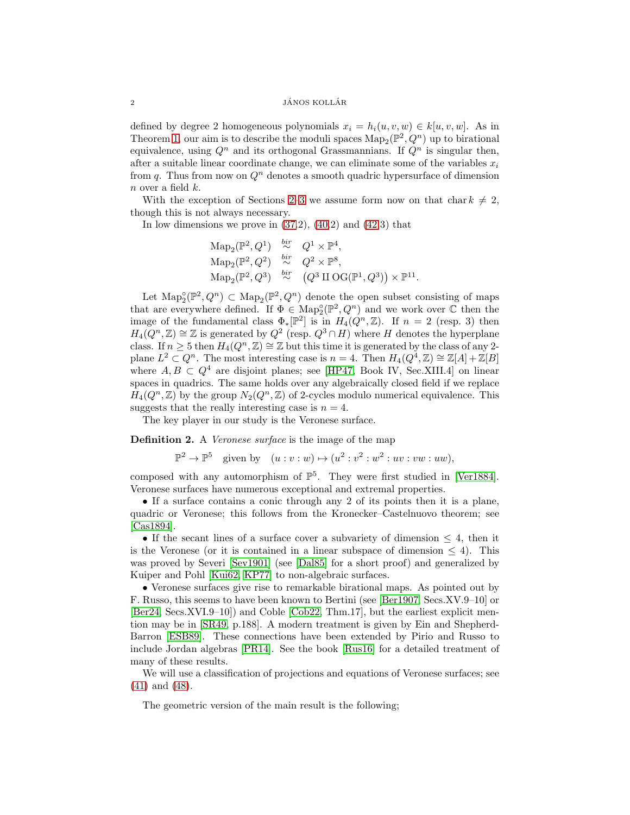## $1\,\mathrm{AMOS}$  KOLLÁR

defined by degree 2 homogeneous polynomials  $x_i = h_i(u, v, w) \in k[u, v, w]$ . As in Theorem [1,](#page-0-0) our aim is to describe the moduli spaces  $\text{Map}_2(\mathbb{P}^2, Q^n)$  up to birational equivalence, using  $Q^n$  and its orthogonal Grassmannians. If  $Q^n$  is singular then, after a suitable linear coordinate change, we can eliminate some of the variables  $x_i$ from q. Thus from now on  $Q<sup>n</sup>$  denotes a smooth quadric hypersurface of dimension  $n$  over a field  $k$ .

With the exception of Sections [2](#page-11-0)[–3](#page-13-1) we assume form now on that char  $k \neq 2$ , though this is not always necessary.

In low dimensions we prove in  $(37.2)$ ,  $(40.2)$  and  $(42.3)$  that

$$
\mathrm{Map}_2(\mathbb{P}^2, Q^1) \stackrel{bir}{\sim} Q^1 \times \mathbb{P}^4,
$$
  
\n
$$
\mathrm{Map}_2(\mathbb{P}^2, Q^2) \stackrel{bir}{\sim} Q^2 \times \mathbb{P}^8,
$$
  
\n
$$
\mathrm{Map}_2(\mathbb{P}^2, Q^3) \stackrel{bir}{\sim} (Q^3 \amalg \mathrm{OG}(\mathbb{P}^1, Q^3)) \times \mathbb{P}^{11}.
$$

Let  $\text{Map}_2^{\circ}(\mathbb{P}^2, Q^n) \subset \text{Map}_2(\mathbb{P}^2, Q^n)$  denote the open subset consisting of maps Let  $\text{map}_2(\mu, Q) \subset \text{map}_2(\mu, Q)$  denote the open subset consisting of maps<br>that are everywhere defined. If  $\Phi \in \text{Map}_2^{\circ}(\mathbb{P}^2, Q^n)$  and we work over  $\mathbb C$  then the image of the fundamental class  $\Phi_*[\mathbb{P}^2]$  is in  $H_4(Q^n, \mathbb{Z})$ . If  $n = 2$  (resp. 3) then  $H_4(Q^n, \mathbb{Z}) \cong \mathbb{Z}$  is generated by  $Q^2$  (resp.  $Q^3 \cap H$ ) where H denotes the hyperplane class. If  $n \geq 5$  then  $H_4(Q^n, \mathbb{Z}) \cong \mathbb{Z}$  but this time it is generated by the class of any 2plane  $L^2 \subset Q^n$ . The most interesting case is  $n = 4$ . Then  $H_4(Q^4, \mathbb{Z}) \cong \mathbb{Z}[A] + \mathbb{Z}[B]$ where  $A, B \subset Q^4$  are disjoint planes; see [\[HP47,](#page-35-2) Book IV, Sec.XIII.4] on linear spaces in quadrics. The same holds over any algebraically closed field if we replace  $H_4(Q^n, \mathbb{Z})$  by the group  $N_2(Q^n, \mathbb{Z})$  of 2-cycles modulo numerical equivalence. This suggests that the really interesting case is  $n = 4$ .

The key player in our study is the Veronese surface.

Definition 2. A Veronese surface is the image of the map

 $\mathbb{P}^2 \to \mathbb{P}^5$  given by  $(u : v : w) \mapsto (u^2 : v^2 : w^2 : uv : vw : uw),$ 

composed with any automorphism of  $\mathbb{P}^5$ . They were first studied in [\[Ver1884\]](#page-36-4). Veronese surfaces have numerous exceptional and extremal properties.

• If a surface contains a conic through any 2 of its points then it is a plane, quadric or Veronese; this follows from the Kronecker–Castelnuovo theorem; see [\[Cas1894\]](#page-35-3).

• If the secant lines of a surface cover a subvariety of dimension  $\leq 4$ , then it is the Veronese (or it is contained in a linear subspace of dimension  $\leq 4$ ). This was proved by Severi [\[Sev1901\]](#page-36-5) (see [\[Dal85\]](#page-35-4) for a short proof) and generalized by Kuiper and Pohl [\[Kui62,](#page-36-6) [KP77\]](#page-36-7) to non-algebraic surfaces.

• Veronese surfaces give rise to remarkable birational maps. As pointed out by F. Russo, this seems to have been known to Bertini (see [\[Ber1907,](#page-35-5) Secs.XV.9–10] or [\[Ber24,](#page-35-6) Secs.XVI.9–10]) and Coble [\[Cob22,](#page-35-7) Thm.17], but the earliest explicit mention may be in [\[SR49,](#page-36-8) p.188]. A modern treatment is given by Ein and Shepherd-Barron [\[ESB89\]](#page-35-8). These connections have been extended by Pirio and Russo to include Jordan algebras [\[PR14\]](#page-36-9). See the book [\[Rus16\]](#page-36-10) for a detailed treatment of many of these results.

We will use a classification of projections and equations of Veronese surfaces; see [\(41\)](#page-19-0) and [\(48\)](#page-23-0).

The geometric version of the main result is the following;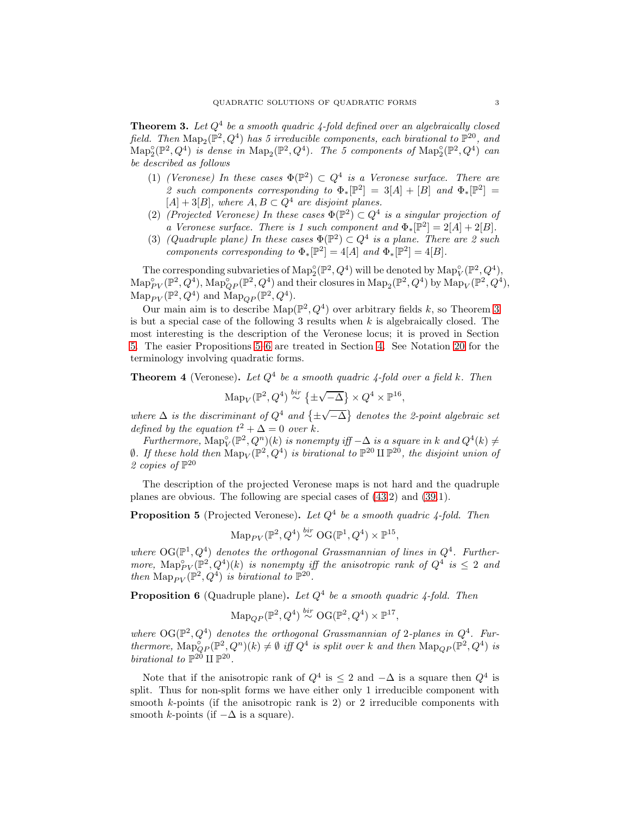<span id="page-2-0"></span>**Theorem 3.** Let  $Q^4$  be a smooth quadric 4-fold defined over an algebraically closed field. Then  $\text{Map}_2(\mathbb{P}^2, Q^4)$  has 5 irreducible components, each birational to  $\mathbb{P}^{20}$ , and  $\mathrm{Map}^\circ_2(\mathbb{P}^2, Q^4)$  is dense in  $\mathrm{Map}_2(\mathbb{P}^2, Q^4)$ . The 5 components of  $\mathrm{Map}^\circ_2(\mathbb{P}^2, Q^4)$  can be described as follows

- (1) (Veronese) In these cases  $\Phi(\mathbb{P}^2) \subset Q^4$  is a Veronese surface. There are 2 such components corresponding to  $\Phi_*[\mathbb{P}^2] = 3[A] + [B]$  and  $\Phi_*[\mathbb{P}^2] =$  $[A] + 3[B]$ , where  $A, B \subset Q^4$  are disjoint planes.
- (2) (Projected Veronese) In these cases  $\Phi(\mathbb{P}^2) \subset Q^4$  is a singular projection of a Veronese surface. There is 1 such component and  $\Phi_*[\mathbb{P}^2] = 2[A] + 2[B]$ .
- (3) (Quadruple plane) In these cases  $\Phi(\mathbb{P}^2) \subset Q^4$  is a plane. There are 2 such components corresponding to  $\Phi_*[\mathbb{P}^2] = 4[A]$  and  $\Phi_*[\mathbb{P}^2] = 4[B]$ .

The corresponding subvarieties of  $\text{Map}^{\circ}_{2}(\mathbb{P}^2, Q^4)$  will be denoted by  $\text{Map}^{\circ}_{V}(\mathbb{P}^2, Q^4)$ ,  $\mathrm{Map}_{PV}^{\circ}(\mathbb{P}^2, Q^4)$ ,  $\mathrm{Map}_{QP}^{\circ}(\mathbb{P}^2, Q^4)$  and their closures in  $\mathrm{Map}_{2}(\mathbb{P}^2, Q^4)$  by  $\mathrm{Map}_{V}(\mathbb{P}^2, Q^4)$ ,  $\operatorname{Map}_{PV}(\mathbb{P}^2, Q^4)$  and  $\operatorname{Map}_{QP}(\mathbb{P}^2, Q^4)$ .

Our main aim is to describe  $\text{Map}(\mathbb{P}^2, Q^4)$  over arbitrary fields k, so Theorem [3](#page-2-0) is but a special case of the following 3 results when  $k$  is algebraically closed. The most interesting is the description of the Veronese locus; it is proved in Section [5.](#page-20-1) The easier Propositions [5](#page-2-1)[–6](#page-2-2) are treated in Section [4.](#page-17-1) See Notation [20](#page-6-0) for the terminology involving quadratic forms.

<span id="page-2-3"></span>**Theorem 4** (Veronese). Let  $Q^4$  be a smooth quadric 4-fold over a field k. Then

 $\operatorname{Map}_V(\mathbb{P}^2, Q^4) \stackrel{bir}{\sim} \{\pm\}$  $\sqrt{-\Delta}$   $\times Q^4 \times \mathbb{P}^{16}$ ,

where  $\Delta$  is the discriminant of  $Q^4$  and  $\{\pm\}$  $\sqrt{-\Delta}$ } denotes the 2-point algebraic set defined by the equation  $t^2 + \Delta = 0$  over k.

Furthermore,  $\text{Map}_{V}^{\circ}(\mathbb{P}^2, Q^n)(k)$  is nonempty iff  $-\Delta$  is a square in k and  $Q^4(k) \neq$  $\emptyset$ . If these hold then  $\text{Map}_V(\mathbb{P}^2, Q^4)$  is birational to  $\mathbb{P}^{20} \amalg \mathbb{P}^{20}$ , the disjoint union of 2 copies of  $\mathbb{P}^{20}$ 

The description of the projected Veronese maps is not hard and the quadruple planes are obvious. The following are special cases of [\(43.](#page-20-2)2) and [\(39.](#page-18-1)1).

<span id="page-2-1"></span>**Proposition 5** (Projected Veronese). Let  $Q^4$  be a smooth quadric 4-fold. Then

 $\text{Map}_{PV}(\mathbb{P}^2, Q^4) \stackrel{bir}{\sim} \text{OG}(\mathbb{P}^1, Q^4) \times \mathbb{P}^{15},$ 

where  $\mathrm{OG}(\mathbb{P}^1, Q^4)$  denotes the orthogonal Grassmannian of lines in  $Q^4$ . Furthermore,  $\text{Map}_{PV}^{\circ}(\mathbb{P}^2, Q^4)(k)$  is nonempty iff the anisotropic rank of  $Q^4$  is  $\leq 2$  and then  $\text{Map}_{PV}(\mathbb{P}^2, Q^4)$  is birational to  $\mathbb{P}^{20}$ .

<span id="page-2-2"></span>**Proposition 6** (Quadruple plane). Let  $Q^4$  be a smooth quadric 4-fold. Then

$$
\mathrm{Map}_{QP}(\mathbb{P}^2, Q^4) \stackrel{bir}{\sim} \mathrm{OG}(\mathbb{P}^2, Q^4) \times \mathbb{P}^{17},
$$

where  $\text{OG}(\mathbb{P}^2, Q^4)$  denotes the orthogonal Grassmannian of 2-planes in  $Q^4$ . Furthermore,  $\text{Map}_{QP}^{\circ}(\mathbb{P}^2,Q^n)(k) \neq \emptyset$  iff  $Q^4$  is split over k and then  $\text{Map}_{QP}(\mathbb{P}^2,Q^4)$  is birational to  $\mathbb{P}^{20} \amalg \mathbb{P}^{20}$ .

Note that if the anisotropic rank of  $Q^4$  is  $\leq 2$  and  $-\Delta$  is a square then  $Q^4$  is split. Thus for non-split forms we have either only 1 irreducible component with smooth k-points (if the anisotropic rank is 2) or 2 irreducible components with smooth k-points (if  $-\Delta$  is a square).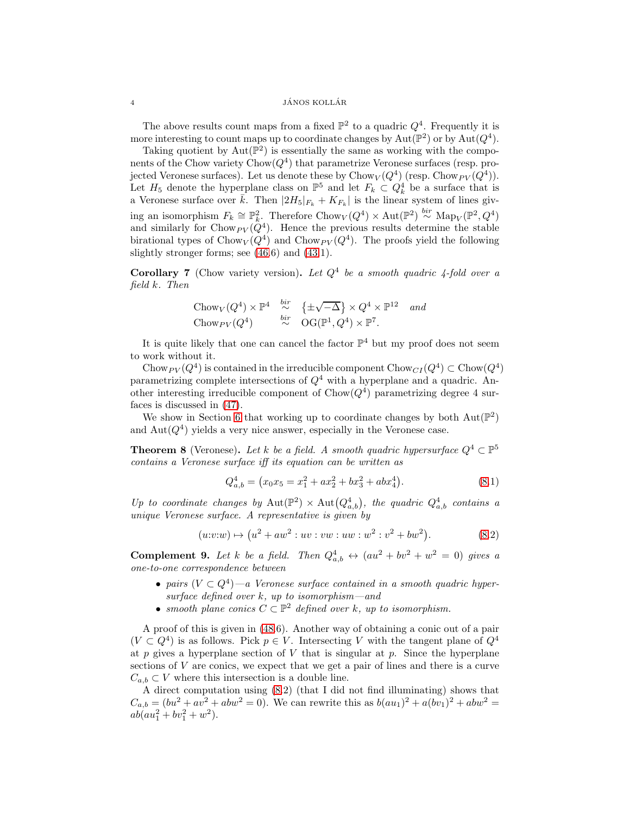$14$  JÁNOS KOLLÁR

The above results count maps from a fixed  $\mathbb{P}^2$  to a quadric  $Q^4$ . Frequently it is more interesting to count maps up to coordinate changes by  $\text{Aut}(\mathbb{P}^2)$  or by  $\text{Aut}(Q^4)$ .

Taking quotient by  $Aut(\mathbb{P}^2)$  is essentially the same as working with the components of the Chow variety  $\text{Chow}(Q^4)$  that parametrize Veronese surfaces (resp. projected Veronese surfaces). Let us denote these by  $\mathrm{Chow}_V(Q^4)$  (resp.  $\mathrm{Chow}_{PV}(Q^4)$ ). Let  $H_5$  denote the hyperplane class on  $\mathbb{P}^5$  and let  $F_k \subset Q_k^4$  be a surface that is a Veronese surface over  $\bar{k}$ . Then  $|2H_5|_{F_k} + K_{F_k}|$  is the linear system of lines giving an isomorphism  $F_k \cong \mathbb{P}_k^2$ . Therefore Chow $_V(Q^4) \times \text{Aut}(\mathbb{P}^2) \stackrel{bir}{\sim} \text{Map}_V(\mathbb{P}^2, Q^4)$ and similarly for Chow  $_{PV}(Q^4)$ . Hence the previous results determine the stable birational types of  $Chow_V(Q^4)$  and  $Chow_{PV}(Q^4)$ . The proofs yield the following slightly stronger forms; see [\(46.](#page-22-0)6) and [\(43.](#page-20-2)1).

<span id="page-3-1"></span>**Corollary 7** (Chow variety version). Let  $Q^4$  be a smooth quadric 4-fold over a field k. Then

Chow<sub>V</sub>(
$$
Q^4
$$
)  $\times \mathbb{P}^4$   $\stackrel{bir}{\sim} \{ \pm \sqrt{-\Delta} \} \times Q^4 \times \mathbb{P}^{12}$  and  
Chow<sub>PV</sub>( $Q^4$ )  $\stackrel{bir}{\sim} OG(\mathbb{P}^1, Q^4) \times \mathbb{P}^7$ .

It is quite likely that one can cancel the factor  $\mathbb{P}^4$  but my proof does not seem to work without it.

Chow  $p_V(Q^4)$  is contained in the irreducible component Chow  $C_I(Q^4) \subset \text{Chow}(Q^4)$ parametrizing complete intersections of  $Q<sup>4</sup>$  with a hyperplane and a quadric. Another interesting irreducible component of  $Chow(Q<sup>4</sup>)$  parametrizing degree 4 surfaces is discussed in [\(47\)](#page-23-1).

We show in Section [6](#page-23-2) that working up to coordinate changes by both  $Aut(\mathbb{P}^2)$ and  $Aut(Q<sup>4</sup>)$  yields a very nice answer, especially in the Veronese case.

<span id="page-3-0"></span>**Theorem 8** (Veronese). Let k be a field. A smooth quadric hypersurface  $Q^4 \subset \mathbb{P}^5$ contains a Veronese surface iff its equation can be written as

$$
Q_{a,b}^4 = (x_0 x_5 = x_1^2 + a x_2^2 + b x_3^2 + a b x_4^4). \tag{8.1}
$$

Up to coordinate changes by  $\text{Aut}(\mathbb{P}^2) \times \text{Aut}(Q^4_{a,b})$ , the quadric  $Q^4_{a,b}$  contains a unique Veronese surface. A representative is given by

$$
(u:v:w) \mapsto (u^2 + aw^2 : uv : vw : uw : w^2 : v^2 + bw^2).
$$
 (8.2)

<span id="page-3-2"></span>**Complement 9.** Let k be a field. Then  $Q_{a,b}^4 \leftrightarrow (au^2 + bv^2 + w^2 = 0)$  gives a one-to-one correspondence between

- pairs  $(V \subset Q^4)$  —a Veronese surface contained in a smooth quadric hypersurface defined over  $k$ , up to isomorphism—and
- smooth plane conics  $C \subset \mathbb{P}^2$  defined over k, up to isomorphism.

A proof of this is given in [\(48.](#page-23-0)6). Another way of obtaining a conic out of a pair  $(V \subset Q^4)$  is as follows. Pick  $p \in V$ . Intersecting V with the tangent plane of  $Q^4$ at p gives a hyperplane section of V that is singular at p. Since the hyperplane sections of  $V$  are conics, we expect that we get a pair of lines and there is a curve  $C_{a,b} \subset V$  where this intersection is a double line.

A direct computation using [\(8.](#page-3-0)2) (that I did not find illuminating) shows that  $C_{a,b} = (bu^2 + av^2 + abw^2 = 0)$ . We can rewrite this as  $b(au_1)^2 + a(bv_1)^2 + abw^2 = 0$  $ab(au_1^2 + bv_1^2 + w^2).$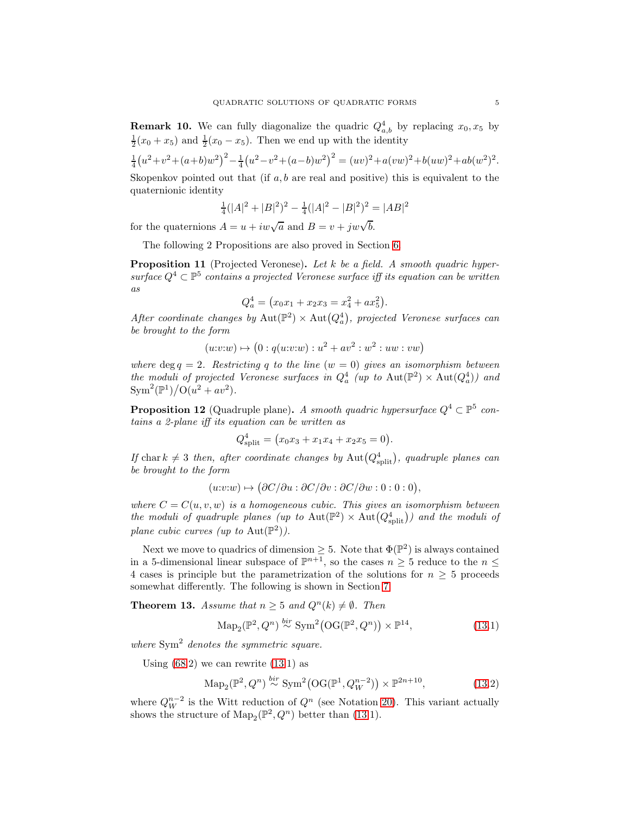<span id="page-4-1"></span>**Remark 10.** We can fully diagonalize the quadric  $Q_{a,b}^4$  by replacing  $x_0, x_5$  by  $\frac{1}{2}(x_0+x_5)$  and  $\frac{1}{2}(x_0-x_5)$ . Then we end up with the identity

$$
\frac{1}{4}(u^2+v^2+(a+b)w^2)^2 - \frac{1}{4}(u^2-v^2+(a-b)w^2)^2 = (uv)^2 + a(vw)^2 + b(uw)^2 + ab(w^2)^2.
$$

Skopenkov pointed out that (if  $a, b$  are real and positive) this is equivalent to the quaternionic identity

$$
\frac{1}{4}(|A|^2 + |B|^2)^2 - \frac{1}{4}(|A|^2 - |B|^2)^2 = |AB|^2
$$

for the quaternions  $A = u + iw\sqrt{a}$  and  $B = v + jw\sqrt{b}$ .

The following 2 Propositions are also proved in Section [6.](#page-23-2)

<span id="page-4-3"></span>**Proposition 11** (Projected Veronese). Let  $k$  be a field. A smooth quadric hypersurface  $Q^4 \subset \mathbb{P}^5$  contains a projected Veronese surface iff its equation can be written as

$$
Q_a^4 = (x_0x_1 + x_2x_3 = x_4^2 + ax_5^2).
$$

After coordinate changes by  $\text{Aut}(\mathbb{P}^2) \times \text{Aut}(Q_a^4)$ , projected Veronese surfaces can be brought to the form

$$
(u:v:w) \mapsto (0:q(u:v:w):u^2 + av^2:w^2:uw:vw)
$$

where deg  $q = 2$ . Restricting q to the line  $(w = 0)$  gives an isomorphism between the moduli of projected Veronese surfaces in  $Q_a^4$  (up to  $\text{Aut}(\mathbb{P}^2) \times \text{Aut}(Q_a^4)$ ) and  $\text{Sym}^2(\mathbb{P}^1)/\text{O}(u^2 + av^2).$ 

<span id="page-4-2"></span>**Proposition 12** (Quadruple plane). A smooth quadric hypersurface  $Q^4 \subset \mathbb{P}^5$  contains a 2-plane iff its equation can be written as

$$
Q_{\text{split}}^4 = (x_0 x_3 + x_1 x_4 + x_2 x_5 = 0).
$$

If chark  $\neq 3$  then, after coordinate changes by Aut $(Q_{\text{split}}^4)$ , quadruple planes can be brought to the form

 $(u:v:w) \mapsto (\partial C/\partial u : \partial C/\partial v : \partial C/\partial w : 0 : 0 : 0),$ 

where  $C = C(u, v, w)$  is a homogeneous cubic. This gives an isomorphism between the moduli of quadruple planes (up to  $\text{Aut}(\mathbb{P}^2) \times \text{Aut}(Q^4_{\text{split}})$ ) and the moduli of plane cubic curves (up to Aut $(\mathbb{P}^2)$ ).

Next we move to quadrics of dimension  $\geq 5$ . Note that  $\Phi(\mathbb{P}^2)$  is always contained in a 5-dimensional linear subspace of  $\mathbb{P}^{n+1}$ , so the cases  $n \geq 5$  reduce to the  $n \leq$ 4 cases is principle but the parametrization of the solutions for  $n \geq 5$  proceeds somewhat differently. The following is shown in Section [7.](#page-26-0)

<span id="page-4-0"></span>**Theorem 13.** Assume that  $n \geq 5$  and  $Q^{n}(k) \neq \emptyset$ . Then

$$
\mathrm{Map}_2(\mathbb{P}^2, Q^n) \stackrel{bir}{\sim} \mathrm{Sym}^2(\mathrm{OG}(\mathbb{P}^2, Q^n)) \times \mathbb{P}^{14},\tag{13.1}
$$

where  $Sym<sup>2</sup>$  denotes the symmetric square.

Using  $(68.2)$  we can rewrite  $(13.1)$  as

$$
\mathrm{Map}_2(\mathbb{P}^2, Q^n) \stackrel{bir}{\sim} \mathrm{Sym}^2(\mathrm{OG}(\mathbb{P}^1, Q_W^{n-2})) \times \mathbb{P}^{2n+10},\tag{13.2}
$$

where  $Q_W^{n-2}$  is the Witt reduction of  $Q^n$  (see Notation [20\)](#page-6-0). This variant actually shows the structure of  $\text{Map}_2(\mathbb{P}^2, Q^n)$  better than [\(13.](#page-4-0)1).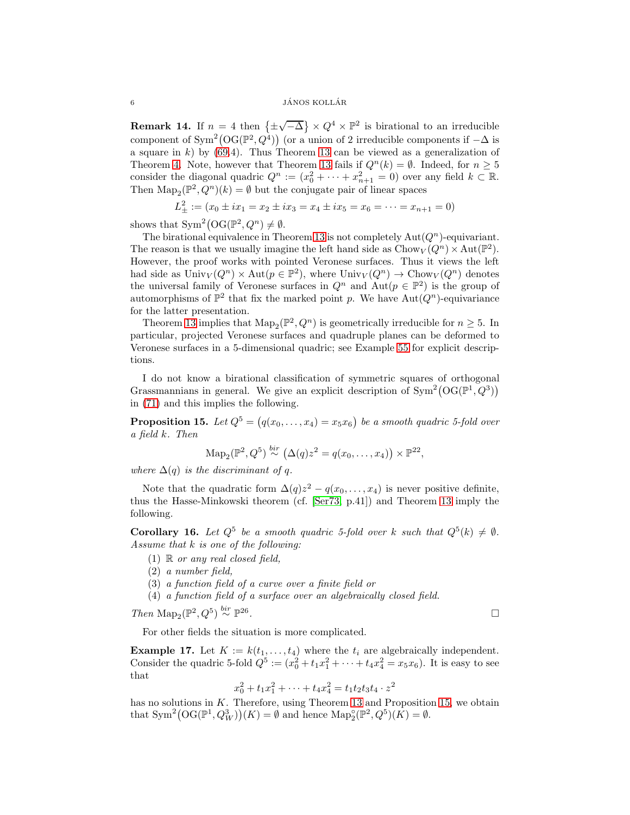## $\delta$  JÁNOS KOLLÁR

**Remark 14.** If  $n = 4$  then  $\{\pm$  $\sqrt{-\Delta}$   $\times Q^4 \times \mathbb{P}^2$  is birational to an irreducible component of Sym<sup>2</sup>(OG( $\mathbb{P}^2$ , $Q^4$ )) (or a union of 2 irreducible components if  $-\Delta$  is a square in  $k$ ) by [\(69.](#page-33-1)4). Thus Theorem [13](#page-4-0) can be viewed as a generalization of Theorem [4.](#page-2-3) Note, however that Theorem [13](#page-4-0) fails if  $Q^n(k) = \emptyset$ . Indeed, for  $n \geq 5$ consider the diagonal quadric  $Q^n := (x_0^2 + \cdots + x_{n+1}^2 = 0)$  over any field  $k \subset \mathbb{R}$ . Then  $\text{Map}_2(\mathbb{P}^2, Q^n)(k) = \emptyset$  but the conjugate pair of linear spaces

$$
L_{\pm}^{2} := (x_0 \pm ix_1 = x_2 \pm ix_3 = x_4 \pm ix_5 = x_6 = \dots = x_{n+1} = 0)
$$

shows that  $Sym^2(\mathrm{OG}(\mathbb{P}^2, Q^n) \neq \emptyset$ .

The birational equivalence in Theorem [13](#page-4-0) is not completely  $\text{Aut}(Q^n)$ -equivariant. The reason is that we usually imagine the left hand side as  $Chow_V(Q^n) \times Aut(\mathbb{P}^2)$ . However, the proof works with pointed Veronese surfaces. Thus it views the left had side as  $\text{Univ}_V(Q^n) \times \text{Aut}(p \in \mathbb{P}^2)$ , where  $\text{Univ}_V(Q^n) \to \text{Chow}_V(Q^n)$  denotes the universal family of Veronese surfaces in  $Q^n$  and  $\text{Aut}(p \in \mathbb{P}^2)$  is the group of automorphisms of  $\mathbb{P}^2$  that fix the marked point p. We have  $\text{Aut}(Q^n)$ -equivariance for the latter presentation.

Theorem [13](#page-4-0) implies that  $\text{Map}_2(\mathbb{P}^2, Q^n)$  is geometrically irreducible for  $n \geq 5$ . In particular, projected Veronese surfaces and quadruple planes can be deformed to Veronese surfaces in a 5-dimensional quadric; see Example [55](#page-27-0) for explicit descriptions.

I do not know a birational classification of symmetric squares of orthogonal Grassmannians in general. We give an explicit description of  $\text{Sym}^2(\text{OG}(\mathbb{P}^1, Q^3))$ in [\(71\)](#page-35-9) and this implies the following.

<span id="page-5-0"></span>**Proposition 15.** Let  $Q^5 = (q(x_0, \ldots, x_4) = x_5x_6)$  be a smooth quadric 5-fold over a field k. Then

$$
\mathrm{Map}_2(\mathbb{P}^2, Q^5) \stackrel{bir}{\sim} (\Delta(q) z^2 = q(x_0, \dots, x_4)) \times \mathbb{P}^{22},
$$

where  $\Delta(q)$  is the discriminant of q.

Note that the quadratic form  $\Delta(q)z^2 - q(x_0, \ldots, x_4)$  is never positive definite, thus the Hasse-Minkowski theorem (cf. [\[Ser73,](#page-36-11) p.41]) and Theorem [13](#page-4-0) imply the following.

**Corollary 16.** Let  $Q^5$  be a smooth quadric 5-fold over k such that  $Q^5(k) \neq \emptyset$ . Assume that k is one of the following:

- (1)  $\mathbb R$  or any real closed field,
- (2) a number field,
- (3) a function field of a curve over a finite field or
- (4) a function field of a surface over an algebraically closed field.

Then Map<sub>2</sub>( $\mathbb{P}^2$ , $Q^5$ )<sup>bir</sup>  $\mathbb{P}^{26}$ 

. The contract of the contract of the contract of the contract of the contract of the contract of the contract of the contract of the contract of the contract of the contract of the contract of the contract of the contract

For other fields the situation is more complicated.

**Example 17.** Let  $K := k(t_1, \ldots, t_4)$  where the  $t_i$  are algebraically independent. Consider the quadric 5-fold  $Q^5 := (x_0^2 + t_1x_1^2 + \cdots + t_4x_4^2 = x_5x_6)$ . It is easy to see that

$$
x_0^2 + t_1 x_1^2 + \dots + t_4 x_4^2 = t_1 t_2 t_3 t_4 \cdot z^2
$$

has no solutions in  $K$ . Therefore, using Theorem [13](#page-4-0) and Proposition [15,](#page-5-0) we obtain that  $\text{Sym}^2(\text{OG}(\mathbb{P}^1, Q_W^3))(K) = \emptyset$  and hence  $\text{Map}_2^{\circ}(\mathbb{P}^2, Q^5)(K) = \emptyset$ .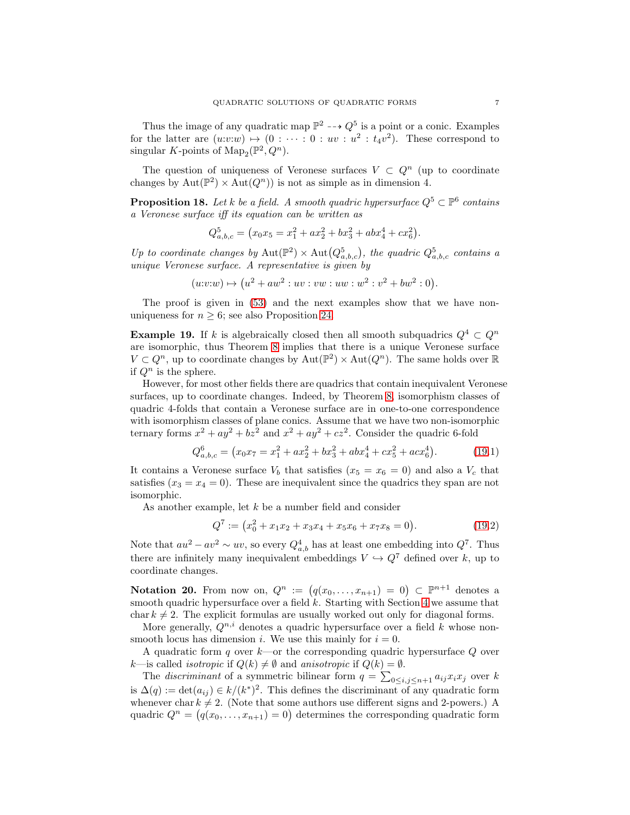Thus the image of any quadratic map  $\mathbb{P}^2 \dashrightarrow Q^5$  is a point or a conic. Examples for the latter are  $(u:v:w) \mapsto (0 : \cdots : 0 : uv : u^2 : t_4v^2)$ . These correspond to singular K-points of  $\text{Map}_2(\mathbb{P}^2, Q^n)$ .

The question of uniqueness of Veronese surfaces  $V \subset Q^n$  (up to coordinate changes by  $\text{Aut}(\mathbb{P}^2) \times \text{Aut}(Q^n)$  is not as simple as in dimension 4.

<span id="page-6-2"></span>**Proposition 18.** Let k be a field. A smooth quadric hypersurface  $Q^5 \subset \mathbb{P}^6$  contains a Veronese surface iff its equation can be written as

$$
Q_{a,b,c}^5 = (x_0x_5 = x_1^2 + ax_2^2 + bx_3^2 + abx_4^4 + cx_6^2).
$$

Up to coordinate changes by  $\text{Aut}(\mathbb{P}^2) \times \text{Aut}(Q^5_{a,b,c})$ , the quadric  $Q^5_{a,b,c}$  contains a unique Veronese surface. A representative is given by

$$
(u: v:w) \mapsto (u^2 + aw^2 : uv : vw : uw : w^2 : v^2 + bw^2 : 0).
$$

The proof is given in [\(53\)](#page-26-1) and the next examples show that we have nonuniqueness for  $n \geq 6$ ; see also Proposition [24.](#page-10-0)

<span id="page-6-1"></span>**Example 19.** If k is algebraically closed then all smooth subquadrics  $Q^4 \subset Q^n$ are isomorphic, thus Theorem [8](#page-3-0) implies that there is a unique Veronese surface  $V \subset Q^n$ , up to coordinate changes by  $\mathrm{Aut}(\mathbb{P}^2) \times \mathrm{Aut}(Q^n)$ . The same holds over  $\mathbb R$ if  $Q^n$  is the sphere.

However, for most other fields there are quadrics that contain inequivalent Veronese surfaces, up to coordinate changes. Indeed, by Theorem [8,](#page-3-0) isomorphism classes of quadric 4-folds that contain a Veronese surface are in one-to-one correspondence with isomorphism classes of plane conics. Assume that we have two non-isomorphic ternary forms  $x^2 + ay^2 + bz^2$  and  $x^2 + ay^2 + cz^2$ . Consider the quadric 6-fold

$$
Q_{a,b,c}^6 = (x_0 x_7 = x_1^2 + a x_2^2 + b x_3^2 + a b x_4^4 + c x_5^2 + a c x_6^4). \tag{19.1}
$$

It contains a Veronese surface  $V_b$  that satisfies  $(x_5 = x_6 = 0)$  and also a  $V_c$  that satisfies  $(x_3 = x_4 = 0)$ . These are inequivalent since the quadrics they span are not isomorphic.

As another example, let k be a number field and consider

$$
Q7 := (x02 + x1x2 + x3x4 + x5x6 + x7x8 = 0).
$$
 (19.2)

Note that  $au^2 - av^2 \sim uv$ , so every  $Q_{a,b}^4$  has at least one embedding into  $Q^7$ . Thus there are infinitely many inequivalent embeddings  $V \hookrightarrow Q^7$  defined over k, up to coordinate changes.

<span id="page-6-0"></span>Notation 20. From now on,  $Q^n := (q(x_0, \ldots, x_{n+1}) = 0) \subset \mathbb{P}^{n+1}$  denotes a smooth quadric hypersurface over a field  $k$ . Starting with Section [4](#page-17-1) we assume that char  $k \neq 2$ . The explicit formulas are usually worked out only for diagonal forms.

More generally,  $Q^{n,i}$  denotes a quadric hypersurface over a field k whose nonsmooth locus has dimension i. We use this mainly for  $i = 0$ .

A quadratic form q over  $k$ —or the corresponding quadric hypersurface  $Q$  over k—is called *isotropic* if  $Q(k) \neq \emptyset$  and *anisotropic* if  $Q(k) = \emptyset$ .

The *discriminant* of a symmetric bilinear form  $q = \sum_{0 \leq i,j \leq n+1} a_{ij} x_i x_j$  over k is  $\Delta(q) := \det(a_{ij}) \in k/(k^*)^2$ . This defines the discriminant of any quadratic form whenever char  $k \neq 2$ . (Note that some authors use different signs and 2-powers.) A quadric  $Q^n = (q(x_0, \ldots, x_{n+1}) = 0)$  determines the corresponding quadratic form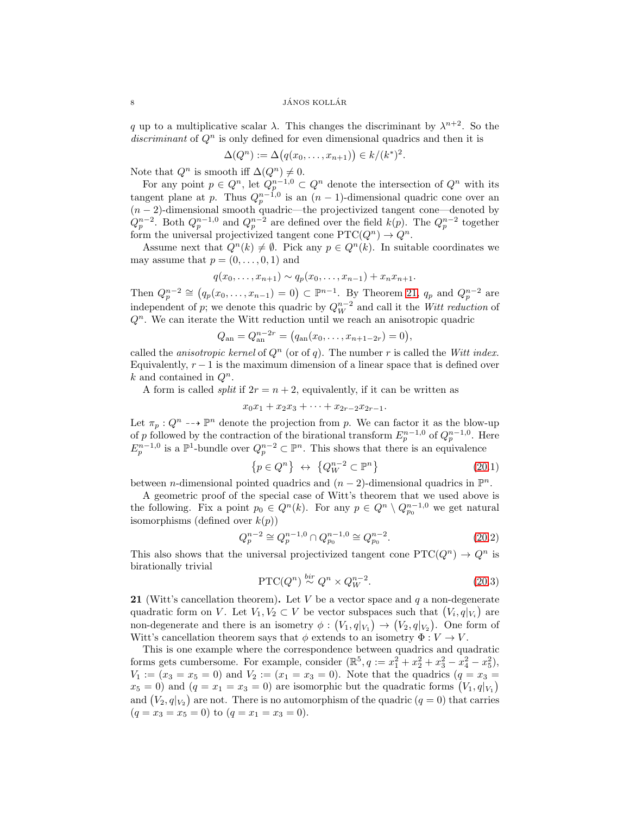$\begin{array}{c}\n 8 \\
 \hline\n 1\text{ÁNOS KOLLÁR}\n \end{array}$ 

q up to a multiplicative scalar  $\lambda$ . This changes the discriminant by  $\lambda^{n+2}$ . So the discriminant of  $Q<sup>n</sup>$  is only defined for even dimensional quadrics and then it is

$$
\Delta(Q^n) := \Delta(q(x_0,\ldots,x_{n+1})) \in k/(k^*)^2.
$$

Note that  $Q^n$  is smooth iff  $\Delta(Q^n) \neq 0$ .

For any point  $p \in Q^n$ , let  $Q_p^{n-1,0} \subset Q^n$  denote the intersection of  $Q^n$  with its tangent plane at p. Thus  $Q_p^{n-1,0}$  is an  $(n-1)$ -dimensional quadric cone over an  $(n-2)$ -dimensional smooth quadric—the projectivized tangent cone—denoted by  $Q_p^{n-2}$ . Both  $Q_p^{n-1,0}$  and  $Q_p^{n-2}$  are defined over the field  $k(p)$ . The  $Q_p^{n-2}$  together form the universal projectivized tangent cone  $PTC(Q^n) \rightarrow Q^n$ .

Assume next that  $Q^n(k) \neq \emptyset$ . Pick any  $p \in Q^n(k)$ . In suitable coordinates we may assume that  $p = (0, \ldots, 0, 1)$  and

$$
q(x_0,...,x_{n+1}) \sim q_p(x_0,...,x_{n-1}) + x_n x_{n+1}.
$$

Then  $Q_p^{n-2} \cong (q_p(x_0, \ldots, x_{n-1}) = 0) \subset \mathbb{P}^{n-1}$ . By Theorem [21,](#page-7-0)  $q_p$  and  $Q_p^{n-2}$  are independent of p; we denote this quadric by  $Q_W^{n-2}$  and call it the *Witt reduction* of  $Q<sup>n</sup>$ . We can iterate the Witt reduction until we reach an anisotropic quadric

$$
Q_{\rm an} = Q_{\rm an}^{n-2r} = (q_{\rm an}(x_0, \ldots, x_{n+1-2r}) = 0),
$$

called the *anisotropic kernel* of  $Q<sup>n</sup>$  (or of q). The number r is called the Witt index. Equivalently,  $r - 1$  is the maximum dimension of a linear space that is defined over k and contained in  $Q^n$ .

A form is called *split* if  $2r = n + 2$ , equivalently, if it can be written as

$$
x_0x_1 + x_2x_3 + \cdots + x_{2r-2}x_{2r-1}.
$$

Let  $\pi_p: Q^n \dashrightarrow \mathbb{P}^n$  denote the projection from p. We can factor it as the blow-up of p followed by the contraction of the birational transform  $E_p^{n-1,0}$  of  $Q_p^{n-1,0}$ . Here  $E_p^{n-1,0}$  is a  $\mathbb{P}^1$ -bundle over  $Q_p^{n-2} \subset \mathbb{P}^n$ . This shows that there is an equivalence

$$
\{p \in Q^n\} \leftrightarrow \{Q_W^{n-2} \subset \mathbb{P}^n\} \tag{20.1}
$$

between *n*-dimensional pointed quadrics and  $(n-2)$ -dimensional quadrics in  $\mathbb{P}^n$ .

A geometric proof of the special case of Witt's theorem that we used above is the following. Fix a point  $p_0 \in Q^n(k)$ . For any  $p \in Q^n \setminus Q_{p_0}^{n-1,0}$  we get natural isomorphisms (defined over  $k(p)$ )

$$
Q_p^{n-2} \cong Q_p^{n-1,0} \cap Q_{p_0}^{n-1,0} \cong Q_{p_0}^{n-2}.
$$
\n(20.2)

This also shows that the universal projectivized tangent cone  $\text{PTC}(Q^n) \to Q^n$  is birationally trivial

$$
\text{PTC}(Q^n) \stackrel{bir}{\sim} Q^n \times Q_W^{n-2}.\tag{20.3}
$$

<span id="page-7-0"></span>**21** (Witt's cancellation theorem). Let V be a vector space and q a non-degenerate quadratic form on V. Let  $V_1, V_2 \subset V$  be vector subspaces such that  $(V_i, q|_{V_i})$  are non-degenerate and there is an isometry  $\phi : (V_1, q|_{V_1}) \to (V_2, q|_{V_2})$ . One form of Witt's cancellation theorem says that  $\phi$  extends to an isometry  $\Phi: V \to V$ .

This is one example where the correspondence between quadrics and quadratic forms gets cumbersome. For example, consider  $(\mathbb{R}^5, q := x_1^2 + x_2^2 + x_3^2 - x_4^2 - x_5^2)$ ,  $V_1 := (x_3 = x_5 = 0)$  and  $V_2 := (x_1 = x_3 = 0)$ . Note that the quadrics  $(q = x_3 = 0)$  $x_5 = 0$ ) and  $(q = x_1 = x_3 = 0)$  are isomorphic but the quadratic forms  $(V_1, q|_{V_1})$ and  $(V_2, q|_{V_2})$  are not. There is no automorphism of the quadric  $(q = 0)$  that carries  $(q = x_3 = x_5 = 0)$  to  $(q = x_1 = x_3 = 0)$ .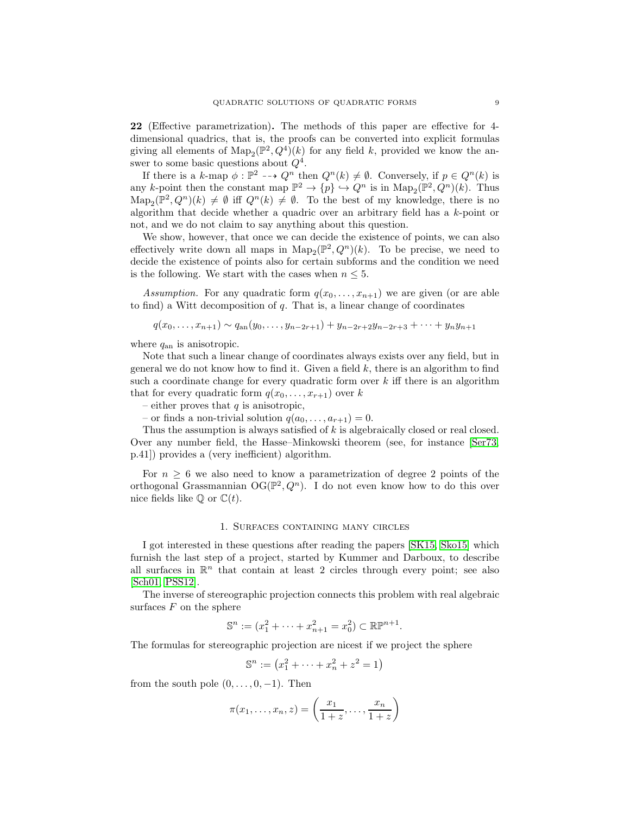22 (Effective parametrization). The methods of this paper are effective for 4 dimensional quadrics, that is, the proofs can be converted into explicit formulas giving all elements of  $\text{Map}_2(\mathbb{P}^2, Q^4)(k)$  for any field k, provided we know the answer to some basic questions about  $Q^4$ .

If there is a k-map  $\phi : \mathbb{P}^2 \dashrightarrow Q^n$  then  $Q^n(k) \neq \emptyset$ . Conversely, if  $p \in Q^n(k)$  is any k-point then the constant map  $\mathbb{P}^2 \to \{p\} \hookrightarrow Q^n$  is in  $\text{Map}_2(\mathbb{P}^2, Q^n)(k)$ . Thus  $\text{Map}_2(\mathbb{P}^2, Q^n)(k) \neq \emptyset$  iff  $Q^n(k) \neq \emptyset$ . To the best of my knowledge, there is no algorithm that decide whether a quadric over an arbitrary field has a k-point or not, and we do not claim to say anything about this question.

We show, however, that once we can decide the existence of points, we can also effectively write down all maps in  $\text{Map}_2(\mathbb{P}^2, Q^n)(k)$ . To be precise, we need to decide the existence of points also for certain subforms and the condition we need is the following. We start with the cases when  $n \leq 5$ .

Assumption. For any quadratic form  $q(x_0, \ldots, x_{n+1})$  we are given (or are able to find) a Witt decomposition of  $q$ . That is, a linear change of coordinates

$$
q(x_0,...,x_{n+1}) \sim q_{an}(y_0,...,y_{n-2r+1}) + y_{n-2r+2}y_{n-2r+3} + \cdots + y_ny_{n+1}
$$

where  $q_{an}$  is anisotropic.

Note that such a linear change of coordinates always exists over any field, but in general we do not know how to find it. Given a field  $k$ , there is an algorithm to find such a coordinate change for every quadratic form over  $k$  iff there is an algorithm that for every quadratic form  $q(x_0, \ldots, x_{r+1})$  over k

– either proves that  $q$  is anisotropic,

– or finds a non-trivial solution  $q(a_0, \ldots, a_{r+1}) = 0$ .

Thus the assumption is always satisfied of  $k$  is algebraically closed or real closed. Over any number field, the Hasse–Minkowski theorem (see, for instance [\[Ser73,](#page-36-11) p.41]) provides a (very inefficient) algorithm.

For  $n \geq 6$  we also need to know a parametrization of degree 2 points of the orthogonal Grassmannian  $\mathrm{OG}(\mathbb{P}^2, Q^n)$ . I do not even know how to do this over nice fields like  $\mathbb Q$  or  $\mathbb C(t)$ .

## 1. Surfaces containing many circles

I got interested in these questions after reading the papers [\[SK15,](#page-36-12) [Sko15\]](#page-36-13) which furnish the last step of a project, started by Kummer and Darboux, to describe all surfaces in  $\mathbb{R}^n$  that contain at least 2 circles through every point; see also [\[Sch01,](#page-36-14) [PSS12\]](#page-36-15).

The inverse of stereographic projection connects this problem with real algebraic surfaces  $F$  on the sphere

$$
\mathbb{S}^n := (x_1^2 + \dots + x_{n+1}^2 = x_0^2) \subset \mathbb{R} \mathbb{P}^{n+1}.
$$

The formulas for stereographic projection are nicest if we project the sphere

$$
\mathbb{S}^n := (x_1^2 + \dots + x_n^2 + z^2 = 1)
$$

from the south pole  $(0, \ldots, 0, -1)$ . Then

$$
\pi(x_1,\ldots,x_n,z) = \left(\frac{x_1}{1+z},\ldots,\frac{x_n}{1+z}\right)
$$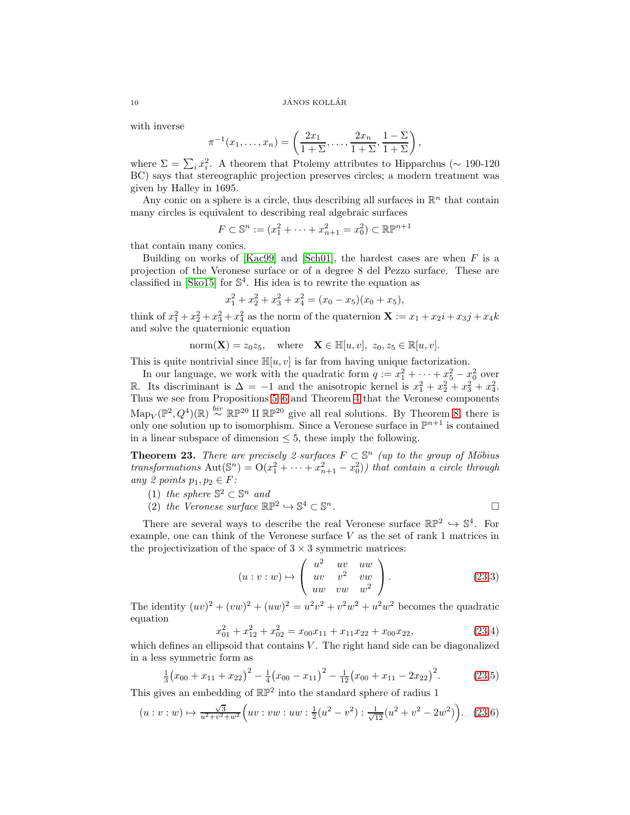with inverse

$$
\pi^{-1}(x_1,\ldots,x_n) = \left(\frac{2x_1}{1+\Sigma},\ldots,\frac{2x_n}{1+\Sigma},\frac{1-\Sigma}{1+\Sigma}\right),\,
$$

where  $\Sigma = \sum_i x_i^2$ . A theorem that Ptolemy attributes to Hipparchus (~ 190-120 BC) says that stereographic projection preserves circles; a modern treatment was given by Halley in 1695.

Any conic on a sphere is a circle, thus describing all surfaces in  $\mathbb{R}^n$  that contain many circles is equivalent to describing real algebraic surfaces

$$
F \subset \mathbb{S}^n := (x_1^2 + \dots + x_{n+1}^2 = x_0^2) \subset \mathbb{R} \mathbb{P}^{n+1}
$$

that contain many conics.

Building on works of [\[Kac99\]](#page-35-10) and [\[Sch01\]](#page-36-14), the hardest cases are when  $F$  is a projection of the Veronese surface or of a degree 8 del Pezzo surface. These are classified in [\[Sko15\]](#page-36-13) for S 4 . His idea is to rewrite the equation as

$$
x_1^2 + x_2^2 + x_3^2 + x_4^2 = (x_0 - x_5)(x_0 + x_5),
$$

think of  $x_1^2 + x_2^2 + x_3^2 + x_4^2$  as the norm of the quaternion  $\mathbf{X} := x_1 + x_2i + x_3j + x_4k$ and solve the quaternionic equation

norm $(\mathbf{X}) = z_0 z_5$ , where  $\mathbf{X} \in \mathbb{H}[u, v]$ ,  $z_0, z_5 \in \mathbb{R}[u, v]$ .

This is quite nontrivial since  $\mathbb{H}[u, v]$  is far from having unique factorization.

In our language, we work with the quadratic form  $q := x_1^2 + \cdots + x_5^2 - x_0^2$  over R. Its discriminant is  $\Delta = -1$  and the anisotropic kernel is  $x_1^2 + x_2^2 + x_3^2 + x_4^2$ . Thus we see from Propositions [5](#page-2-1)[–6](#page-2-2) and Theorem [4](#page-2-3) that the Veronese components  $\text{Map}_V(\mathbb{P}^2, Q^4)(\mathbb{R}) \stackrel{bir}{\sim} \mathbb{RP}^{20}$  II  $\mathbb{RP}^{20}$  give all real solutions. By Theorem [8,](#page-3-0) there is only one solution up to isomorphism. Since a Veronese surface in  $\mathbb{P}^{n+1}$  is contained in a linear subspace of dimension  $\leq 5$ , these imply the following.

<span id="page-9-0"></span>**Theorem 23.** There are precisely 2 surfaces  $F \subset \mathbb{S}^n$  (up to the group of Möbius transformations  $\text{Aut}(\mathbb{S}^n) = \text{O}(x_1^2 + \cdots + x_{n+1}^2 - x_0^2)$  that contain a circle through any 2 points  $p_1, p_2 \in F$ :

- (1) the sphere  $\mathbb{S}^2 \subset \mathbb{S}^n$  and
- (2) the Veronese surface  $\mathbb{RP}^2 \hookrightarrow \mathbb{S}^4 \subset \mathbb{S}$  $\overline{\phantom{a}}$ .

There are several ways to describe the real Veronese surface  $\mathbb{RP}^2 \hookrightarrow \mathbb{S}^4$ . For example, one can think of the Veronese surface V as the set of rank 1 matrices in the projectivization of the space of  $3 \times 3$  symmetric matrices:

$$
(u:v:w) \mapsto \begin{pmatrix} u^2 & uv & uw \\ uv & v^2 & vw \\ uw & vw & w^2 \end{pmatrix}.
$$
 (23.3)

The identity  $(uv)^2 + (vw)^2 + (uw)^2 = u^2v^2 + v^2w^2 + u^2w^2$  becomes the quadratic equation

$$
x_{01}^2 + x_{12}^2 + x_{02}^2 = x_{00}x_{11} + x_{11}x_{22} + x_{00}x_{22},
$$
(23.4)

which defines an ellipsoid that contains  $V$ . The right hand side can be diagonalized in a less symmetric form as

$$
\frac{1}{3}(x_{00} + x_{11} + x_{22})^2 - \frac{1}{4}(x_{00} - x_{11})^2 - \frac{1}{12}(x_{00} + x_{11} - 2x_{22})^2.
$$
 (23.5)

This gives an embedding of  $\mathbb{RP}^2$  into the standard sphere of radius 1

$$
(u:v:w) \mapsto \frac{\sqrt{3}}{u^2+v^2+w^2} \Big( uv:w:w:w:\frac{1}{2}(u^2-v^2): \frac{1}{\sqrt{12}}(u^2+v^2-2w^2)\Big). \tag{23.6}
$$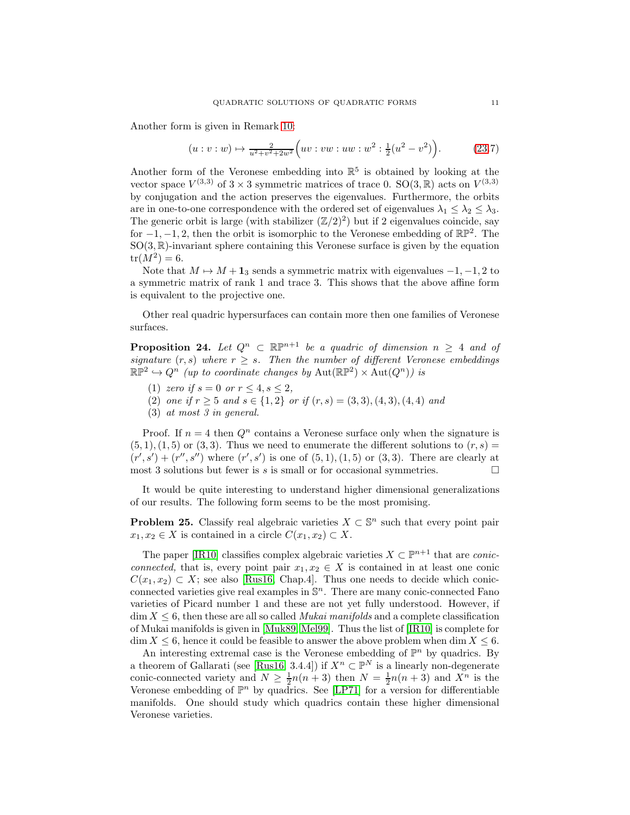Another form is given in Remark [10:](#page-4-1)

$$
(u:v:w) \mapsto \frac{2}{u^2+v^2+2w^2} \Big( uv:w:w:w:w^2: \frac{1}{2}(u^2-v^2)\Big). \tag{23.7}
$$

Another form of the Veronese embedding into  $\mathbb{R}^5$  is obtained by looking at the vector space  $V^{(3,3)}$  of  $3 \times 3$  symmetric matrices of trace 0.  $SO(3,\mathbb{R})$  acts on  $V^{(3,3)}$ by conjugation and the action preserves the eigenvalues. Furthermore, the orbits are in one-to-one correspondence with the ordered set of eigenvalues  $\lambda_1 \leq \lambda_2 \leq \lambda_3$ . The generic orbit is large (with stabilizer  $(\mathbb{Z}/2)^2$ ) but if 2 eigenvalues coincide, say for  $-1, -1, 2$ , then the orbit is isomorphic to the Veronese embedding of  $\mathbb{RP}^2$ . The  $SO(3,\mathbb{R})$ -invariant sphere containing this Veronese surface is given by the equation  $tr(M^2) = 6.$ 

Note that  $M \mapsto M + 1_3$  sends a symmetric matrix with eigenvalues  $-1, -1, 2$  to a symmetric matrix of rank 1 and trace 3. This shows that the above affine form is equivalent to the projective one.

Other real quadric hypersurfaces can contain more then one families of Veronese surfaces.

<span id="page-10-0"></span>**Proposition 24.** Let  $Q^n \subset \mathbb{R}P^{n+1}$  be a quadric of dimension  $n \geq 4$  and of signature  $(r, s)$  where  $r \geq s$ . Then the number of different Veronese embeddings  $\mathbb{RP}^2 \hookrightarrow Q^n$  (up to coordinate changes by  $\text{Aut}(\mathbb{RP}^2) \times \text{Aut}(Q^n)$ ) is

- (1) zero if  $s = 0$  or  $r \le 4, s \le 2$ ,
- (2) one if  $r \geq 5$  and  $s \in \{1,2\}$  or if  $(r, s) = (3, 3), (4, 3), (4, 4)$  and
- (3) at most 3 in general.

Proof. If  $n = 4$  then  $Q<sup>n</sup>$  contains a Veronese surface only when the signature is  $(5, 1), (1, 5)$  or  $(3, 3)$ . Thus we need to enumerate the different solutions to  $(r, s)$  $(r', s') + (r'', s'')$  where  $(r', s')$  is one of  $(5, 1), (1, 5)$  or  $(3, 3)$ . There are clearly at most 3 solutions but fewer is s is small or for occasional symmetries.  $\Box$ 

It would be quite interesting to understand higher dimensional generalizations of our results. The following form seems to be the most promising.

**Problem 25.** Classify real algebraic varieties  $X \subset \mathbb{S}^n$  such that every point pair  $x_1, x_2 \in X$  is contained in a circle  $C(x_1, x_2) \subset X$ .

The paper [\[IR10\]](#page-35-11) classifies complex algebraic varieties  $X \subset \mathbb{P}^{n+1}$  that are *conic*connected, that is, every point pair  $x_1, x_2 \in X$  is contained in at least one conic  $C(x_1, x_2) \subset X$ ; see also [\[Rus16,](#page-36-10) Chap.4]. Thus one needs to decide which conicconnected varieties give real examples in  $\mathbb{S}^n$ . There are many conic-connected Fano varieties of Picard number 1 and these are not yet fully understood. However, if  $\dim X \leq 6$ , then these are all so called *Mukai manifolds* and a complete classification of Mukai manifolds is given in [\[Muk89,](#page-36-16) [Mel99\]](#page-36-17). Thus the list of [\[IR10\]](#page-35-11) is complete for  $\dim X \leq 6$ , hence it could be feasible to answer the above problem when  $\dim X \leq 6$ .

An interesting extremal case is the Veronese embedding of  $\mathbb{P}^n$  by quadrics. By a theorem of Gallarati (see [\[Rus16,](#page-36-10) 3.4.4]) if  $X^n \subset \mathbb{P}^N$  is a linearly non-degenerate conic-connected variety and  $N \geq \frac{1}{2}n(n+3)$  then  $N = \frac{1}{2}n(n+3)$  and  $X^n$  is the Veronese embedding of  $\mathbb{P}^n$  by quadrics. See [\[LP71\]](#page-36-18) for a version for differentiable manifolds. One should study which quadrics contain these higher dimensional Veronese varieties.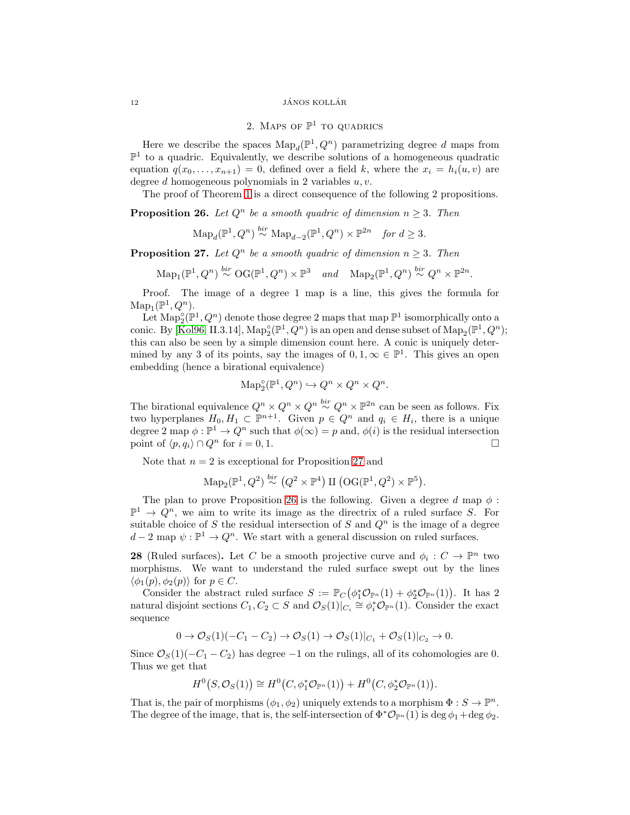### <span id="page-11-0"></span> $\begin{array}{c}\n 12 \quad \text{JÁNOS KOLLÁR}\n \end{array}$

# 2. Maps of  $\mathbb{P}^1$  to quadrics

Here we describe the spaces  $\text{Map}_d(\mathbb{P}^1, Q^n)$  parametrizing degree d maps from  $\mathbb{P}^1$  to a quadric. Equivalently, we describe solutions of a homogeneous quadratic equation  $q(x_0, \ldots, x_{n+1}) = 0$ , defined over a field k, where the  $x_i = h_i(u, v)$  are degree  $d$  homogeneous polynomials in 2 variables  $u, v$ .

The proof of Theorem [1](#page-0-0) is a direct consequence of the following 2 propositions.

<span id="page-11-2"></span>**Proposition 26.** Let  $Q^n$  be a smooth quadric of dimension  $n \geq 3$ . Then

$$
\mathrm{Map}_d(\mathbb{P}^1, Q^n) \stackrel{bir}{\sim} \mathrm{Map}_{d-2}(\mathbb{P}^1, Q^n) \times \mathbb{P}^{2n} \quad \text{for } d \geq 3.
$$

<span id="page-11-1"></span>**Proposition 27.** Let  $Q^n$  be a smooth quadric of dimension  $n > 3$ . Then

$$
\mathrm{Map}_1(\mathbb{P}^1, Q^n) \stackrel{bir}{\sim} \mathrm{OG}(\mathbb{P}^1, Q^n) \times \mathbb{P}^3 \quad and \quad \mathrm{Map}_2(\mathbb{P}^1, Q^n) \stackrel{bir}{\sim} Q^n \times \mathbb{P}^{2n}.
$$

Proof. The image of a degree 1 map is a line, this gives the formula for  $\mathrm{Map}_1(\mathbb{P}^1, Q^n).$ 

Let  $\text{Map}_2^{\circ}(\mathbb{P}^1, Q^n)$  denote those degree 2 maps that map  $\mathbb{P}^1$  isomorphically onto a conic. By [\[Kol96,](#page-36-2) II.3.14],  $\text{Map}_2^{\circ}(\mathbb{P}^1, Q^n)$  is an open and dense subset of  $\text{Map}_2(\mathbb{P}^1, Q^n)$ ; this can also be seen by a simple dimension count here. A conic is uniquely determined by any 3 of its points, say the images of  $0, 1, \infty \in \mathbb{P}^1$ . This gives an open embedding (hence a birational equivalence)

$$
\text{Map}_2^{\circ}(\mathbb{P}^1, Q^n) \hookrightarrow Q^n \times Q^n \times Q^n.
$$

The birational equivalence  $Q^n \times Q^n \times Q^n \times Q^n \times \mathbb{P}^{2n}$  can be seen as follows. Fix two hyperplanes  $H_0, H_1 \subset \mathbb{P}^{n+1}$ . Given  $p \in Q^n$  and  $q_i \in H_i$ , there is a unique degree 2 map  $\phi : \mathbb{P}^1 \to Q^n$  such that  $\phi(\infty) = p$  and,  $\phi(i)$  is the residual intersection point of  $\langle p, q_i \rangle \cap Q^n$  for  $i = 0, 1$ .

Note that  $n = 2$  is exceptional for Proposition [27](#page-11-1) and

$$
\mathrm{Map}_2(\mathbb{P}^1, Q^2) \stackrel{bir}{\sim} (Q^2 \times \mathbb{P}^4) \amalg (\mathrm{OG}(\mathbb{P}^1, Q^2) \times \mathbb{P}^5).
$$

The plan to prove Proposition [26](#page-11-2) is the following. Given a degree d map  $\phi$ :  $\mathbb{P}^1 \to Q^n$ , we aim to write its image as the directrix of a ruled surface S. For suitable choice of S the residual intersection of S and  $Q<sup>n</sup>$  is the image of a degree  $d-2$  map  $\psi : \mathbb{P}^1 \to Q^n$ . We start with a general discussion on ruled surfaces.

<span id="page-11-3"></span>**28** (Ruled surfaces). Let C be a smooth projective curve and  $\phi_i : C \to \mathbb{P}^n$  two morphisms. We want to understand the ruled surface swept out by the lines  $\langle \phi_1(p), \phi_2(p) \rangle$  for  $p \in C$ .

Consider the abstract ruled surface  $S := \mathbb{P}_C(\phi_1^* \mathcal{O}_{\mathbb{P}^n}(1) + \phi_2^* \mathcal{O}_{\mathbb{P}^n}(1))$ . It has 2 natural disjoint sections  $C_1, C_2 \subset S$  and  $\mathcal{O}_S(1)|_{C_i} \cong \phi_i^* \mathcal{O}_{\mathbb{P}^n}(1)$ . Consider the exact sequence

$$
0 \to \mathcal{O}_S(1)(-C_1 - C_2) \to \mathcal{O}_S(1) \to \mathcal{O}_S(1)|_{C_1} + \mathcal{O}_S(1)|_{C_2} \to 0.
$$

Since  $\mathcal{O}_S(1)(-C_1 - C_2)$  has degree  $-1$  on the rulings, all of its cohomologies are 0. Thus we get that

$$
H^{0}(S, \mathcal{O}_{S}(1)) \cong H^{0}(C, \phi_{1}^{*}\mathcal{O}_{\mathbb{P}^{n}}(1)) + H^{0}(C, \phi_{2}^{*}\mathcal{O}_{\mathbb{P}^{n}}(1)).
$$

That is, the pair of morphisms  $(\phi_1, \phi_2)$  uniquely extends to a morphism  $\Phi: S \to \mathbb{P}^n$ . The degree of the image, that is, the self-intersection of  $\Phi^* \mathcal{O}_{\mathbb{P}^n}(1)$  is deg  $\phi_1 + \deg \phi_2$ .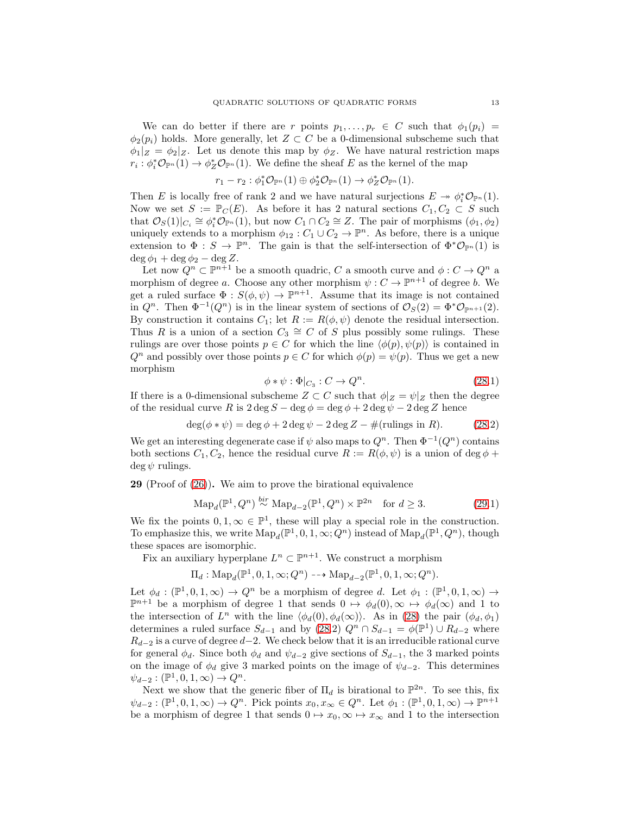We can do better if there are r points  $p_1, \ldots, p_r \in C$  such that  $\phi_1(p_i) =$  $\phi_2(p_i)$  holds. More generally, let  $Z \subset C$  be a 0-dimensional subscheme such that  $\phi_1|_Z = \phi_2|_Z$ . Let us denote this map by  $\phi_Z$ . We have natural restriction maps  $r_i: \phi_i^* \mathcal{O}_{\mathbb{P}^n}(1) \to \phi_Z^* \mathcal{O}_{\mathbb{P}^n}(1)$ . We define the sheaf E as the kernel of the map

$$
r_1-r_2: \phi_1^*\mathcal{O}_{\mathbb{P}^n}(1)\oplus \phi_2^*\mathcal{O}_{\mathbb{P}^n}(1)\to \phi_Z^*\mathcal{O}_{\mathbb{P}^n}(1).
$$

Then E is locally free of rank 2 and we have natural surjections  $E \to \phi_i^* \mathcal{O}_{\mathbb{P}^n}(1)$ . Now we set  $S := \mathbb{P}_C(E)$ . As before it has 2 natural sections  $C_1, C_2 \subset S$  such that  $\mathcal{O}_S(1)|_{C_i} \cong \phi_i^* \mathcal{O}_{\mathbb{P}^n}(1)$ , but now  $C_1 \cap C_2 \cong Z$ . The pair of morphisms  $(\phi_1, \phi_2)$ uniquely extends to a morphism  $\phi_{12}: C_1 \cup C_2 \to \mathbb{P}^n$ . As before, there is a unique extension to  $\Phi : S \to \mathbb{P}^n$ . The gain is that the self-intersection of  $\Phi^* \mathcal{O}_{\mathbb{P}^n}(1)$  is  $\deg \phi_1 + \deg \phi_2 - \deg Z.$ 

Let now  $Q^n \subset \mathbb{P}^{n+1}$  be a smooth quadric, C a smooth curve and  $\phi: C \to Q^n$  a morphism of degree a. Choose any other morphism  $\psi : C \to \mathbb{P}^{n+1}$  of degree b. We get a ruled surface  $\Phi : S(\phi, \psi) \to \mathbb{P}^{n+1}$ . Assume that its image is not contained in  $Q^n$ . Then  $\Phi^{-1}(Q^n)$  is in the linear system of sections of  $\mathcal{O}_S(2) = \Phi^* \mathcal{O}_{\mathbb{P}^{n+1}}(2)$ . By construction it contains  $C_1$ ; let  $R := R(\phi, \psi)$  denote the residual intersection. Thus R is a union of a section  $C_3 \cong C$  of S plus possibly some rulings. These rulings are over those points  $p \in C$  for which the line  $\langle \phi(p), \psi(p) \rangle$  is contained in  $Q^n$  and possibly over those points  $p \in C$  for which  $\phi(p) = \psi(p)$ . Thus we get a new morphism

$$
\phi * \psi : \Phi|_{C_3} : C \to Q^n. \tag{28.1}
$$

If there is a 0-dimensional subscheme  $Z \subset C$  such that  $\phi|_Z = \psi|_Z$  then the degree of the residual curve R is  $2 \deg S - \deg \phi = \deg \phi + 2 \deg \psi - 2 \deg Z$  hence

$$
\deg(\phi * \psi) = \deg \phi + 2 \deg \psi - 2 \deg Z - \#(\text{rulings in } R). \tag{28.2}
$$

We get an interesting degenerate case if  $\psi$  also maps to  $Q^n$ . Then  $\Phi^{-1}(Q^n)$  contains both sections  $C_1, C_2$ , hence the residual curve  $R := R(\phi, \psi)$  is a union of deg  $\phi$  +  $\deg \psi$  rulings.

<span id="page-12-0"></span>29 (Proof of [\(26\)](#page-11-2)). We aim to prove the birational equivalence

$$
\mathrm{Map}_d(\mathbb{P}^1, Q^n) \stackrel{bir}{\sim} \mathrm{Map}_{d-2}(\mathbb{P}^1, Q^n) \times \mathbb{P}^{2n} \quad \text{for } d \ge 3. \tag{29.1}
$$

We fix the points  $0, 1, \infty \in \mathbb{P}^1$ , these will play a special role in the construction. To emphasize this, we write  $\text{Map}_d(\mathbb{P}^1, 0, 1, \infty; Q^n)$  instead of  $\text{Map}_d(\mathbb{P}^1, Q^n)$ , though these spaces are isomorphic.

Fix an auxiliary hyperplane  $L^n \subset \mathbb{P}^{n+1}$ . We construct a morphism

 $\Pi_d: \text{Map}_d(\mathbb{P}^1, 0, 1, \infty; Q^n) \dashrightarrow \text{Map}_{d-2}(\mathbb{P}^1, 0, 1, \infty; Q^n).$ 

Let  $\phi_d : (\mathbb{P}^1, 0, 1, \infty) \to Q^n$  be a morphism of degree d. Let  $\phi_1 : (\mathbb{P}^1, 0, 1, \infty) \to$  $\mathbb{P}^{n+1}$  be a morphism of degree 1 that sends  $0 \mapsto \phi_d(0), \infty \mapsto \phi_d(\infty)$  and 1 to the intersection of  $L^n$  with the line  $\langle \phi_d(0), \phi_d(\infty) \rangle$ . As in [\(28\)](#page-11-3) the pair  $(\phi_d, \phi_1)$ determines a ruled surface  $S_{d-1}$  and by [\(28.](#page-11-3)2)  $Q^n \cap S_{d-1} = \phi(\mathbb{P}^1) \cup R_{d-2}$  where  $R_{d-2}$  is a curve of degree  $d-2$ . We check below that it is an irreducible rational curve for general  $\phi_d$ . Since both  $\phi_d$  and  $\psi_{d-2}$  give sections of  $S_{d-1}$ , the 3 marked points on the image of  $\phi_d$  give 3 marked points on the image of  $\psi_{d-2}$ . This determines  $\psi_{d-2} : (\mathbb{P}^1, 0, 1, \infty) \to Q^n.$ 

Next we show that the generic fiber of  $\Pi_d$  is birational to  $\mathbb{P}^{2n}$ . To see this, fix  $\psi_{d-2}: (\mathbb{P}^1, 0, 1, \infty) \to Q^n$ . Pick points  $x_0, x_\infty \in Q^n$ . Let  $\phi_1: (\mathbb{P}^1, 0, 1, \infty) \to \mathbb{P}^{n+1}$ be a morphism of degree 1 that sends  $0 \mapsto x_0, \infty \mapsto x_\infty$  and 1 to the intersection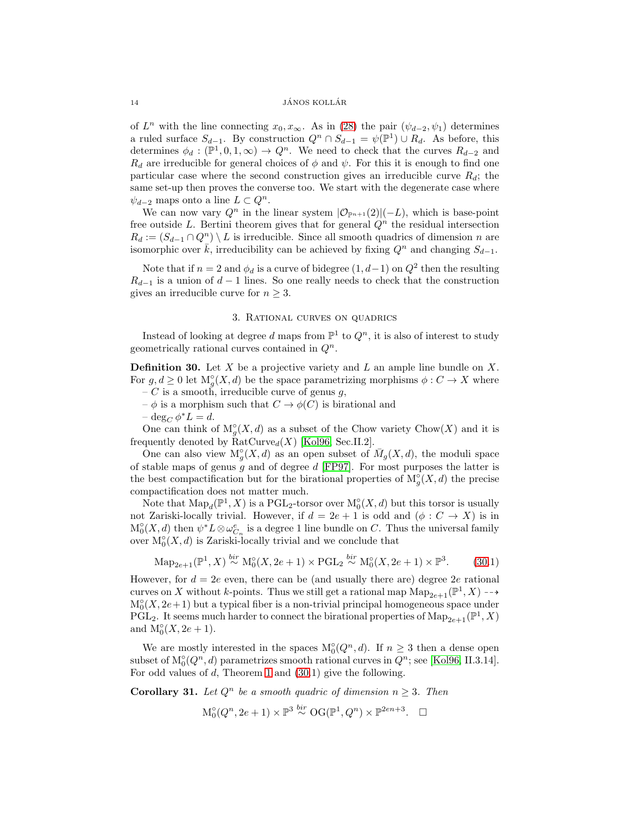#### 14 JÁNOS KOLLÁR

of  $L^n$  with the line connecting  $x_0, x_\infty$ . As in [\(28\)](#page-11-3) the pair  $(\psi_{d-2}, \psi_1)$  determines a ruled surface  $S_{d-1}$ . By construction  $Q^n \cap S_{d-1} = \psi(\mathbb{P}^1) \cup R_d$ . As before, this determines  $\phi_d : (\mathbb{P}^1, 0, 1, \infty) \to Q^n$ . We need to check that the curves  $R_{d-2}$  and  $R_d$  are irreducible for general choices of  $\phi$  and  $\psi$ . For this it is enough to find one particular case where the second construction gives an irreducible curve  $R_d$ ; the same set-up then proves the converse too. We start with the degenerate case where  $\psi_{d-2}$  maps onto a line  $L \subset Q^n$ .

We can now vary  $Q^n$  in the linear system  $|\mathcal{O}_{\mathbb{P}^{n+1}}(2)|(-L)$ , which is base-point free outside L. Bertini theorem gives that for general  $Q<sup>n</sup>$  the residual intersection  $R_d := (S_{d-1} \cap Q^n) \setminus L$  is irreducible. Since all smooth quadrics of dimension n are isomorphic over  $\bar{k}$ , irreducibility can be achieved by fixing  $Q^n$  and changing  $S_{d-1}$ .

Note that if  $n = 2$  and  $\phi_d$  is a curve of bidegree  $(1, d-1)$  on  $Q^2$  then the resulting  $R_{d-1}$  is a union of  $d-1$  lines. So one really needs to check that the construction gives an irreducible curve for  $n \geq 3$ .

## 3. Rational curves on quadrics

<span id="page-13-1"></span>Instead of looking at degree d maps from  $\mathbb{P}^1$  to  $Q^n$ , it is also of interest to study geometrically rational curves contained in  $Q^n$ .

<span id="page-13-2"></span>**Definition 30.** Let  $X$  be a projective variety and  $L$  an ample line bundle on  $X$ . For  $g, d \geq 0$  let  $M_g^{\circ}(X, d)$  be the space parametrizing morphisms  $\phi: C \to X$  where – C is a smooth, irreducible curve of genus  $q$ ,

- 
- $-\phi$  is a morphism such that  $C \rightarrow \phi(C)$  is birational and
- $-\deg_C \phi^* L = d.$

One can think of  $M_g^{\circ}(X, d)$  as a subset of the Chow variety Chow $(X)$  and it is frequently denoted by  $\text{RatCurve}_{d}(X)$  [\[Kol96,](#page-36-2) Sec.II.2].

One can also view  $M_g^{\circ}(X, d)$  as an open subset of  $\overline{M}_g(X, d)$ , the moduli space of stable maps of genus g and of degree  $d$  [\[FP97\]](#page-35-12). For most purposes the latter is the best compactification but for the birational properties of  $M_g^{\circ}(X, d)$  the precise compactification does not matter much.

Note that  $\text{Map}_d(\mathbb{P}^1, X)$  is a PGL<sub>2</sub>-torsor over  $\text{M}_0^{\circ}(X, d)$  but this torsor is usually not Zariski-locally trivial. However, if  $d = 2e + 1$  is odd and  $(\phi : C \to X)$  is in  $M_0^{\circ}(X, d)$  then  $\psi^* L \otimes \omega_{C_n}^e$  is a degree 1 line bundle on C. Thus the universal family over  $M_0^{\circ}(X, d)$  is Zariski-locally trivial and we conclude that

$$
\mathrm{Map}_{2e+1}(\mathbb{P}^1, X) \stackrel{bir}{\sim} \mathrm{M}_0^{\circ}(X, 2e+1) \times \mathrm{PGL}_2 \stackrel{bir}{\sim} \mathrm{M}_0^{\circ}(X, 2e+1) \times \mathbb{P}^3. \tag{30.1}
$$

However, for  $d = 2e$  even, there can be (and usually there are) degree 2e rational curves on X without k-points. Thus we still get a rational map  $\text{Map}_{2e+1}(\mathbb{P}^1, X) \dashrightarrow$  $M_0^{\circ}(X, 2e+1)$  but a typical fiber is a non-trivial principal homogeneous space under PGL<sub>2</sub>. It seems much harder to connect the birational properties of  $\text{Map}_{2e+1}(\mathbb{P}^1, X)$ and  $M_0^{\circ}(X, 2e+1)$ .

We are mostly interested in the spaces  $M_0^{\circ}(Q^n, d)$ . If  $n \geq 3$  then a dense open subset of  $M_0^{\circ}(Q^n, d)$  parametrizes smooth rational curves in  $Q^n$ ; see [\[Kol96,](#page-36-2) II.3.14]. For odd values of d, Theorem [1](#page-0-0) and [\(30.](#page-13-2)1) give the following.

<span id="page-13-0"></span>**Corollary 31.** Let  $Q^n$  be a smooth quadric of dimension  $n \geq 3$ . Then

$$
\mathcal{M}_0^{\circ}(Q^n, 2e+1) \times \mathbb{P}^3 \stackrel{bir}{\sim} \mathcal{O}(\mathbb{P}^1, Q^n) \times \mathbb{P}^{2en+3}.\square
$$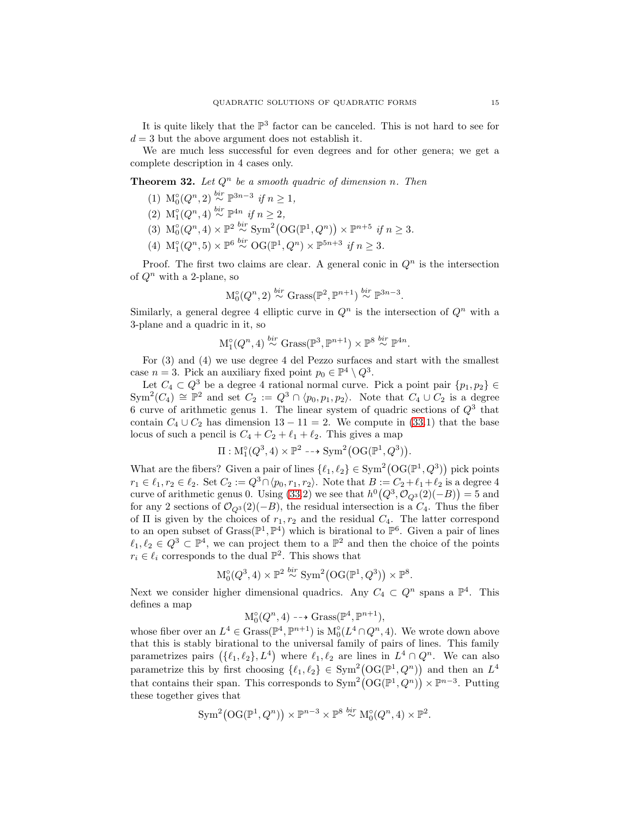It is quite likely that the  $\mathbb{P}^3$  factor can be canceled. This is not hard to see for  $d = 3$  but the above argument does not establish it.

We are much less successful for even degrees and for other genera; we get a complete description in 4 cases only.

<span id="page-14-0"></span>**Theorem 32.** Let  $Q^n$  be a smooth quadric of dimension n. Then

- (1) M☉( $Q^n, 2$ )  $\stackrel{bir}{\sim} \mathbb{P}^{3n-3}$  if  $n \ge 1$ ,
- (2)  $\mathcal{M}_1^{\circ}(Q^n, 4) \stackrel{bir}{\sim} \mathbb{P}^{4n}$  if  $n \geq 2$ ,
- (3)  $\mathcal{M}_0^{\circ}(Q^n, 4) \times \mathbb{P}^2 \stackrel{bir}{\sim} \text{Sym}^2(\text{OG}(\mathbb{P}^1, Q^n)) \times \mathbb{P}^{n+5}$  if  $n \geq 3$ .
- (4)  $\mathcal{M}_1^{\circ}(Q^n, 5) \times \mathbb{P}^6 \stackrel{bir}{\sim} \mathcal{O}(\mathbb{P}^1, Q^n) \times \mathbb{P}^{5n+3}$  if  $n \geq 3$ .

Proof. The first two claims are clear. A general conic in  $Q<sup>n</sup>$  is the intersection of  $Q^n$  with a 2-plane, so

$$
M_0^{\circ}(Q^n, 2) \stackrel{bir}{\sim} \text{Grass}(\mathbb{P}^2, \mathbb{P}^{n+1}) \stackrel{bir}{\sim} \mathbb{P}^{3n-3}.
$$

Similarly, a general degree 4 elliptic curve in  $Q^n$  is the intersection of  $Q^n$  with a 3-plane and a quadric in it, so

$$
M_1^{\circ}(Q^n, 4) \stackrel{bir}{\sim} \text{Grass}(\mathbb{P}^3, \mathbb{P}^{n+1}) \times \mathbb{P}^8 \stackrel{bir}{\sim} \mathbb{P}^{4n}.
$$

For (3) and (4) we use degree 4 del Pezzo surfaces and start with the smallest case  $n = 3$ . Pick an auxiliary fixed point  $p_0 \in \mathbb{P}^4 \setminus Q^3$ .

Let  $C_4 \subset Q^3$  be a degree 4 rational normal curve. Pick a point pair  $\{p_1, p_2\} \in$  $Sym^2(C_4) \cong \mathbb{P}^2$  and set  $C_2 := Q^3 \cap \langle p_0, p_1, p_2 \rangle$ . Note that  $C_4 \cup C_2$  is a degree 6 curve of arithmetic genus 1. The linear system of quadric sections of  $Q^3$  that contain  $C_4 \cup C_2$  has dimension  $13 - 11 = 2$ . We compute in [\(33.](#page-15-1)1) that the base locus of such a pencil is  $C_4 + C_2 + \ell_1 + \ell_2$ . This gives a map

$$
\Pi: \mathcal{M}_1^{\circ}(Q^3, 4) \times \mathbb{P}^2 \dashrightarrow \text{Sym}^2(\text{OG}(\mathbb{P}^1, Q^3)).
$$

What are the fibers? Given a pair of lines  $\{\ell_1, \ell_2\} \in \text{Sym}^2(\text{OG}(\mathbb{P}^1, Q^3))$  pick points  $r_1 \in \ell_1, r_2 \in \ell_2$ . Set  $C_2 := Q^3 \cap \langle p_0, r_1, r_2 \rangle$ . Note that  $B := C_2 + \ell_1 + \ell_2$  is a degree 4 curve of arithmetic genus 0. Using [\(33.](#page-15-1)2) we see that  $h^0(Q^3, \mathcal{O}_{Q^3}(2)(-B)) = 5$  and for any 2 sections of  $\mathcal{O}_{Q^3}(2)(-B)$ , the residual intersection is a  $C_4$ . Thus the fiber of  $\Pi$  is given by the choices of  $r_1, r_2$  and the residual  $C_4$ . The latter correspond to an open subset of  $Grass(\mathbb{P}^1, \mathbb{P}^4)$  which is birational to  $\mathbb{P}^6$ . Given a pair of lines  $\ell_1, \ell_2 \in Q^3 \subset \mathbb{P}^4$ , we can project them to a  $\mathbb{P}^2$  and then the choice of the points  $r_i \in \ell_i$  corresponds to the dual  $\mathbb{P}^2$ . This shows that

$$
M_0^{\circ}(Q^3, 4) \times \mathbb{P}^2 \stackrel{bir}{\sim} Sym^2(OG(\mathbb{P}^1, Q^3)) \times \mathbb{P}^8.
$$

Next we consider higher dimensional quadrics. Any  $C_4 \subset Q^n$  spans a  $\mathbb{P}^4$ . This defines a map

$$
\mathcal{M}_0^{\circ}(Q^n, 4) \dashrightarrow \operatorname{Grass}(\mathbb{P}^4, \mathbb{P}^{n+1}),
$$

whose fiber over an  $L^4 \in \text{Grass}(\mathbb{P}^4, \mathbb{P}^{n+1})$  is  $M_0^{\circ}(L^4 \cap Q^n, 4)$ . We wrote down above that this is stably birational to the universal family of pairs of lines. This family parametrizes pairs  $(\{\ell_1,\ell_2\}, L^4)$  where  $\ell_1,\ell_2$  are lines in  $L^4 \cap Q^n$ . We can also parametrize this by first choosing  $\{\ell_1, \ell_2\} \in \text{Sym}^2(\text{OG}(\mathbb{P}^1, Q^n))$  and then an  $L^4$ that contains their span. This corresponds to  $\text{Sym}^2(\text{OG}(\mathbb{P}^1, Q^n)) \times \mathbb{P}^{n-3}$ . Putting these together gives that

$$
\text{Sym}^2(\text{OG}(\mathbb{P}^1, Q^n)) \times \mathbb{P}^{n-3} \times \mathbb{P}^8 \stackrel{\text{bir}}{\sim} \text{M}_0^{\circ}(Q^n, 4) \times \mathbb{P}^2.
$$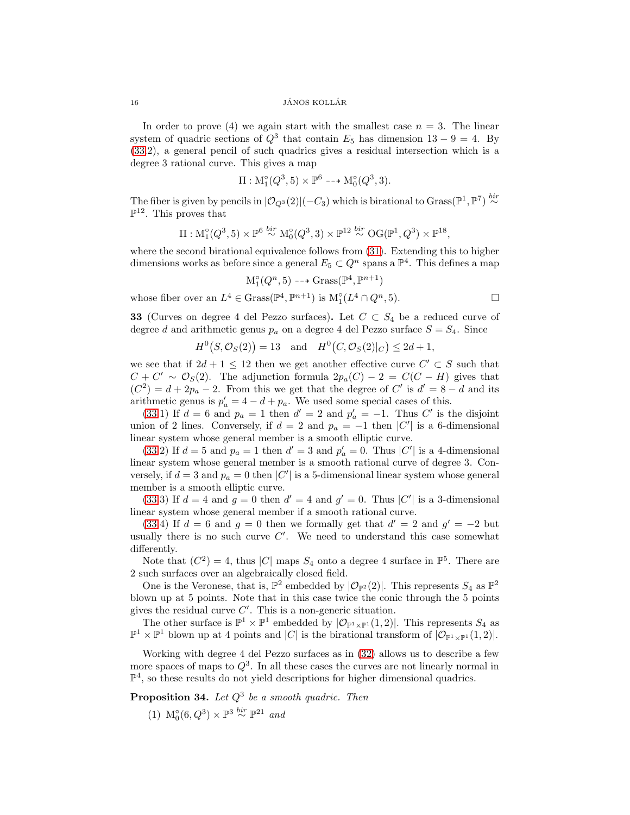In order to prove (4) we again start with the smallest case  $n = 3$ . The linear system of quadric sections of  $Q^3$  that contain  $E_5$  has dimension  $13 - 9 = 4$ . By [\(33.](#page-15-1)2), a general pencil of such quadrics gives a residual intersection which is a degree 3 rational curve. This gives a map

$$
\Pi: \mathcal{M}_1^{\circ}(Q^3, 5) \times \mathbb{P}^6 \dashrightarrow \mathcal{M}_0^{\circ}(Q^3, 3).
$$

The fiber is given by pencils in  $|\mathcal{O}_{Q^3}(2)|(-C_3)$  which is birational to Grass( $\mathbb{P}^1$ ,  $\mathbb{P}^7$ )  $\stackrel{bir}{\sim}$  $\mathbb{P}^{12}$ . This proves that

$$
\Pi: \mathcal{M}_1^{\circ}(Q^3, 5) \times \mathbb{P}^6 \stackrel{bir}{\sim} \mathcal{M}_0^{\circ}(Q^3, 3) \times \mathbb{P}^{12} \stackrel{bir}{\sim} \mathcal{O}G(\mathbb{P}^1, Q^3) \times \mathbb{P}^{18},
$$

where the second birational equivalence follows from [\(31\)](#page-13-0). Extending this to higher dimensions works as before since a general  $E_5 \subset Q^n$  spans a  $\mathbb{P}^4$ . This defines a map

$$
\mathcal{M}_1^{\circ}(Q^n, 5) \dashrightarrow \operatorname{Grass}(\mathbb{P}^4, \mathbb{P}^{n+1})
$$

whose fiber over an  $L^4 \in \text{Grass}(\mathbb{P}^4, \mathbb{P}^{n+1})$  is  $M_1^{\circ}(L^4 \cap Q^n, 5)$ .

<span id="page-15-1"></span>**33** (Curves on degree 4 del Pezzo surfaces). Let 
$$
C \subset S_4
$$
 be a reduced curve of degree d and arithmetic genus  $p_a$  on a degree 4 del Pezzo surface  $S = S_4$ . Since

$$
H^0(S, \mathcal{O}_S(2)) = 13
$$
 and  $H^0(C, \mathcal{O}_S(2)|_C) \le 2d + 1$ ,

we see that if  $2d + 1 \leq 12$  then we get another effective curve  $C' \subset S$  such that  $C + C' \sim \mathcal{O}_S(2)$ . The adjunction formula  $2p_a(C) - 2 = C(C - H)$  gives that  $(C^2) = d + 2p_a - 2$ . From this we get that the degree of C' is  $d' = 8 - d$  and its arithmetic genus is  $p'_a = 4 - d + p_a$ . We used some special cases of this.

[\(33.](#page-15-1)1) If  $d = 6$  and  $p_a = 1$  then  $d' = 2$  and  $p'_a = -1$ . Thus C' is the disjoint union of 2 lines. Conversely, if  $d = 2$  and  $p_a = -1$  then  $|C'|$  is a 6-dimensional linear system whose general member is a smooth elliptic curve.

[\(33.](#page-15-1)2) If  $d = 5$  and  $p_a = 1$  then  $d' = 3$  and  $p'_a = 0$ . Thus  $|C'|$  is a 4-dimensional linear system whose general member is a smooth rational curve of degree 3. Conversely, if  $d = 3$  and  $p_a = 0$  then  $|C'|$  is a 5-dimensional linear system whose general member is a smooth elliptic curve.

[\(33.](#page-15-1)3) If  $d = 4$  and  $g = 0$  then  $d' = 4$  and  $g' = 0$ . Thus  $|C'|$  is a 3-dimensional linear system whose general member if a smooth rational curve.

[\(33.](#page-15-1)4) If  $d = 6$  and  $g = 0$  then we formally get that  $d' = 2$  and  $g' = -2$  but usually there is no such curve  $C'$ . We need to understand this case somewhat differently.

Note that  $(C^2) = 4$ , thus |C| maps  $S_4$  onto a degree 4 surface in  $\mathbb{P}^5$ . There are 2 such surfaces over an algebraically closed field.

One is the Veronese, that is,  $\mathbb{P}^2$  embedded by  $|\mathcal{O}_{\mathbb{P}^2}(2)|$ . This represents  $S_4$  as  $\mathbb{P}^2$ blown up at 5 points. Note that in this case twice the conic through the 5 points gives the residual curve  $C'$ . This is a non-generic situation.

The other surface is  $\mathbb{P}^1 \times \mathbb{P}^1$  embedded by  $|\mathcal{O}_{\mathbb{P}^1 \times \mathbb{P}^1}(1,2)|$ . This represents  $S_4$  as  $\mathbb{P}^1 \times \mathbb{P}^1$  blown up at 4 points and |C| is the birational transform of  $|\mathcal{O}_{\mathbb{P}^1 \times \mathbb{P}^1}(1,2)|$ .

Working with degree 4 del Pezzo surfaces as in [\(32\)](#page-14-0) allows us to describe a few more spaces of maps to  $Q^3$ . In all these cases the curves are not linearly normal in  $\mathbb{P}^4$ , so these results do not yield descriptions for higher dimensional quadrics.

<span id="page-15-0"></span>**Proposition 34.** Let  $Q^3$  be a smooth quadric. Then

(1)  $M_0^{\circ}(6, Q^3) \times \mathbb{P}^3 \stackrel{bir}{\sim} \mathbb{P}^{21}$  and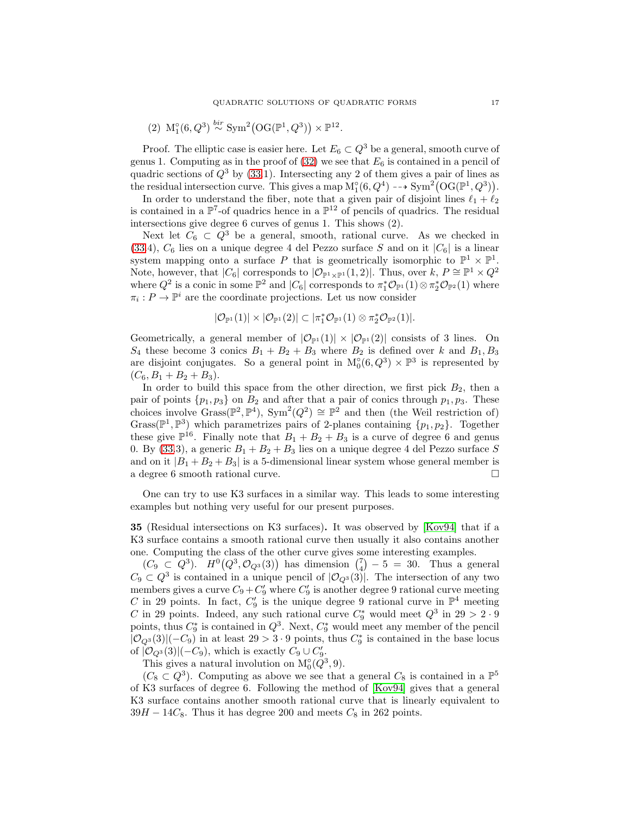(2) 
$$
\mathcal{M}_1^{\circ}(6, Q^3) \stackrel{bir}{\sim} \text{Sym}^2(\text{OG}(\mathbb{P}^1, Q^3)) \times \mathbb{P}^{12}.
$$

Proof. The elliptic case is easier here. Let  $E_6 \subset Q^3$  be a general, smooth curve of genus 1. Computing as in the proof of  $(32)$  we see that  $E_6$  is contained in a pencil of quadric sections of  $Q^3$  by [\(33.](#page-15-1)1). Intersecting any 2 of them gives a pair of lines as the residual intersection curve. This gives a map  $M_1^{\circ}(6, Q^4) \dashrightarrow Sym^2(OG(\mathbb{P}^1, Q^3)).$ 

In order to understand the fiber, note that a given pair of disjoint lines  $\ell_1 + \ell_2$ is contained in a  $\mathbb{P}^7$ -of quadrics hence in a  $\mathbb{P}^{12}$  of pencils of quadrics. The residual intersections give degree 6 curves of genus 1. This shows (2).

Next let  $C_6 \subset Q^3$  be a general, smooth, rational curve. As we checked in [\(33.](#page-15-1)4),  $C_6$  lies on a unique degree 4 del Pezzo surface S and on it  $|C_6|$  is a linear system mapping onto a surface P that is geometrically isomorphic to  $\mathbb{P}^1 \times \mathbb{P}^1$ . Note, however, that  $|C_6|$  corresponds to  $|\mathcal{O}_{\mathbb{P}^1 \times \mathbb{P}^1}(1,2)|$ . Thus, over  $k, P \cong \mathbb{P}^1 \times Q^2$ where  $Q^2$  is a conic in some  $\mathbb{P}^2$  and  $|C_6|$  corresponds to  $\pi_1^*\mathcal{O}_{\mathbb{P}^1}(1)\otimes \pi_2^*\mathcal{O}_{\mathbb{P}^2}(1)$  where  $\pi_i: P \to \mathbb{P}^i$  are the coordinate projections. Let us now consider

$$
|\mathcal{O}_{\mathbb{P}^1}(1)| \times |\mathcal{O}_{\mathbb{P}^1}(2)| \subset |\pi_1^*\mathcal{O}_{\mathbb{P}^1}(1) \otimes \pi_2^*\mathcal{O}_{\mathbb{P}^2}(1)|.
$$

Geometrically, a general member of  $|\mathcal{O}_{\mathbb{P}^1}(1)| \times |\mathcal{O}_{\mathbb{P}^1}(2)|$  consists of 3 lines. On  $S_4$  these become 3 conics  $B_1 + B_2 + B_3$  where  $B_2$  is defined over k and  $B_1, B_3$ are disjoint conjugates. So a general point in  $M_0^{\circ}(6, Q^3) \times \mathbb{P}^3$  is represented by  $(C_6, B_1 + B_2 + B_3).$ 

In order to build this space from the other direction, we first pick  $B_2$ , then a pair of points  $\{p_1, p_3\}$  on  $B_2$  and after that a pair of conics through  $p_1, p_3$ . These choices involve  $Grass(\mathbb{P}^2, \mathbb{P}^4)$ ,  $Sym^2(Q^2) \cong \mathbb{P}^2$  and then (the Weil restriction of) Grass( $\mathbb{P}^1$ ,  $\mathbb{P}^3$ ) which parametrizes pairs of 2-planes containing  $\{p_1, p_2\}$ . Together these give  $\mathbb{P}^{16}$ . Finally note that  $B_1 + B_2 + B_3$  is a curve of degree 6 and genus 0. By [\(33.](#page-15-1)3), a generic  $B_1 + B_2 + B_3$  lies on a unique degree 4 del Pezzo surface S and on it  $|B_1 + B_2 + B_3|$  is a 5-dimensional linear system whose general member is a degree 6 smooth rational curve. a degree 6 smooth rational curve.

One can try to use K3 surfaces in a similar way. This leads to some interesting examples but nothing very useful for our present purposes.

35 (Residual intersections on K3 surfaces). It was observed by [\[Kov94\]](#page-36-19) that if a K3 surface contains a smooth rational curve then usually it also contains another one. Computing the class of the other curve gives some interesting examples.

 $(C_9 \subset Q^3)$ .  $H^0(Q^3, \mathcal{O}_{Q^3}(3))$  has dimension  $\binom{7}{4} - 5 = 30$ . Thus a general  $C_9 \subset Q^3$  is contained in a unique pencil of  $|\mathcal{O}_{Q^3}(3)|$ . The intersection of any two members gives a curve  $C_9 + C'_9$  where  $C'_9$  is another degree 9 rational curve meeting C in 29 points. In fact,  $C_9'$  is the unique degree 9 rational curve in  $\mathbb{P}^4$  meeting C in 29 points. Indeed, any such rational curve  $C_9^*$  would meet  $Q^3$  in  $29 > 2 \cdot 9$ points, thus  $C_9^*$  is contained in  $Q^3$ . Next,  $C_9^*$  would meet any member of the pencil  $|O_{Q^3}(3)|(-C_9)$  in at least 29 > 3 ⋅ 9 points, thus  $C_9^*$  is contained in the base locus of  $|\mathcal{O}_{Q^3}(3)|(-C_9)$ , which is exactly  $C_9 \cup C'_9$ .

This gives a natural involution on  $M_0^{\circ}(Q^3, 9)$ .

 $(C_8 \subset Q^3)$ . Computing as above we see that a general  $C_8$  is contained in a  $\mathbb{P}^5$ of K3 surfaces of degree 6. Following the method of [\[Kov94\]](#page-36-19) gives that a general K3 surface contains another smooth rational curve that is linearly equivalent to  $39H - 14C_8$ . Thus it has degree 200 and meets  $C_8$  in 262 points.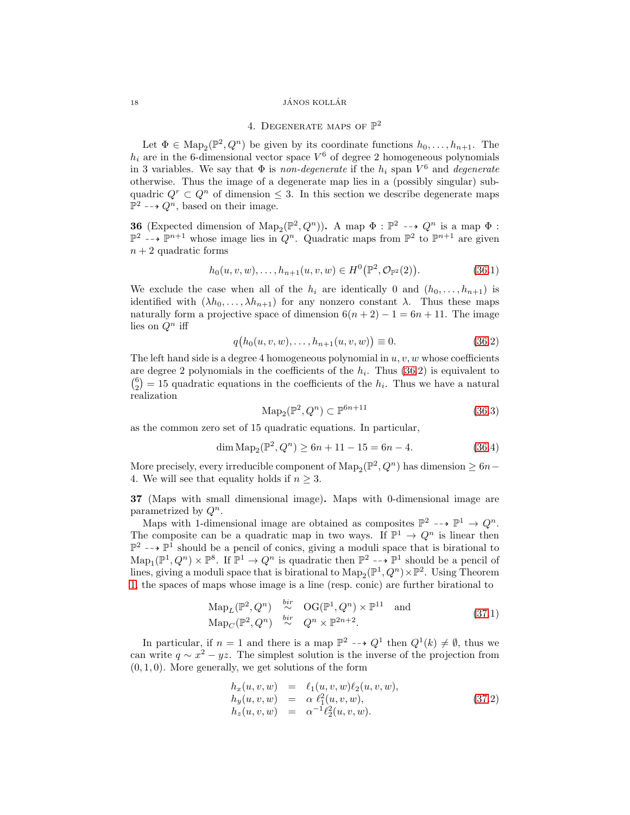### <span id="page-17-1"></span> $\begin{array}{c}\n 18 \quad \text{JÁNOS KOLLÁR}\n \end{array}$

# 4. DEGENERATE MAPS OF  $\mathbb{P}^2$

Let  $\Phi \in \text{Map}_2(\mathbb{P}^2, Q^n)$  be given by its coordinate functions  $h_0, \ldots, h_{n+1}$ . The  $h_i$  are in the 6-dimensional vector space  $V^6$  of degree 2 homogeneous polynomials in 3 variables. We say that  $\Phi$  is *non-degenerate* if the  $h_i$  span  $V^6$  and *degenerate* otherwise. Thus the image of a degenerate map lies in a (possibly singular) subquadric  $Q^r \subset Q^n$  of dimension  $\leq$  3. In this section we describe degenerate maps  $\mathbb{P}^2 \dashrightarrow Q^n$ , based on their image.

<span id="page-17-2"></span>**36** (Expected dimension of  $\text{Map}_2(\mathbb{P}^2, Q^n)$ ). A map  $\Phi : \mathbb{P}^2 \dashrightarrow Q^n$  is a map  $\Phi :$  $\mathbb{P}^2$  --+  $\mathbb{P}^{n+1}$  whose image lies in  $Q^n$ . Quadratic maps from  $\mathbb{P}^2$  to  $\mathbb{P}^{n+1}$  are given  $n + 2$  quadratic forms

$$
h_0(u, v, w), \dots, h_{n+1}(u, v, w) \in H^0(\mathbb{P}^2, \mathcal{O}_{\mathbb{P}^2}(2)).
$$
\n(36.1)

We exclude the case when all of the  $h_i$  are identically 0 and  $(h_0, \ldots, h_{n+1})$  is identified with  $(\lambda h_0, \ldots, \lambda h_{n+1})$  for any nonzero constant  $\lambda$ . Thus these maps naturally form a projective space of dimension  $6(n + 2) - 1 = 6n + 11$ . The image lies on  $Q^n$  iff

$$
q(h_0(u, v, w), \dots, h_{n+1}(u, v, w)) \equiv 0. \tag{36.2}
$$

The left hand side is a degree 4 homogeneous polynomial in  $u, v, w$  whose coefficients are degree 2 polynomials in the coefficients of the  $h_i$ . Thus  $(36.2)$  is equivalent to  $\binom{6}{2} = 15$  quadratic equations in the coefficients of the  $h_i$ . Thus we have a natural realization

$$
\mathrm{Map}_2(\mathbb{P}^2, Q^n) \subset \mathbb{P}^{6n+11} \tag{36.3}
$$

as the common zero set of 15 quadratic equations. In particular,

$$
\dim \operatorname{Map}_2(\mathbb{P}^2, Q^n) \ge 6n + 11 - 15 = 6n - 4. \tag{36.4}
$$

More precisely, every irreducible component of  $\text{Map}_2(\mathbb{P}^2, Q^n)$  has dimension  $\geq 6n-$ 4. We will see that equality holds if  $n \geq 3$ .

<span id="page-17-0"></span>37 (Maps with small dimensional image). Maps with 0-dimensional image are parametrized by  $Q^n$ .

Maps with 1-dimensional image are obtained as composites  $\mathbb{P}^2 \dashrightarrow \mathbb{P}^1 \rightarrow Q^n$ . The composite can be a quadratic map in two ways. If  $\mathbb{P}^1 \to Q^n$  is linear then  $\mathbb{P}^2 \dashrightarrow \mathbb{P}^1$  should be a pencil of conics, giving a moduli space that is birational to  $\text{Map}_1(\mathbb{P}^1, Q^n) \times \mathbb{P}^8$ . If  $\mathbb{P}^1 \to Q^n$  is quadratic then  $\mathbb{P}^2 \dashrightarrow \mathbb{P}^1$  should be a pencil of lines, giving a moduli space that is birational to  $\text{Map}_2(\mathbb{P}^1, Q^n) \times \mathbb{P}^2$ . Using Theorem [1,](#page-0-0) the spaces of maps whose image is a line (resp. conic) are further birational to

$$
\mathrm{Map}_L(\mathbb{P}^2, Q^n) \stackrel{bir}{\sim} \mathrm{OG}(\mathbb{P}^1, Q^n) \times \mathbb{P}^{11} \text{ and}
$$
  
\n
$$
\mathrm{Map}_C(\mathbb{P}^2, Q^n) \stackrel{bir}{\sim} Q^n \times \mathbb{P}^{2n+2}.
$$
\n(37.1)

In particular, if  $n = 1$  and there is a map  $\mathbb{P}^2 \dashrightarrow Q^1$  then  $Q^1(k) \neq \emptyset$ , thus we can write  $q \sim x^2 - yz$ . The simplest solution is the inverse of the projection from  $(0, 1, 0)$ . More generally, we get solutions of the form

$$
h_x(u, v, w) = \ell_1(u, v, w)\ell_2(u, v, w), \n h_y(u, v, w) = \alpha \ell_1^2(u, v, w), \n h_z(u, v, w) = \alpha^{-1} \ell_2^2(u, v, w).
$$
\n(37.2)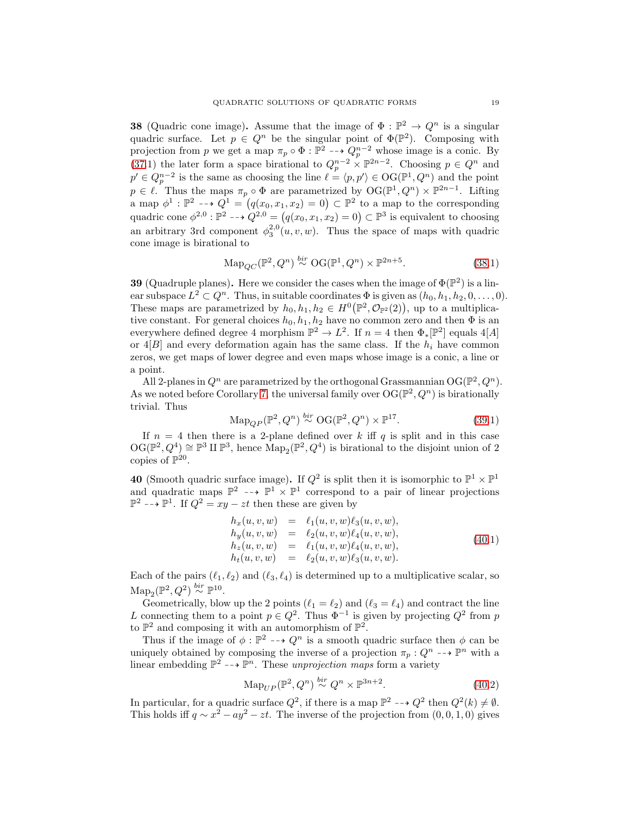<span id="page-18-2"></span>**38** (Quadric cone image). Assume that the image of  $\Phi : \mathbb{P}^2 \to Q^n$  is a singular quadric surface. Let  $p \in Q^n$  be the singular point of  $\Phi(\mathbb{P}^2)$ . Composing with projection from p we get a map  $\pi_p \circ \Phi : \mathbb{P}^2 \dashrightarrow Q_p^{n-2}$  whose image is a conic. By [\(37.](#page-17-0)1) the later form a space birational to  $Q_p^{n-2} \times \mathbb{P}^{2n-2}$ . Choosing  $p \in Q^n$  and  $p' \in Q_p^{n-2}$  is the same as choosing the line  $\ell = \langle p, p' \rangle \in \mathrm{OG}(\mathbb{P}^1, Q^n)$  and the point  $p \in \ell$ . Thus the maps  $\pi_p \circ \Phi$  are parametrized by  $\mathrm{OG}(\mathbb{P}^1, Q^n) \times \mathbb{P}^{2n-1}$ . Lifting a map  $\phi^1 : \mathbb{P}^2 \longrightarrow Q^1 = (q(x_0, x_1, x_2) = 0) \subset \mathbb{P}^2$  to a map to the corresponding quadric cone  $\phi^{2,0}$ :  $\mathbb{P}^2$  --+  $Q^{2,0} = (q(x_0, x_1, x_2) = 0) \subset \mathbb{P}^3$  is equivalent to choosing an arbitrary 3rd component  $\phi_3^{2,0}(u,v,w)$ . Thus the space of maps with quadric cone image is birational to

$$
\mathrm{Map}_{QC}(\mathbb{P}^2, Q^n) \stackrel{bir}{\sim} \mathrm{OG}(\mathbb{P}^1, Q^n) \times \mathbb{P}^{2n+5}.\tag{38.1}
$$

<span id="page-18-1"></span>**39** (Quadruple planes). Here we consider the cases when the image of  $\Phi(\mathbb{P}^2)$  is a linear subspace  $L^2 \subset Q^n$ . Thus, in suitable coordinates  $\Phi$  is given as  $(h_0, h_1, h_2, 0, \ldots, 0)$ . These maps are parametrized by  $h_0, h_1, h_2 \in H^0(\mathbb{P}^2, \mathcal{O}_{\mathbb{P}^2}(2))$ , up to a multiplicative constant. For general choices  $h_0, h_1, h_2$  have no common zero and then  $\Phi$  is an everywhere defined degree 4 morphism  $\mathbb{P}^2 \to L^2$ . If  $n = 4$  then  $\Phi_*[\mathbb{P}^2]$  equals  $4[A]$ or  $4|B|$  and every deformation again has the same class. If the  $h_i$  have common zeros, we get maps of lower degree and even maps whose image is a conic, a line or a point.

All 2-planes in  $Q^n$  are parametrized by the orthogonal Grassmannian  $\mathrm{OG}(\mathbb{P}^2, Q^n)$ . As we noted before Corollary [7,](#page-3-1) the universal family over  $\mathrm{OG}(\mathbb{P}^2, Q^n)$  is birationally trivial. Thus

$$
\mathrm{Map}_{QP}(\mathbb{P}^2, Q^n) \stackrel{bir}{\sim} \mathrm{OG}(\mathbb{P}^2, Q^n) \times \mathbb{P}^{17}.
$$
 (39.1)

If  $n = 4$  then there is a 2-plane defined over k iff q is split and in this case  $\mathrm{OG}(\mathbb{P}^2, Q^4) \cong \mathbb{P}^3 \amalg \mathbb{P}^3$ , hence  $\mathrm{Map}_2(\mathbb{P}^2, Q^4)$  is birational to the disjoint union of 2 copies of  $\mathbb{P}^{20}$ .

<span id="page-18-0"></span>40 (Smooth quadric surface image). If  $Q^2$  is split then it is isomorphic to  $\mathbb{P}^1 \times \mathbb{P}^1$ and quadratic maps  $\mathbb{P}^2 \dashrightarrow \mathbb{P}^1 \times \mathbb{P}^1$  correspond to a pair of linear projections  $\mathbb{P}^2$  -→  $\mathbb{P}^1$ . If  $Q^2 = xy - zt$  then these are given by

$$
h_x(u, v, w) = \ell_1(u, v, w)\ell_3(u, v, w), \n h_y(u, v, w) = \ell_2(u, v, w)\ell_4(u, v, w), \n h_z(u, v, w) = \ell_1(u, v, w)\ell_4(u, v, w), \n h_t(u, v, w) = \ell_2(u, v, w)\ell_3(u, v, w).
$$
\n(40.1)

Each of the pairs  $(\ell_1, \ell_2)$  and  $(\ell_3, \ell_4)$  is determined up to a multiplicative scalar, so  $\text{Map}_2(\mathbb{P}^2, Q^2) \stackrel{bir}{\sim} \mathbb{P}^{10}.$ 

Geometrically, blow up the 2 points  $(\ell_1 = \ell_2)$  and  $(\ell_3 = \ell_4)$  and contract the line L connecting them to a point  $p \in Q^2$ . Thus  $\Phi^{-1}$  is given by projecting  $Q^2$  from p to  $\mathbb{P}^2$  and composing it with an automorphism of  $\mathbb{P}^2$ .

Thus if the image of  $\phi : \mathbb{P}^2 \dashrightarrow Q^n$  is a smooth quadric surface then  $\phi$  can be uniquely obtained by composing the inverse of a projection  $\pi_p: Q^n \dashrightarrow \mathbb{P}^n$  with a linear embedding  $\mathbb{P}^2 \dashrightarrow \mathbb{P}^n$ . These unprojection maps form a variety

$$
\mathrm{Map}_{UP}(\mathbb{P}^2, Q^n) \stackrel{bir}{\sim} Q^n \times \mathbb{P}^{3n+2}.
$$
\n(40.2)

In particular, for a quadric surface  $Q^2$ , if there is a map  $\mathbb{P}^2 \dashrightarrow Q^2$  then  $Q^2(k) \neq \emptyset$ . This holds iff  $q \sim x^2 - ay^2 - zt$ . The inverse of the projection from  $(0, 0, 1, 0)$  gives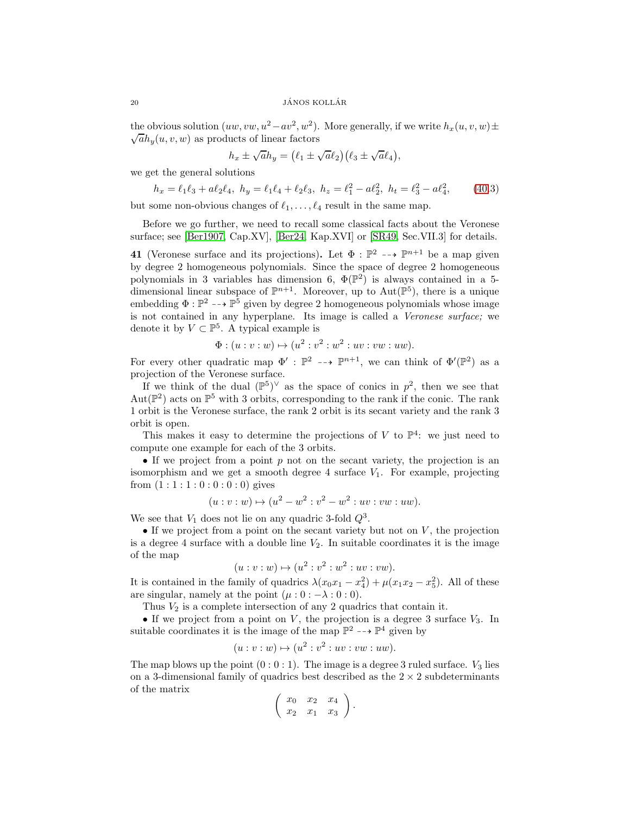the obvious solution  $(uw, vw, u^2 - av^2, w^2)$ . More generally, if we write  $h_x(u, v, w) \pm$  $\sqrt{a}h_y(u, v, w)$  as products of linear factors

$$
h_x \pm \sqrt{a}h_y = (\ell_1 \pm \sqrt{a}\ell_2)(\ell_3 \pm \sqrt{a}\ell_4),
$$

we get the general solutions

$$
h_x = \ell_1 \ell_3 + a \ell_2 \ell_4, \ h_y = \ell_1 \ell_4 + \ell_2 \ell_3, \ h_z = \ell_1^2 - a \ell_2^2, \ h_t = \ell_3^2 - a \ell_4^2,\tag{40.3}
$$

but some non-obvious changes of  $\ell_1, \ldots, \ell_4$  result in the same map.

Before we go further, we need to recall some classical facts about the Veronese surface; see [\[Ber1907,](#page-35-5) Cap.XV], [\[Ber24,](#page-35-6) Kap.XVI] or [\[SR49,](#page-36-8) Sec.VII.3] for details.

<span id="page-19-0"></span>**41** (Veronese surface and its projections). Let  $\Phi : \mathbb{P}^2 \dashrightarrow \mathbb{P}^{n+1}$  be a map given by degree 2 homogeneous polynomials. Since the space of degree 2 homogeneous polynomials in 3 variables has dimension 6,  $\Phi(\mathbb{P}^2)$  is always contained in a 5dimensional linear subspace of  $\mathbb{P}^{n+1}$ . Moreover, up to Aut $(\mathbb{P}^5)$ , there is a unique embedding  $\Phi : \mathbb{P}^2 \dashrightarrow \mathbb{P}^5$  given by degree 2 homogeneous polynomials whose image is not contained in any hyperplane. Its image is called a Veronese surface; we denote it by  $V \subset \mathbb{P}^5$ . A typical example is

$$
\Phi : (u : v : w) \mapsto (u^2 : v^2 : w^2 : uv : vw : uw).
$$

For every other quadratic map  $\Phi' : \mathbb{P}^2 \dashrightarrow \mathbb{P}^{n+1}$ , we can think of  $\Phi'(\mathbb{P}^2)$  as a projection of the Veronese surface.

If we think of the dual  $(\mathbb{P}^5)^{\vee}$  as the space of conics in  $p^2$ , then we see that Aut( $\mathbb{P}^2$ ) acts on  $\mathbb{P}^5$  with 3 orbits, corresponding to the rank if the conic. The rank 1 orbit is the Veronese surface, the rank 2 orbit is its secant variety and the rank 3 orbit is open.

This makes it easy to determine the projections of V to  $\mathbb{P}^4$ : we just need to compute one example for each of the 3 orbits.

• If we project from a point  $p$  not on the secant variety, the projection is an isomorphism and we get a smooth degree 4 surface  $V_1$ . For example, projecting from  $(1:1:1:0:0:0:0)$  gives

$$
(u: v: w) \mapsto (u^2 - w^2: v^2 - w^2: uv: vw: uw).
$$

We see that  $V_1$  does not lie on any quadric 3-fold  $Q^3$ .

• If we project from a point on the secant variety but not on  $V$ , the projection is a degree 4 surface with a double line  $V_2$ . In suitable coordinates it is the image of the map

$$
(u: v: w) \mapsto (u^2: v^2: w^2: uv: vw).
$$

It is contained in the family of quadrics  $\lambda(x_0x_1 - x_4^2) + \mu(x_1x_2 - x_5^2)$ . All of these are singular, namely at the point  $(\mu : 0 : -\lambda : 0 : 0)$ .

Thus  $V_2$  is a complete intersection of any 2 quadrics that contain it.

• If we project from a point on  $V$ , the projection is a degree 3 surface  $V_3$ . In suitable coordinates it is the image of the map  $\mathbb{P}^2 \dashrightarrow \mathbb{P}^4$  given by

$$
(u : v : w) \mapsto (u^2 : v^2 : uv : vw : uw).
$$

The map blows up the point  $(0:0:1)$ . The image is a degree 3 ruled surface.  $V_3$  lies on a 3-dimensional family of quadrics best described as the  $2 \times 2$  subdeterminants of the matrix

$$
\left(\begin{array}{cc} x_0 & x_2 & x_4 \\ x_2 & x_1 & x_3 \end{array}\right).
$$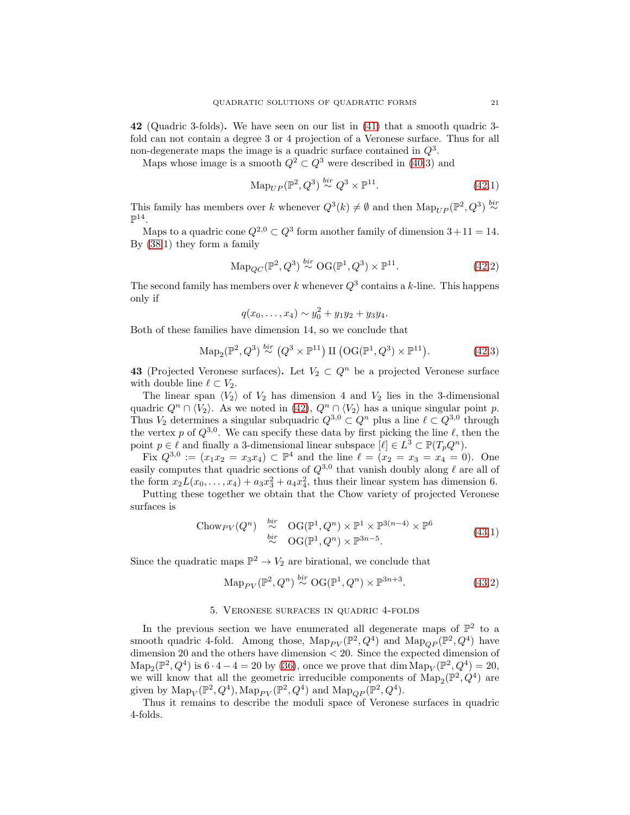<span id="page-20-0"></span>42 (Quadric 3-folds). We have seen on our list in [\(41\)](#page-19-0) that a smooth quadric 3 fold can not contain a degree 3 or 4 projection of a Veronese surface. Thus for all non-degenerate maps the image is a quadric surface contained in  $Q^3$ .

Maps whose image is a smooth  $Q^2 \subset Q^3$  were described in [\(40.](#page-18-0)3) and

$$
\mathrm{Map}_{UP}(\mathbb{P}^2, Q^3) \stackrel{bir}{\sim} Q^3 \times \mathbb{P}^{11}.
$$
 (42.1)

This family has members over k whenever  $Q^3(k) \neq \emptyset$  and then  $\text{Map}_{UP}(\mathbb{P}^2, Q^3) \stackrel{bir}{\sim}$  $\mathbb{P}^{14}.$ 

Maps to a quadric cone  $Q^{2,0} \subset Q^3$  form another family of dimension  $3+11=14$ . By [\(38.](#page-18-2)1) they form a family

$$
\mathrm{Map}_{QC}(\mathbb{P}^2, Q^3) \stackrel{bir}{\sim} \mathrm{OG}(\mathbb{P}^1, Q^3) \times \mathbb{P}^{11}.
$$
 (42.2)

The second family has members over k whenever  $Q^3$  contains a k-line. This happens only if

$$
q(x_0,\ldots,x_4)\sim y_0^2+y_1y_2+y_3y_4.
$$

Both of these families have dimension 14, so we conclude that

$$
\mathrm{Map}_2(\mathbb{P}^2, Q^3) \stackrel{bir}{\sim} (Q^3 \times \mathbb{P}^{11}) \amalg (\mathrm{OG}(\mathbb{P}^1, Q^3) \times \mathbb{P}^{11}). \tag{42.3}
$$

<span id="page-20-2"></span>43 (Projected Veronese surfaces). Let  $V_2 \subset Q^n$  be a projected Veronese surface with double line  $\ell \subset V_2$ .

The linear span  $\langle V_2 \rangle$  of  $V_2$  has dimension 4 and  $V_2$  lies in the 3-dimensional quadric  $Q^n \cap \langle V_2 \rangle$ . As we noted in [\(42\)](#page-20-0),  $Q^n \cap \langle V_2 \rangle$  has a unique singular point p. Thus  $V_2$  determines a singular subquadric  $Q^{3,0} \subset Q^n$  plus a line  $\ell \subset Q^{3,0}$  through the vertex p of  $Q^{3,0}$ . We can specify these data by first picking the line  $\ell$ , then the point  $p \in \ell$  and finally a 3-dimensional linear subspace  $[\ell] \in L^3 \subset \mathbb{P}(T_pQ^n)$ .

Fix  $Q^{3,0} := (x_1x_2 = x_3x_4) \subset \mathbb{P}^4$  and the line  $\ell = (x_2 = x_3 = x_4 = 0)$ . One easily computes that quadric sections of  $Q^{3,0}$  that vanish doubly along  $\ell$  are all of the form  $x_2L(x_0, \ldots, x_4) + a_3x_3^2 + a_4x_4^2$ , thus their linear system has dimension 6.

Putting these together we obtain that the Chow variety of projected Veronese surfaces is

Chow<sub>PV</sub>(
$$
Q^n
$$
)  $\stackrel{bir}{\sim} \text{OG}(\mathbb{P}^1, Q^n) \times \mathbb{P}^1 \times \mathbb{P}^{3(n-4)} \times \mathbb{P}^6$   
 $\stackrel{bir}{\sim} \text{OG}(\mathbb{P}^1, Q^n) \times \mathbb{P}^{3n-5}.$  (43.1)

Since the quadratic maps  $\mathbb{P}^2 \to V_2$  are birational, we conclude that

$$
\mathrm{Map}_{PV}(\mathbb{P}^2, Q^n) \stackrel{bir}{\sim} \mathrm{OG}(\mathbb{P}^1, Q^n) \times \mathbb{P}^{3n+3}.\tag{43.2}
$$

## 5. Veronese surfaces in quadric 4-folds

<span id="page-20-1"></span>In the previous section we have enumerated all degenerate maps of  $\mathbb{P}^2$  to a smooth quadric 4-fold. Among those,  $\text{Map}_{PV}(\mathbb{P}^2, Q^4)$  and  $\text{Map}_{QP}(\mathbb{P}^2, Q^4)$  have dimension 20 and the others have dimension < 20. Since the expected dimension of  $\text{Map}_2(\mathbb{P}^2, Q^4)$  is  $6 \cdot 4 - 4 = 20$  by [\(36\)](#page-17-2), once we prove that dim  $\text{Map}_V(\mathbb{P}^2, Q^4) = 20$ , we will know that all the geometric irreducible components of  $\text{Map}_2(\mathbb{P}^2, Q^4)$  are given by  $\operatorname{Map}_V(\mathbb{P}^2, Q^4)$ ,  $\operatorname{Map}_{PV}(\mathbb{P}^2, Q^4)$  and  $\operatorname{Map}_{QP}(\mathbb{P}^2, Q^4)$ .

Thus it remains to describe the moduli space of Veronese surfaces in quadric 4-folds.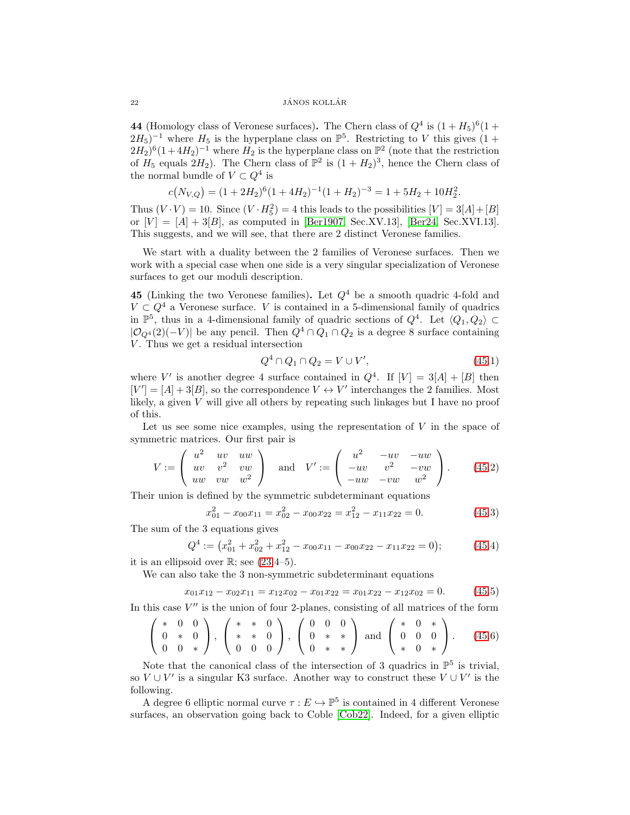44 (Homology class of Veronese surfaces). The Chern class of  $Q^4$  is  $(1 + H_5)^6 (1 +$  $(2H_5)^{-1}$  where  $H_5$  is the hyperplane class on  $\mathbb{P}^5$ . Restricting to V this gives  $(1 +$  $(2H_2)^6(1+4H_2)^{-1}$  where  $H_2$  is the hyperplane class on  $\mathbb{P}^2$  (note that the restriction of  $H_5$  equals  $2H_2$ ). The Chern class of  $\mathbb{P}^2$  is  $(1 + H_2)^3$ , hence the Chern class of the normal bundle of  $V \subset Q^4$  is

$$
c(N_{V,Q}) = (1 + 2H_2)^6 (1 + 4H_2)^{-1} (1 + H_2)^{-3} = 1 + 5H_2 + 10H_2^2.
$$

Thus  $(V \cdot V) = 10$ . Since  $(V \cdot H_5^2) = 4$  this leads to the possibilities  $[V] = 3[A] + [B]$ or  $[V] = [A] + 3[B]$ , as computed in [\[Ber1907,](#page-35-5) Sec.XV.13], [\[Ber24,](#page-35-6) Sec.XVI.13]. This suggests, and we will see, that there are 2 distinct Veronese families.

We start with a duality between the 2 families of Veronese surfaces. Then we work with a special case when one side is a very singular specialization of Veronese surfaces to get our moduli description.

<span id="page-21-0"></span>45 (Linking the two Veronese families). Let  $Q<sup>4</sup>$  be a smooth quadric 4-fold and  $V \subset Q^4$  a Veronese surface. V is contained in a 5-dimensional family of quadrics in  $\mathbb{P}^5$ , thus in a 4-dimensional family of quadric sections of  $Q^4$ . Let  $\langle Q_1, Q_2 \rangle \subset$  $|\mathcal{O}_{Q^4}(2)(-V)|$  be any pencil. Then  $Q^4 \cap Q_1 \cap Q_2$  is a degree 8 surface containing  $V$ . Thus we get a residual intersection

$$
Q^4 \cap Q_1 \cap Q_2 = V \cup V', \tag{45.1}
$$

where V' is another degree 4 surface contained in  $Q^4$ . If  $[V] = 3[A] + [B]$  then  $[V'] = [A] + 3[B]$ , so the correspondence  $V \leftrightarrow V'$  interchanges the 2 families. Most likely, a given  $V$  will give all others by repeating such linkages but I have no proof of this.

Let us see some nice examples, using the representation of  $V$  in the space of symmetric matrices. Our first pair is

$$
V := \begin{pmatrix} u^2 & uv & uw \\ uv & v^2 & vw \\ uw & vw & w^2 \end{pmatrix} \text{ and } V' := \begin{pmatrix} u^2 & -uv & -uw \\ -uv & v^2 & -vw \\ -uw & -vw & w^2 \end{pmatrix}.
$$
 (45.2)

Their union is defined by the symmetric subdeterminant equations

$$
x_{01}^2 - x_{00}x_{11} = x_{02}^2 - x_{00}x_{22} = x_{12}^2 - x_{11}x_{22} = 0.
$$
 (45.3)

The sum of the 3 equations gives

$$
Q^4 := \left(x_{01}^2 + x_{02}^2 + x_{12}^2 - x_{00}x_{11} - x_{00}x_{22} - x_{11}x_{22} = 0\right);
$$
 (45.4)

it is an ellipsoid over  $\mathbb{R}$ ; see [\(23.](#page-9-0)4–5).

We can also take the 3 non-symmetric subdeterminant equations

$$
x_{01}x_{12} - x_{02}x_{11} = x_{12}x_{02} - x_{01}x_{22} = x_{01}x_{22} - x_{12}x_{02} = 0. \tag{45.5}
$$

In this case  $V''$  is the union of four 2-planes, consisting of all matrices of the form

$$
\left(\begin{array}{ccc} * & 0 & 0 \\ 0 & * & 0 \\ 0 & 0 & * \end{array}\right), \ \left(\begin{array}{ccc} * & * & 0 \\ * & * & 0 \\ 0 & 0 & 0 \end{array}\right), \ \left(\begin{array}{ccc} 0 & 0 & 0 \\ 0 & * & * \\ 0 & * & * \end{array}\right) \ \text{and} \ \left(\begin{array}{ccc} * & 0 & * \\ 0 & 0 & 0 \\ * & 0 & * \end{array}\right). \tag{45.6}
$$

Note that the canonical class of the intersection of 3 quadrics in  $\mathbb{P}^5$  is trivial, so  $V \cup V'$  is a singular K3 surface. Another way to construct these  $V \cup V'$  is the following.

A degree 6 elliptic normal curve  $\tau : E \to \mathbb{P}^5$  is contained in 4 different Veronese surfaces, an observation going back to Coble [\[Cob22\]](#page-35-7). Indeed, for a given elliptic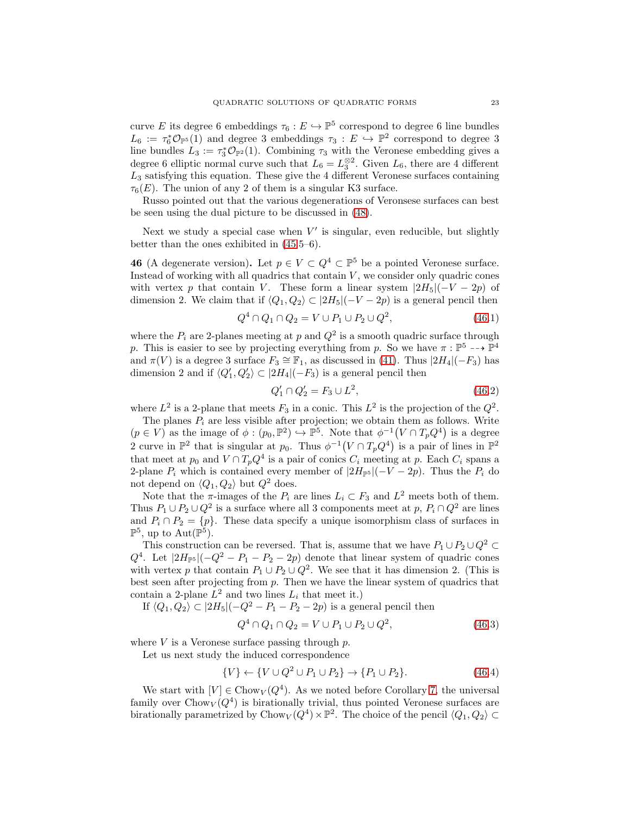curve E its degree 6 embeddings  $\tau_6 : E \hookrightarrow \mathbb{P}^5$  correspond to degree 6 line bundles  $L_6 := \tau_6^* \mathcal{O}_{\mathbb{P}^5}(1)$  and degree 3 embeddings  $\tau_3 : E \hookrightarrow \mathbb{P}^2$  correspond to degree 3 line bundles  $L_3 := \tau_3^* \mathcal{O}_{\mathbb{P}^2}(1)$ . Combining  $\tau_3$  with the Veronese embedding gives a degree 6 elliptic normal curve such that  $L_6 = L_3^{\otimes 2}$ . Given  $L_6$ , there are 4 different  $L_3$  satisfying this equation. These give the 4 different Veronese surfaces containing  $\tau_6(E)$ . The union of any 2 of them is a singular K3 surface.

Russo pointed out that the various degenerations of Veronsese surfaces can best be seen using the dual picture to be discussed in [\(48\)](#page-23-0).

Next we study a special case when  $V'$  is singular, even reducible, but slightly better than the ones exhibited in [\(45.](#page-21-0)5–6).

<span id="page-22-0"></span>**46** (A degenerate version). Let  $p \in V \subset Q^4 \subset \mathbb{P}^5$  be a pointed Veronese surface. Instead of working with all quadrics that contain  $V$ , we consider only quadric cones with vertex p that contain V. These form a linear system  $|2H_5|(-V-2p)$  of dimension 2. We claim that if  $\langle Q_1, Q_2 \rangle \subset |2H_5|(-V - 2p)$  is a general pencil then

$$
Q^{4} \cap Q_{1} \cap Q_{2} = V \cup P_{1} \cup P_{2} \cup Q^{2}, \qquad (46.1)
$$

where the  $P_i$  are 2-planes meeting at p and  $Q^2$  is a smooth quadric surface through p. This is easier to see by projecting everything from p. So we have  $\pi : \mathbb{P}^5 \dashrightarrow \mathbb{P}^4$ and  $\pi(V)$  is a degree 3 surface  $F_3 \cong \mathbb{F}_1$ , as discussed in [\(41\)](#page-19-0). Thus  $|2H_4|(-F_3)$  has dimension 2 and if  $\langle Q'_1, Q'_2 \rangle \subset |2H_4|(-F_3)$  is a general pencil then

$$
Q_1' \cap Q_2' = F_3 \cup L^2,\tag{46.2}
$$

where  $L^2$  is a 2-plane that meets  $F_3$  in a conic. This  $L^2$  is the projection of the  $Q^2$ .

The planes  $P_i$  are less visible after projection; we obtain them as follows. Write  $(p \in V)$  as the image of  $\phi : (p_0, \mathbb{P}^2) \hookrightarrow \mathbb{P}^5$ . Note that  $\phi^{-1}(V \cap T_p Q^4)$  is a degree 2 curve in  $\mathbb{P}^2$  that is singular at  $p_0$ . Thus  $\phi^{-1}(V \cap T_p Q^4)$  is a pair of lines in  $\mathbb{P}^2$ that meet at  $p_0$  and  $V \cap T_pQ^4$  is a pair of conics  $C_i$  meeting at p. Each  $C_i$  spans a 2-plane  $P_i$  which is contained every member of  $|2H_{\mathbb{P}^5}|(-V - 2p)$ . Thus the  $P_i$  do not depend on  $\langle Q_1, Q_2 \rangle$  but  $Q^2$  does.

Note that the  $\pi$ -images of the  $P_i$  are lines  $L_i \subset F_3$  and  $L^2$  meets both of them. Thus  $P_1 \cup P_2 \cup Q^2$  is a surface where all 3 components meet at  $p, P_i \cap Q^2$  are lines and  $P_i \cap P_2 = \{p\}$ . These data specify a unique isomorphism class of surfaces in  $\mathbb{P}^5$ , up to  $\text{Aut}(\mathbb{P}^5)$ .

This construction can be reversed. That is, assume that we have  $P_1 \cup P_2 \cup Q^2 \subset$  $Q^4$ . Let  $|2H_{\mathbb{P}^5}|(-Q^2 - P_1 - P_2 - 2p)$  denote that linear system of quadric cones with vertex p that contain  $P_1 \cup P_2 \cup Q^2$ . We see that it has dimension 2. (This is best seen after projecting from  $p$ . Then we have the linear system of quadrics that contain a 2-plane  $L^2$  and two lines  $L_i$  that meet it.)

If  $\langle Q_1, Q_2 \rangle \subset |2H_5|(-Q^2 - P_1 - P_2 - 2p)$  is a general pencil then

$$
Q^{4} \cap Q_{1} \cap Q_{2} = V \cup P_{1} \cup P_{2} \cup Q^{2}, \qquad (46.3)
$$

where  $V$  is a Veronese surface passing through  $p$ .

Let us next study the induced correspondence

$$
\{V\} \leftarrow \{V \cup Q^2 \cup P_1 \cup P_2\} \rightarrow \{P_1 \cup P_2\}.
$$
\n(46.4)

We start with  $[V] \in Chow_V(Q^4)$ . As we noted before Corollary [7,](#page-3-1) the universal family over  $Chow_V(Q^4)$  is birationally trivial, thus pointed Veronese surfaces are birationally parametrized by Chow $_V(Q^4) \times \mathbb{P}^2$ . The choice of the pencil  $\langle Q_1, Q_2 \rangle \subset$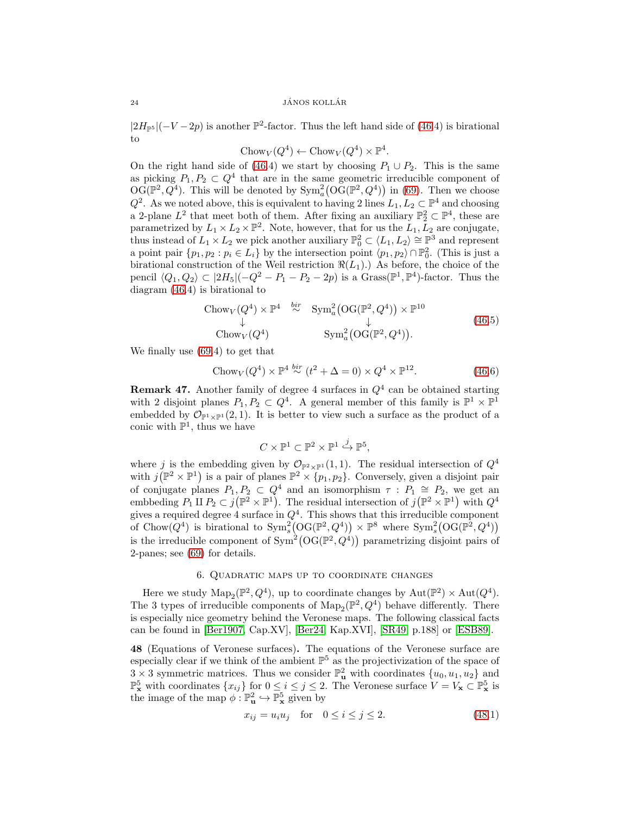$|2H_{\mathbb{P}^5}|(-V-2p)$  is another  $\mathbb{P}^2$ -factor. Thus the left hand side of [\(46.](#page-22-0)4) is birational to

$$
Chow_V(Q^4) \leftarrow Chow_V(Q^4) \times \mathbb{P}^4.
$$

On the right hand side of [\(46.](#page-22-0)4) we start by choosing  $P_1 \cup P_2$ . This is the same as picking  $P_1, P_2 \subset Q^4$  that are in the same geometric irreducible component of  $\mathrm{OG}(\mathbb{P}^2, Q^4)$ . This will be denoted by  $\mathrm{Sym}_a^2(\mathrm{OG}(\mathbb{P}^2, Q^4))$  in [\(69\)](#page-33-1). Then we choose  $Q^2$ . As we noted above, this is equivalent to having 2 lines  $L_1, L_2 \subset \mathbb{P}^4$  and choosing a 2-plane  $L^2$  that meet both of them. After fixing an auxiliary  $\mathbb{P}_2^2 \subset \mathbb{P}^4$ , these are parametrized by  $L_1 \times L_2 \times \mathbb{P}^2$ . Note, however, that for us the  $L_1, L_2$  are conjugate, thus instead of  $L_1 \times L_2$  we pick another auxiliary  $\mathbb{P}_0^2 \subset \langle L_1, L_2 \rangle \cong \mathbb{P}^3$  and represent a point pair  $\{p_1, p_2 : p_i \in L_i\}$  by the intersection point  $\langle p_1, p_2 \rangle \cap \mathbb{P}_0^2$ . (This is just a birational construction of the Weil restriction  $\Re(L_1)$ .) As before, the choice of the pencil  $\langle Q_1, Q_2 \rangle \subset |2H_5|(-Q^2 - P_1 - P_2 - 2p)$  is a Grass( $\mathbb{P}^1$ ,  $\mathbb{P}^4$ )-factor. Thus the diagram [\(46.](#page-22-0)4) is birational to

Chow<sub>V</sub>(
$$
Q^4
$$
) ×  $\mathbb{P}^4$   $\stackrel{bir}{\sim}$  Sym<sup>2</sup><sub>a</sub>(OG( $\mathbb{P}^2, Q^4$ )) ×  $\mathbb{P}^{10}$   
\n $\downarrow$   
\nChow<sub>V</sub>( $Q^4$ ) Sym<sup>2</sup><sub>a</sub>(OG( $\mathbb{P}^2, Q^4$ )). (46.5)

We finally use [\(69.](#page-33-1)4) to get that

$$
Chow_V(Q^4) \times \mathbb{P}^4 \stackrel{bir}{\sim} (t^2 + \Delta = 0) \times Q^4 \times \mathbb{P}^{12}.
$$
 (46.6)

<span id="page-23-1"></span>**Remark 47.** Another family of degree 4 surfaces in  $Q<sup>4</sup>$  can be obtained starting with 2 disjoint planes  $P_1, P_2 \subset Q^4$ . A general member of this family is  $\mathbb{P}^1 \times \mathbb{P}^1$ embedded by  $\mathcal{O}_{\mathbb{P}^1\times\mathbb{P}^1}(2,1)$ . It is better to view such a surface as the product of a conic with  $\mathbb{P}^1$ , thus we have

$$
C \times \mathbb{P}^1 \subset \mathbb{P}^2 \times \mathbb{P}^1 \xrightarrow{j} \mathbb{P}^5,
$$

where j is the embedding given by  $\mathcal{O}_{\mathbb{P}^2\times\mathbb{P}^1}(1,1)$ . The residual intersection of  $Q^4$ with  $j(\mathbb{P}^2 \times \mathbb{P}^1)$  is a pair of planes  $\mathbb{P}^2 \times \{p_1, p_2\}$ . Conversely, given a disjoint pair of conjugate planes  $P_1, P_2 \subset Q^4$  and an isomorphism  $\tau : P_1 \cong P_2$ , we get an embbeding  $P_1 \amalg P_2 \subset j(\mathbb{P}^2 \times \mathbb{P}^1)$ . The residual intersection of  $j(\mathbb{P}^2 \times \mathbb{P}^1)$  with  $Q^4$ gives a required degree 4 surface in  $Q<sup>4</sup>$ . This shows that this irreducible component of Chow $(Q^4)$  is birational to  $\text{Sym}_s^2(\text{OG}(\mathbb{P}^2, Q^4)) \times \mathbb{P}^8$  where  $\text{Sym}_s^2(\text{OG}(\mathbb{P}^2, Q^4))$ is the irreducible component of  $Sym^2(\mathrm{OG}(\mathbb{P}^2, Q^4))$  parametrizing disjoint pairs of 2-panes; see [\(69\)](#page-33-1) for details.

## 6. Quadratic maps up to coordinate changes

<span id="page-23-2"></span>Here we study  $\text{Map}_2(\mathbb{P}^2, Q^4)$ , up to coordinate changes by  $\text{Aut}(\mathbb{P}^2) \times \text{Aut}(Q^4)$ . The 3 types of irreducible components of  $\text{Map}_2(\mathbb{P}^2, Q^4)$  behave differently. There is especially nice geometry behind the Veronese maps. The following classical facts can be found in [\[Ber1907,](#page-35-5) Cap.XV], [\[Ber24,](#page-35-6) Kap.XVI], [\[SR49,](#page-36-8) p.188] or [\[ESB89\]](#page-35-8).

<span id="page-23-0"></span>48 (Equations of Veronese surfaces). The equations of the Veronese surface are especially clear if we think of the ambient  $\mathbb{P}^5$  as the projectivization of the space of  $3 \times 3$  symmetric matrices. Thus we consider  $\mathbb{P}^2_{\mathbf{u}}$  with coordinates  $\{u_0, u_1, u_2\}$  and  $\mathbb{P}_{\mathbf{x}}^5$  with coordinates  $\{x_{ij}\}$  for  $0 \le i \le j \le 2$ . The Veronese surface  $V = V_{\mathbf{x}} \subset \mathbb{P}_{\mathbf{x}}^5$  is the image of the map  $\phi : \mathbb{P}^2_{\mathbf{u}} \hookrightarrow \mathbb{P}^5_{\mathbf{x}}$  given by

$$
x_{ij} = u_i u_j \quad \text{for} \quad 0 \le i \le j \le 2. \tag{48.1}
$$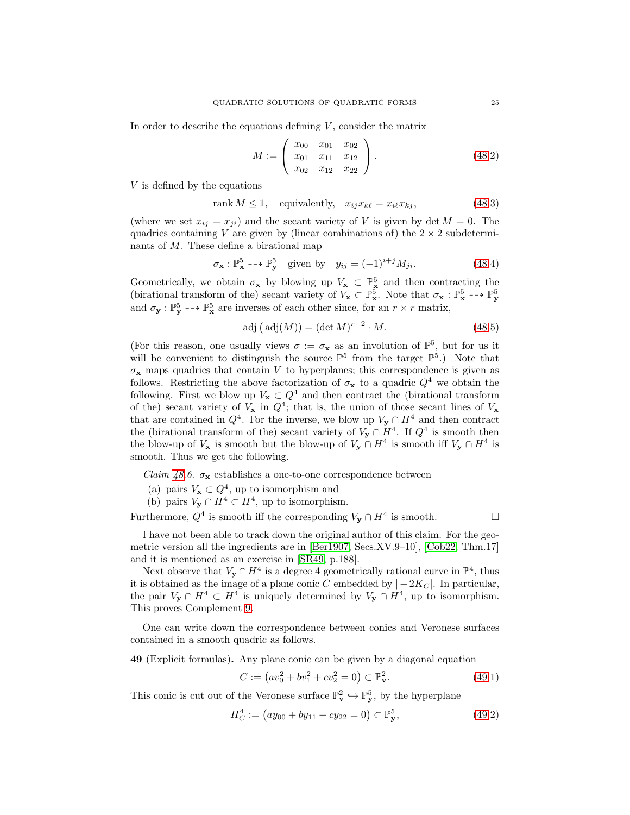In order to describe the equations defining  $V$ , consider the matrix

$$
M := \left(\begin{array}{ccc} x_{00} & x_{01} & x_{02} \\ x_{01} & x_{11} & x_{12} \\ x_{02} & x_{12} & x_{22} \end{array}\right). \tag{48.2}
$$

V is defined by the equations

$$
rank M \le 1, \quad \text{equivalently,} \quad x_{ij} x_{k\ell} = x_{i\ell} x_{kj}, \tag{48.3}
$$

(where we set  $x_{ij} = x_{ji}$ ) and the secant variety of V is given by det  $M = 0$ . The quadrics containing V are given by (linear combinations of) the  $2 \times 2$  subdeterminants of M. These define a birational map

$$
\sigma_{\mathbf{x}} : \mathbb{P}_{\mathbf{x}}^5 \dashrightarrow \mathbb{P}_{\mathbf{y}}^5 \quad \text{given by} \quad y_{ij} = (-1)^{i+j} M_{ji}. \tag{48.4}
$$

Geometrically, we obtain  $\sigma_x$  by blowing up  $V_x \subset \mathbb{P}^5$  and then contracting the (birational transform of the) secant variety of  $V_{\mathbf{x}} \subset \mathbb{P}_{\mathbf{x}}^5$ . Note that  $\sigma_{\mathbf{x}} : \mathbb{P}_{\mathbf{x}}^5 \dashrightarrow \mathbb{P}_{\mathbf{y}}^5$ and  $\sigma_y : \mathbb{P}^5_y \dashrightarrow \mathbb{P}^5_x$  are inverses of each other since, for an  $r \times r$  matrix,

$$
adj (adj(M)) = (det M)^{r-2} \cdot M.
$$
 (48.5)

(For this reason, one usually views  $\sigma := \sigma_{\mathbf{x}}$  as an involution of  $\mathbb{P}^5$ , but for us it will be convenient to distinguish the source  $\mathbb{P}^5$  from the target  $\mathbb{P}^5$ .) Note that  $\sigma_{\mathbf{x}}$  maps quadrics that contain V to hyperplanes; this correspondence is given as follows. Restricting the above factorization of  $\sigma_x$  to a quadric  $Q^4$  we obtain the following. First we blow up  $V_x \,\subset Q^4$  and then contract the (birational transform of the) secant variety of  $V_x$  in  $Q^4$ ; that is, the union of those secant lines of  $V_x$ that are contained in  $Q^4$ . For the inverse, we blow up  $V_y \cap H^4$  and then contract the (birational transform of the) secant variety of  $V_y \cap H^4$ . If  $Q^4$  is smooth then the blow-up of  $V_x$  is smooth but the blow-up of  $V_y \cap H^4$  is smooth iff  $V_y \cap H^4$  is smooth. Thus we get the following.

*Claim [48.](#page-23-0)6.*  $\sigma_{\mathbf{x}}$  establishes a one-to-one correspondence between

- (a) pairs  $V_x \,\subset Q^4$ , up to isomorphism and
- (b) pairs  $V_y \cap H^4 \subset H^4$ , up to isomorphism.

Furthermore,  $Q^4$  is smooth iff the corresponding  $V_y \cap H^4$  is smooth.

I have not been able to track down the original author of this claim. For the geometric version all the ingredients are in [\[Ber1907,](#page-35-5) Secs.XV.9–10], [\[Cob22,](#page-35-7) Thm.17] and it is mentioned as an exercise in [\[SR49,](#page-36-8) p.188].

Next observe that  $V_y \cap H^4$  is a degree 4 geometrically rational curve in  $\mathbb{P}^4$ , thus it is obtained as the image of a plane conic C embedded by  $|-2K_C|$ . In particular, the pair  $V_y \cap H^4 \subset H^4$  is uniquely determined by  $V_y \cap H^4$ , up to isomorphism. This proves Complement [9.](#page-3-2)

One can write down the correspondence between conics and Veronese surfaces contained in a smooth quadric as follows.

<span id="page-24-0"></span>49 (Explicit formulas). Any plane conic can be given by a diagonal equation

$$
C := \left( av_0^2 + bv_1^2 + cv_2^2 = 0 \right) \subset \mathbb{P}_{\mathbf{v}}^2. \tag{49.1}
$$

This conic is cut out of the Veronese surface  $\mathbb{P}^2_{\mathbf{v}} \hookrightarrow \mathbb{P}^5_{\mathbf{y}}$ , by the hyperplane

$$
H_C^4 := (ay_{00} + by_{11} + cy_{22} = 0) \subset \mathbb{P}^5_{\mathbf{y}},\tag{49.2}
$$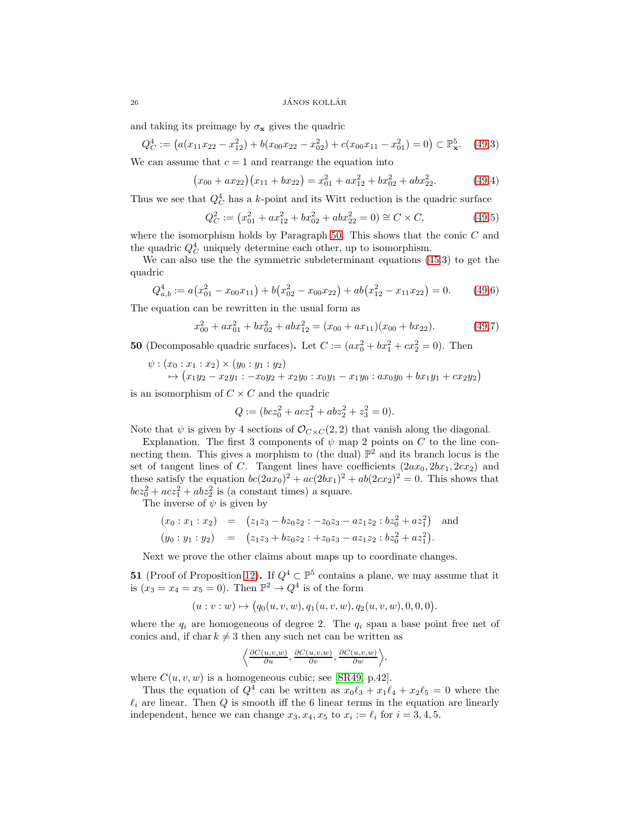and taking its preimage by  $\sigma_{\mathbf{x}}$  gives the quadric

$$
Q_C^4 := (a(x_{11}x_{22} - x_{12}^2) + b(x_{00}x_{22} - x_{02}^2) + c(x_{00}x_{11} - x_{01}^2) = 0) \subset \mathbb{P}_{\mathbf{x}}^5. \tag{49.3}
$$

We can assume that  $c = 1$  and rearrange the equation into

$$
(x_{00} + ax_{22})(x_{11} + bx_{22}) = x_{01}^2 + ax_{12}^2 + bx_{02}^2 + abx_{22}^2.
$$
 (49.4)

Thus we see that  $Q_C^4$  has a k-point and its Witt reduction is the quadric surface

$$
Q_C^2 := (x_{01}^2 + ax_{12}^2 + bx_{02}^2 + abx_{22}^2 = 0) \cong C \times C,
$$
 (49.5)

where the isomorphism holds by Paragraph  $50$ . This shows that the conic  $C$  and the quadric  $Q_C^4$  uniquely determine each other, up to isomorphism.

We can also use the the symmetric subdeterminant equations [\(45.](#page-21-0)3) to get the quadric

$$
Q_{a,b}^4 := a(x_{01}^2 - x_{00}x_{11}) + b(x_{02}^2 - x_{00}x_{22}) + ab(x_{12}^2 - x_{11}x_{22}) = 0.
$$
 (49.6)

The equation can be rewritten in the usual form as

$$
x_{00}^2 + ax_{01}^2 + bx_{02}^2 + abx_{12}^2 = (x_{00} + ax_{11})(x_{00} + bx_{22}).
$$
 (49.7)

<span id="page-25-0"></span>**50** (Decomposable quadric surfaces). Let  $C := (ax_0^2 + bx_1^2 + cx_2^2 = 0)$ . Then

$$
\psi : (x_0 : x_1 : x_2) \times (y_0 : y_1 : y_2) \n\mapsto (x_1y_2 - x_2y_1 : -x_0y_2 + x_2y_0 : x_0y_1 - x_1y_0 : ax_0y_0 + bx_1y_1 + cx_2y_2)
$$

is an isomorphism of  $C \times C$  and the quadric

$$
Q := (bcz_0^2 + acz_1^2 + abz_2^2 + z_3^2 = 0).
$$

Note that  $\psi$  is given by 4 sections of  $\mathcal{O}_{C\times C}(2,2)$  that vanish along the diagonal.

Explanation. The first 3 components of  $\psi$  map 2 points on C to the line connecting them. This gives a morphism to (the dual)  $\mathbb{P}^2$  and its branch locus is the set of tangent lines of C. Tangent lines have coefficients  $(2ax_0, 2bx_1, 2cx_2)$  and these satisfy the equation  $bc(2ax_0)^2 + ac(2bx_1)^2 + ab(2cx_2)^2 = 0$ . This shows that  $bcz_0^2 + acz_1^2 + abz_2^2$  is (a constant times) a square.

The inverse of  $\psi$  is given by

$$
(x_0:x_1:x_2) = (z_1z_3 - bz_0z_2 : -z_0z_3 - az_1z_2 : bz_0^2 + az_1^2)
$$
 and  

$$
(y_0:y_1:y_2) = (z_1z_3 + bz_0z_2 : +z_0z_3 - az_1z_2 : bz_0^2 + az_1^2).
$$

Next we prove the other claims about maps up to coordinate changes.

51 (Proof of Proposition [12\)](#page-4-2). If  $Q^4 \subset \mathbb{P}^5$  contains a plane, we may assume that it is  $(x_3 = x_4 = x_5 = 0)$ . Then  $\mathbb{P}^2 \to Q^4$  is of the form

 $(u : v : w) \mapsto (q_0(u, v, w), q_1(u, v, w), q_2(u, v, w), 0, 0, 0).$ 

where the  $q_i$  are homogeneous of degree 2. The  $q_i$  span a base point free net of conics and, if char  $k \neq 3$  then any such net can be written as

$$
\left\langle \frac{\partial C(u,v,w)}{\partial u}, \frac{\partial C(u,v,w)}{\partial v}, \frac{\partial C(u,v,w)}{\partial w} \right\rangle,
$$

where  $C(u, v, w)$  is a homogeneous cubic; see [\[SR49,](#page-36-8) p.42].

Thus the equation of  $Q^4$  can be written as  $x_0 \ell_3 + x_1 \ell_4 + x_2 \ell_5 = 0$  where the  $\ell_i$  are linear. Then Q is smooth iff the 6 linear terms in the equation are linearly independent, hence we can change  $x_3, x_4, x_5$  to  $x_i := \ell_i$  for  $i = 3, 4, 5$ .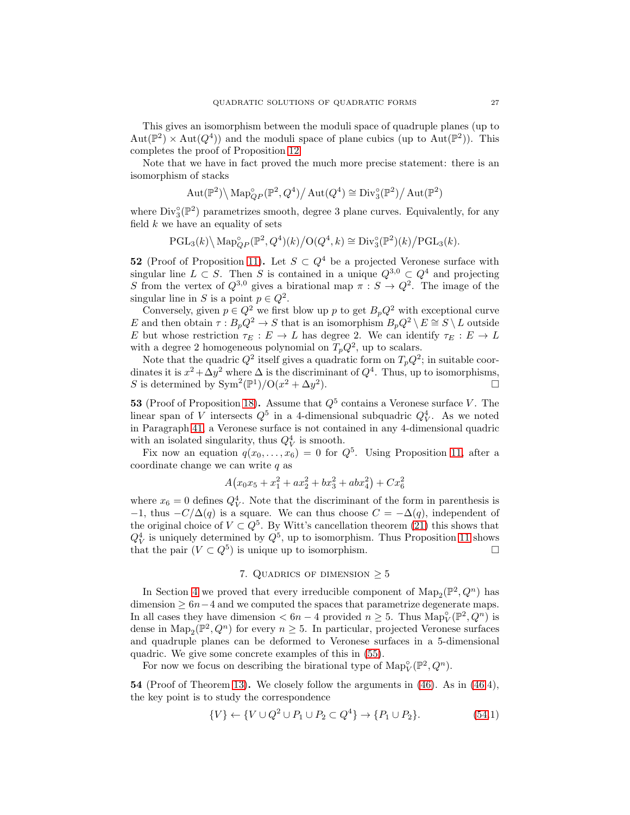This gives an isomorphism between the moduli space of quadruple planes (up to  $Aut(\mathbb{P}^2) \times Aut(Q^4))$  and the moduli space of plane cubics (up to  $Aut(\mathbb{P}^2)$ ). This completes the proof of Proposition [12.](#page-4-2)

Note that we have in fact proved the much more precise statement: there is an isomorphism of stacks

$$
\operatorname{Aut}(\mathbb{P}^2) \backslash \operatorname{Map}^{\circ}_{QP}(\mathbb{P}^2, Q^4) / \operatorname{Aut}(Q^4) \cong \operatorname{Div}^{\circ}_{3}(\mathbb{P}^2) / \operatorname{Aut}(\mathbb{P}^2)
$$

where  $\text{Div}_{3}^{\circ}(\mathbb{P}^{2})$  parametrizes smooth, degree 3 plane curves. Equivalently, for any field  $k$  we have an equality of sets

$$
\operatorname{PGL}_3(k)\backslash \operatorname{Map}_{QP}^{\circ}(\mathbb{P}^2, Q^4)(k)/\mathrm{O}(Q^4, k) \cong \operatorname{Div}_3^{\circ}(\mathbb{P}^2)(k)/\mathrm{PGL}_3(k).
$$

52 (Proof of Proposition [11\)](#page-4-3). Let  $S \subset Q^4$  be a projected Veronese surface with singular line  $L \subset S$ . Then S is contained in a unique  $Q^{3,0} \subset Q^4$  and projecting S from the vertex of  $Q^{3,0}$  gives a birational map  $\pi : S \to Q^2$ . The image of the singular line in S is a point  $p \in Q^2$ .

Conversely, given  $p \in Q^2$  we first blow up p to get  $B_pQ^2$  with exceptional curve E and then obtain  $\tau : B_pQ^2 \to S$  that is an isomorphism  $B_pQ^2 \setminus E \cong S \setminus L$  outside E but whose restriction  $\tau_E : E \to L$  has degree 2. We can identify  $\tau_E : E \to L$ with a degree 2 homogeneous polynomial on  $T_pQ^2$ , up to scalars.

Note that the quadric  $Q^2$  itself gives a quadratic form on  $T_pQ^2$ ; in suitable coordinates it is  $x^2 + \Delta y^2$  where  $\Delta$  is the discriminant of  $Q^4$ . Thus, up to isomorphisms, S is determined by  $\text{Sym}^2(\mathbb{P}^1)/\text{O}(x^2+\Delta y^2)$ ).  $\qquad \qquad \Box$ 

<span id="page-26-1"></span>**53** (Proof of Proposition [18\)](#page-6-2). Assume that  $Q^5$  contains a Veronese surface V. The linear span of V intersects  $Q^5$  in a 4-dimensional subquadric  $Q_V^4$ . As we noted in Paragraph [41,](#page-19-0) a Veronese surface is not contained in any 4-dimensional quadric with an isolated singularity, thus  $Q_V^4$  is smooth.

Fix now an equation  $q(x_0, \ldots, x_6) = 0$  for  $Q^5$ . Using Proposition [11,](#page-4-3) after a coordinate change we can write  $q$  as

$$
A(x_0x_5 + x_1^2 + ax_2^2 + bx_3^2 + abx_4^2) + Cx_6^2
$$

where  $x_6 = 0$  defines  $Q_V^4$ . Note that the discriminant of the form in parenthesis is  $-1$ , thus  $-C/\Delta(q)$  is a square. We can thus choose  $C = -\Delta(q)$ , independent of the original choice of  $V \subset Q^5$ . By Witt's cancellation theorem [\(21\)](#page-7-0) this shows that  $Q_V^4$  is uniquely determined by  $Q^5$ , up to isomorphism. Thus Proposition [11](#page-4-3) shows that the pair  $(V \subset Q^5)$  is unique up to isomorphism.

## 7. QUADRICS OF DIMENSION  $\geq 5$

<span id="page-26-0"></span>In Section [4](#page-17-1) we proved that every irreducible component of  $\text{Map}_2(\mathbb{P}^2, Q^n)$  has dimension  $≥ 6n-4$  and we computed the spaces that parametrize degenerate maps. In all cases they have dimension  $< 6n - 4$  provided  $n \ge 5$ . Thus  $\text{Map}_V^{\circ}(\mathbb{P}^2, Q^n)$  is dense in  $\text{Map}_2(\mathbb{P}^2, Q^n)$  for every  $n \geq 5$ . In particular, projected Veronese surfaces and quadruple planes can be deformed to Veronese surfaces in a 5-dimensional quadric. We give some concrete examples of this in [\(55\)](#page-27-0).

For now we focus on describing the birational type of  $\text{Map}_V^{\circ}(\mathbb{P}^2, Q^n)$ .

<span id="page-26-2"></span>54 (Proof of Theorem [13\)](#page-4-0). We closely follow the arguments in [\(46\)](#page-22-0). As in [\(46.](#page-22-0)4), the key point is to study the correspondence

$$
\{V\} \leftarrow \{V \cup Q^2 \cup P_1 \cup P_2 \subset Q^4\} \to \{P_1 \cup P_2\}.
$$
\n(54.1)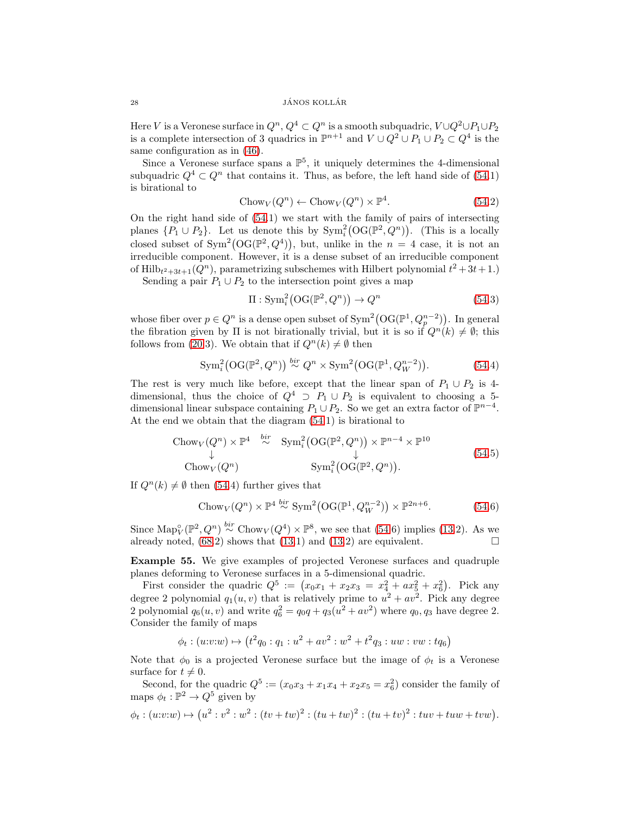Here V is a Veronese surface in  $Q^n$ ,  $Q^4 \subset Q^n$  is a smooth subquadric,  $V \cup Q^2 \cup P_1 \cup P_2$ is a complete intersection of 3 quadrics in  $\mathbb{P}^{n+1}$  and  $V \cup Q^2 \cup P_1 \cup P_2 \subset Q^4$  is the same configuration as in [\(46\)](#page-22-0).

Since a Veronese surface spans a  $\mathbb{P}^5$ , it uniquely determines the 4-dimensional subquadric  $Q^4 \subset Q^n$  that contains it. Thus, as before, the left hand side of [\(54.](#page-26-2)1) is birational to

$$
Chow_V(Q^n) \leftarrow Chow_V(Q^n) \times \mathbb{P}^4. \tag{54.2}
$$

On the right hand side of [\(54.](#page-26-2)1) we start with the family of pairs of intersecting planes  $\{P_1 \cup P_2\}$ . Let us denote this by  $Sym_i^2(\text{OG}(\mathbb{P}^2, Q^n))$ . (This is a locally closed subset of  $Sym^2(OG(\mathbb{P}^2, Q^4))$ , but, unlike in the  $n = 4$  case, it is not an irreducible component. However, it is a dense subset of an irreducible component of Hilb $t^2+3t+1$  ( $Q^n$ ), parametrizing subschemes with Hilbert polynomial  $t^2+3t+1$ .)

Sending a pair  $P_1 \cup P_2$  to the intersection point gives a map

$$
\Pi : \operatorname{Sym}^2_i(\mathcal{O}(\mathbb{P}^2, Q^n)) \to Q^n \tag{54.3}
$$

whose fiber over  $p \in Q^n$  is a dense open subset of  $\text{Sym}^2(\text{OG}(\mathbb{P}^1, Q_p^{n-2}))$ . In general the fibration given by  $\Pi$  is not birationally trivial, but it is so if  $Q^n(k) \neq \emptyset$ ; this follows from [\(20.](#page-6-0)3). We obtain that if  $Q^n(k) \neq \emptyset$  then

$$
\operatorname{Sym}^2_{i}\big(\mathrm{OG}(\mathbb{P}^2, Q^n)\big) \stackrel{\text{bir}}{\sim} Q^n \times \operatorname{Sym}^2\big(\mathrm{OG}(\mathbb{P}^1, Q_W^{n-2})\big). \tag{54.4}
$$

The rest is very much like before, except that the linear span of  $P_1 \cup P_2$  is 4dimensional, thus the choice of  $Q^4 \supset P_1 \cup P_2$  is equivalent to choosing a 5dimensional linear subspace containing  $P_1 \cup P_2$ . So we get an extra factor of  $\mathbb{P}^{n-4}$ . At the end we obtain that the diagram [\(54.](#page-26-2)1) is birational to

Chow<sub>V</sub>(
$$
Q^n
$$
) ×  $\mathbb{P}^4$   $\stackrel{bir}{\sim}$  Sym<sup>2</sup><sub>i</sub>(OG( $\mathbb{P}^2, Q^n$ )) ×  $\mathbb{P}^{n-4}$  ×  $\mathbb{P}^{10}$   
\n $\downarrow$   
\nChow<sub>V</sub>( $Q^n$ ) \n $\text{Sym}_i^2(\text{OG}(\mathbb{P}^2, Q^n)).$  (54.5)

If  $Q^n(k) \neq \emptyset$  then [\(54.](#page-26-2)4) further gives that

$$
Chow_V(Q^n) \times \mathbb{P}^4 \stackrel{bir}{\sim} \text{Sym}^2(\text{OG}(\mathbb{P}^1, Q_W^{n-2})) \times \mathbb{P}^{2n+6}.
$$
 (54.6)

Since  $\text{Map}_{V}^{\circ}(\mathbb{P}^2, Q^n) \stackrel{bir}{\sim} \text{Chow}_{V}(Q^4) \times \mathbb{P}^8$ , we see that [\(54.](#page-26-2)6) implies [\(13.](#page-4-0)2). As we already noted,  $(68.2)$  shows that  $(13.1)$  and  $(13.2)$  are equivalent.

<span id="page-27-0"></span>Example 55. We give examples of projected Veronese surfaces and quadruple planes deforming to Veronese surfaces in a 5-dimensional quadric.

First consider the quadric  $Q^5 := (x_0x_1 + x_2x_3 = x_4^2 + ax_5^2 + x_6^2)$ . Pick any degree 2 polynomial  $q_1(u, v)$  that is relatively prime to  $u^2 + av^2$ . Pick any degree 2 polynomial  $q_6(u, v)$  and write  $q_6^2 = q_0 q + q_3(u^2 + av^2)$  where  $q_0, q_3$  have degree 2. Consider the family of maps

$$
\phi_t: (u:v:w) \mapsto (t^2q_0:q_1:u^2 + av^2: w^2 + t^2q_3: uw: vw: tq_6)
$$

Note that  $\phi_0$  is a projected Veronese surface but the image of  $\phi_t$  is a Veronese surface for  $t \neq 0$ .

Second, for the quadric  $Q^5 := (x_0x_3 + x_1x_4 + x_2x_5 = x_6^2)$  consider the family of maps  $\phi_t : \mathbb{P}^2 \to Q^5$  given by

$$
\phi_t: (u:v:w) \mapsto (u^2:v^2:w^2:(tv+tw)^2:(tu+tw)^2:(tu+tv)^2:twv+twv+tvw).
$$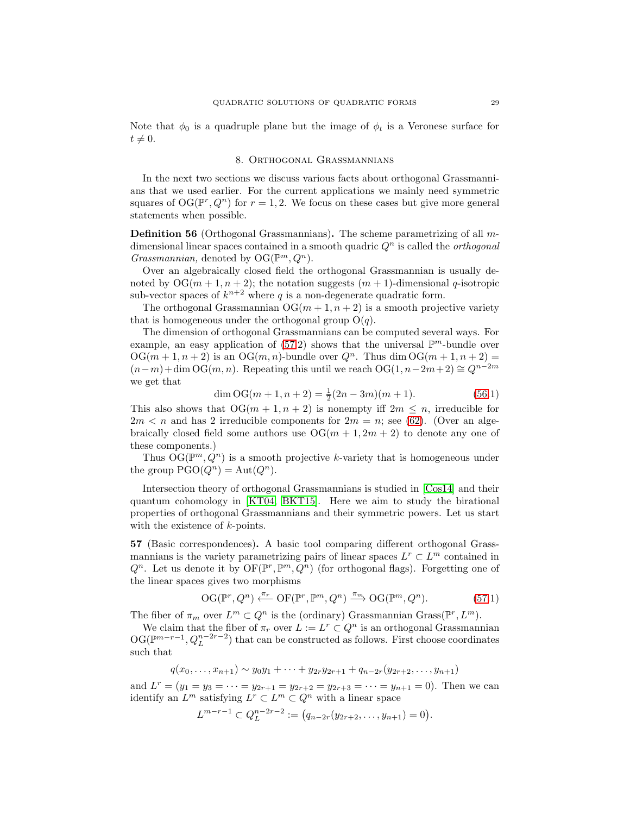<span id="page-28-0"></span>Note that  $\phi_0$  is a quadruple plane but the image of  $\phi_t$  is a Veronese surface for  $t \neq 0.$ 

## 8. Orthogonal Grassmannians

In the next two sections we discuss various facts about orthogonal Grassmannians that we used earlier. For the current applications we mainly need symmetric squares of  $OG(\mathbb{P}^r, Q^n)$  for  $r = 1, 2$ . We focus on these cases but give more general statements when possible.

<span id="page-28-2"></span>Definition 56 (Orthogonal Grassmannians). The scheme parametrizing of all mdimensional linear spaces contained in a smooth quadric  $Q<sup>n</sup>$  is called the *orthogonal* Grassmannian, denoted by  $OG(\mathbb{P}^m, Q^n)$ .

Over an algebraically closed field the orthogonal Grassmannian is usually denoted by  $OG(m+1, n+2)$ ; the notation suggests  $(m+1)$ -dimensional q-isotropic sub-vector spaces of  $k^{n+2}$  where q is a non-degenerate quadratic form.

The orthogonal Grassmannian  $OG(m+1, n+2)$  is a smooth projective variety that is homogeneous under the orthogonal group  $O(q)$ .

The dimension of orthogonal Grassmannians can be computed several ways. For example, an easy application of  $(57.2)$  shows that the universal  $\mathbb{P}^m$ -bundle over  $OG(m+1, n+2)$  is an  $OG(m, n)$ -bundle over  $Q^n$ . Thus dim  $OG(m+1, n+2)$  =  $(n-m)+\dim \mathrm{OG}(m, n)$ . Repeating this until we reach  $\mathrm{OG}(1, n-2m+2) \cong Q^{n-2m}$ we get that

$$
\dim \mathrm{OG}(m+1, n+2) = \frac{1}{2}(2n-3m)(m+1). \tag{56.1}
$$

This also shows that  $OG(m + 1, n + 2)$  is nonempty iff  $2m \leq n$ , irreducible for  $2m < n$  and has 2 irreducible components for  $2m = n$ ; see [\(62\)](#page-31-0). (Over an algebraically closed field some authors use  $OG(m + 1, 2m + 2)$  to denote any one of these components.)

Thus  $\mathrm{OG}(\mathbb{P}^m, Q^n)$  is a smooth projective k-variety that is homogeneous under the group  $PGO(Q^n) = Aut(Q^n)$ .

Intersection theory of orthogonal Grassmannians is studied in [\[Cos14\]](#page-35-13) and their quantum cohomology in [\[KT04,](#page-36-20) [BKT15\]](#page-35-14). Here we aim to study the birational properties of orthogonal Grassmannians and their symmetric powers. Let us start with the existence of k-points.

<span id="page-28-1"></span>57 (Basic correspondences). A basic tool comparing different orthogonal Grassmannians is the variety parametrizing pairs of linear spaces  $L^r \subset L^m$  contained in  $Q^n$ . Let us denote it by  $\mathrm{OF}(\mathbb{P}^r, \mathbb{P}^m, Q^n)$  (for orthogonal flags). Forgetting one of the linear spaces gives two morphisms

$$
\mathrm{OG}(\mathbb{P}^r, Q^n) \xleftarrow{\pi_r} \mathrm{OF}(\mathbb{P}^r, \mathbb{P}^m, Q^n) \xrightarrow{\pi_m} \mathrm{OG}(\mathbb{P}^m, Q^n). \tag{57.1}
$$

The fiber of  $\pi_m$  over  $L^m \subset Q^n$  is the (ordinary) Grassmannian Grass( $\mathbb{P}^r, L^m$ ).

We claim that the fiber of  $\pi_r$  over  $L := L^r \subset Q^n$  is an orthogonal Grassmannian  $\mathrm{OG}(\mathbb{P}^{m-r-1}, Q_L^{n-2r-2})$  that can be constructed as follows. First choose coordinates such that

$$
q(x_0,\ldots,x_{n+1}) \sim y_0y_1 + \cdots + y_{2r}y_{2r+1} + q_{n-2r}(y_{2r+2},\ldots,y_{n+1})
$$

and  $L^r = (y_1 = y_3 = \cdots = y_{2r+1} = y_{2r+2} = y_{2r+3} = \cdots = y_{n+1} = 0)$ . Then we can identify an  $L^m$  satisfying  $L^r \subset L^m \subset Q^n$  with a linear space

$$
L^{m-r-1} \subset Q_L^{n-2r-2} := (q_{n-2r}(y_{2r+2}, \ldots, y_{n+1}) = 0).
$$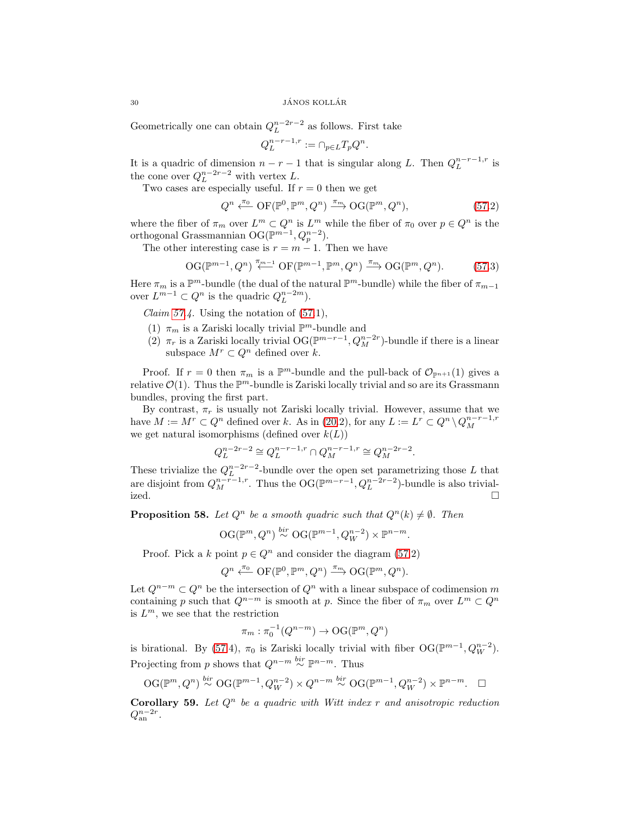Geometrically one can obtain  $Q_L^{n-2r-2}$  as follows. First take

$$
Q_L^{n-r-1,r} := \cap_{p \in L} T_p Q^n.
$$

It is a quadric of dimension  $n - r - 1$  that is singular along L. Then  $Q_L^{n-r-1,r}$  is the cone over  $Q_L^{n-2r-2}$  with vertex L.

Two cases are especially useful. If  $r = 0$  then we get

$$
Q^{n} \xleftarrow{\pi_{0}} \mathrm{OF}(\mathbb{P}^{0}, \mathbb{P}^{m}, Q^{n}) \xrightarrow{\pi_{m}} \mathrm{OG}(\mathbb{P}^{m}, Q^{n}),\tag{57.2}
$$

where the fiber of  $\pi_m$  over  $L^m \subset Q^n$  is  $L^m$  while the fiber of  $\pi_0$  over  $p \in Q^n$  is the orthogonal Grassmannian OG( $\mathbb{P}^{m-1}, Q_p^{n-2}$ ).

The other interesting case is  $r = m - 1$ . Then we have

$$
\mathrm{OG}(\mathbb{P}^{m-1}, Q^n) \stackrel{\pi_{m-1}}{\longleftarrow} \mathrm{OF}(\mathbb{P}^{m-1}, \mathbb{P}^m, Q^n) \stackrel{\pi_m}{\longrightarrow} \mathrm{OG}(\mathbb{P}^m, Q^n). \tag{57.3}
$$

Here  $\pi_m$  is a  $\mathbb{P}^m$ -bundle (the dual of the natural  $\mathbb{P}^m$ -bundle) while the fiber of  $\pi_{m-1}$ over  $L^{m-1} \subset Q^n$  is the quadric  $Q_L^{n-2m}$ ).

Claim  $57.4$ . Using the notation of  $(57.1)$ ,

- (1)  $\pi_m$  is a Zariski locally trivial  $\mathbb{P}^m$ -bundle and
- (2)  $\pi_r$  is a Zariski locally trivial OG( $\mathbb{P}^{m-r-1}$ ,  $Q_M^{n-2r}$ )-bundle if there is a linear subspace  $M^r \subset Q^n$  defined over k.

Proof. If  $r = 0$  then  $\pi_m$  is a  $\mathbb{P}^m$ -bundle and the pull-back of  $\mathcal{O}_{\mathbb{P}^{n+1}}(1)$  gives a relative  $\mathcal{O}(1)$ . Thus the  $\mathbb{P}^m$ -bundle is Zariski locally trivial and so are its Grassmann bundles, proving the first part.

By contrast,  $\pi_r$  is usually not Zariski locally trivial. However, assume that we have  $M := M^r \subset Q^n$  defined over k. As in [\(20.](#page-6-0)2), for any  $L := L^r \subset Q^n \setminus Q_M^{n-r-1,r}$ we get natural isomorphisms (defined over  $k(L)$ )

$$
Q_L^{n-2r-2} \cong Q_L^{n-r-1,r} \cap Q_M^{n-r-1,r} \cong Q_M^{n-2r-2}.
$$

These trivialize the  $Q_L^{n-2r-2}$ -bundle over the open set parametrizing those L that are disjoint from  $Q_M^{n-r-1,r}$ . Thus the OG( $\mathbb{P}^{m-r-1}, Q_L^{n-2r-2}$ )-bundle is also trivialized.  $\Box$ 

<span id="page-29-0"></span>**Proposition 58.** Let  $Q^n$  be a smooth quadric such that  $Q^n(k) \neq \emptyset$ . Then

$$
\mathrm{OG}(\mathbb{P}^m, Q^n) \stackrel{bir}{\sim} \mathrm{OG}(\mathbb{P}^{m-1}, Q_W^{n-2}) \times \mathbb{P}^{n-m}.
$$

Proof. Pick a k point  $p \in Q^n$  and consider the diagram [\(57.](#page-28-1)2)

$$
Q^n \xleftarrow{\pi_0} \mathrm{OF}(\mathbb{P}^0, \mathbb{P}^m, Q^n) \xrightarrow{\pi_m} \mathrm{OG}(\mathbb{P}^m, Q^n).
$$

Let  $Q^{n-m} \subset Q^n$  be the intersection of  $Q^n$  with a linear subspace of codimension m containing p such that  $Q^{n-m}$  is smooth at p. Since the fiber of  $\pi_m$  over  $L^m \subset Q^n$ is  $L^m$ , we see that the restriction

$$
\pi_m : \pi_0^{-1}(Q^{n-m}) \to \mathrm{OG}(\mathbb{P}^m, Q^n)
$$

is birational. By [\(57.](#page-28-1)4),  $\pi_0$  is Zariski locally trivial with fiber  $\mathrm{OG}(\mathbb{P}^{m-1}, Q_W^{n-2})$ . Projecting from p shows that  $Q^{n-m} \stackrel{bir}{\sim} \mathbb{P}^{n-m}$ . Thus

$$
\mathrm{OG}(\mathbb{P}^m, Q^n) \stackrel{bir}{\sim} \mathrm{OG}(\mathbb{P}^{m-1}, Q_W^{n-2}) \times Q^{n-m} \stackrel{bir}{\sim} \mathrm{OG}(\mathbb{P}^{m-1}, Q_W^{n-2}) \times \mathbb{P}^{n-m}.\quad \Box
$$

<span id="page-29-1"></span>**Corollary 59.** Let  $Q^n$  be a quadric with Witt index r and anisotropic reduction  $Q_{\rm an}^{n-2r}$ .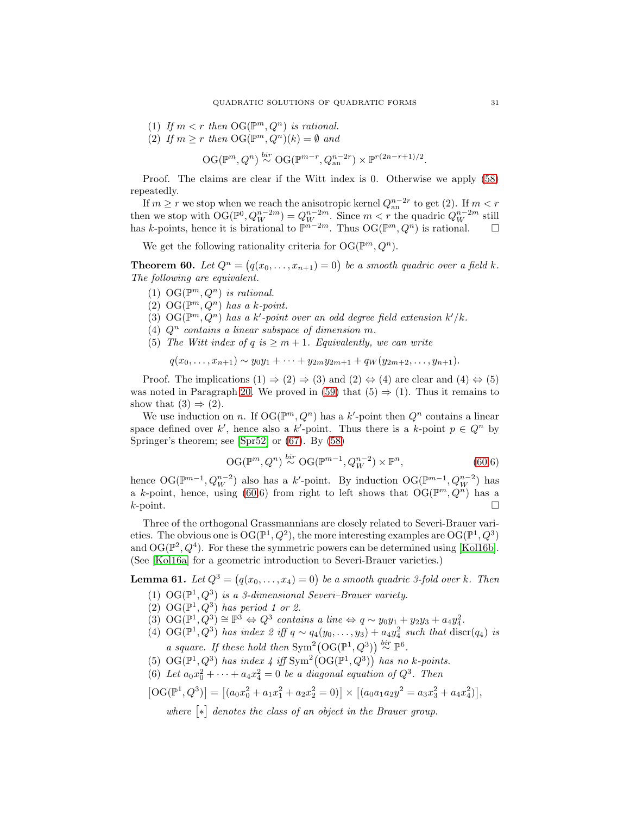- (1) If  $m < r$  then  $\mathrm{OG}(\mathbb{P}^m, Q^n)$  is rational.
- (2) If  $m \ge r$  then  $\mathrm{OG}(\mathbb{P}^m, Q^n)(k) = \emptyset$  and

$$
\mathrm{OG}(\mathbb{P}^m, Q^n) \stackrel{bir}{\sim} \mathrm{OG}(\mathbb{P}^{m-r}, Q_{\mathrm{an}}^{n-2r}) \times \mathbb{P}^{r(2n-r+1)/2}.
$$

Proof. The claims are clear if the Witt index is 0. Otherwise we apply [\(58\)](#page-29-0) repeatedly.

If  $m \geq r$  we stop when we reach the anisotropic kernel  $Q_{an}^{n-2r}$  to get (2). If  $m < r$ then we stop with  $\mathrm{OG}(\mathbb{P}^0, Q_W^{n-2m}) = Q_W^{n-2m}$ . Since  $m < r$  the quadric  $Q_W^{n-2m}$  still has k-points, hence it is birational to  $\mathbb{P}^{n-2m}$ . Thus  $\mathrm{OG}(\mathbb{P}^m, Q^n)$  is rational.  $\square$ 

We get the following rationality criteria for  $\mathrm{OG}(\mathbb{P}^m, Q^n)$ .

<span id="page-30-0"></span>**Theorem 60.** Let  $Q^n = (q(x_0, \ldots, x_{n+1}) = 0)$  be a smooth quadric over a field k. The following are equivalent.

- (1) OG( $\mathbb{P}^m, Q^n$ ) is rational.
- (2) OG( $\mathbb{P}^m$ ,  $Q^n$ ) has a k-point.
- (3)  $\mathrm{OG}(\mathbb{P}^m, Q^n)$  has a k'-point over an odd degree field extension  $k'/k$ .
- (4)  $Q^n$  contains a linear subspace of dimension m.
- (5) The Witt index of q is  $\geq m+1$ . Equivalently, we can write

$$
q(x_0,\ldots,x_{n+1})\sim y_0y_1+\cdots+y_{2m}y_{2m+1}+q_W(y_{2m+2},\ldots,y_{n+1}).
$$

Proof. The implications  $(1) \Rightarrow (2) \Rightarrow (3)$  and  $(2) \Leftrightarrow (4)$  are clear and  $(4) \Leftrightarrow (5)$ was noted in Paragraph [20.](#page-6-0) We proved in [\(59\)](#page-29-1) that  $(5) \Rightarrow (1)$ . Thus it remains to show that  $(3) \Rightarrow (2)$ .

We use induction on n. If  $\mathrm{OG}(\mathbb{P}^m, Q^n)$  has a k'-point then  $Q^n$  contains a linear space defined over k', hence also a k'-point. Thus there is a k-point  $p \in Q^n$  by Springer's theorem; see [\[Spr52\]](#page-36-21) or [\(67\)](#page-33-2). By [\(58\)](#page-29-0)

$$
\mathrm{OG}(\mathbb{P}^m, Q^n) \stackrel{bir}{\sim} \mathrm{OG}(\mathbb{P}^{m-1}, Q_W^{n-2}) \times \mathbb{P}^n, \tag{60.6}
$$

hence  $\mathrm{OG}(\mathbb{P}^{m-1}, Q_W^{n-2})$  also has a k'-point. By induction  $\mathrm{OG}(\mathbb{P}^{m-1}, Q_W^{n-2})$  has a k-point, hence, using [\(60.](#page-30-0)6) from right to left shows that  $\mathrm{OG}(\mathbb{P}^m, Q^n)$  has a  $k$ -point.

Three of the orthogonal Grassmannians are closely related to Severi-Brauer varieties. The obvious one is  $\mathrm{OG}(\mathbb{P}^1, Q^2)$ , the more interesting examples are  $\mathrm{OG}(\mathbb{P}^1, Q^3)$ and  $\mathrm{OG}(\mathbb{P}^2, Q^4)$ . For these the symmetric powers can be determined using [\[Kol16b\]](#page-36-22). (See [\[Kol16a\]](#page-36-23) for a geometric introduction to Severi-Brauer varieties.)

**Lemma 61.** Let  $Q^3 = (q(x_0, \ldots, x_4) = 0)$  be a smooth quadric 3-fold over k. Then

- (1) OG( $\mathbb{P}^1, Q^3$ ) is a 3-dimensional Severi–Brauer variety.
- (2)  $\text{OG}(\mathbb{P}^1, Q^3)$  has period 1 or 2.
- (3)  $\mathrm{OG}(\mathbb{P}^1, Q^3) \cong \mathbb{P}^3 \Leftrightarrow Q^3$  contains a line  $\Leftrightarrow q \sim y_0y_1 + y_2y_3 + a_4y_4^2$ .
- (4) OG( $\mathbb{P}^1, Q^3$ ) has index 2 iff  $q \sim q_4(y_0, \ldots, y_3) + a_4 y_4^2$  such that  $\text{discr}(q_4)$  is a square. If these hold then  $\text{Sym}^2(\text{OG}(\mathbb{P}^1, Q^3)) \stackrel{bir}{\sim} \mathbb{P}^6$ .
- (5)  $\mathrm{OG}(\mathbb{P}^1, Q^3)$  has index 4 iff  $\mathrm{Sym}^2(\mathrm{OG}(\mathbb{P}^1, Q^3))$  has no k-points.
- (6) Let  $a_0x_0^2 + \cdots + a_4x_4^2 = 0$  be a diagonal equation of  $Q^3$ . Then

$$
[OG(\mathbb{P}^1, Q^3)] = [(a_0x_0^2 + a_1x_1^2 + a_2x_2^2 = 0)] \times [(a_0a_1a_2y^2 = a_3x_3^2 + a_4x_4^2)],
$$

where  $[*]$  denotes the class of an object in the Brauer group.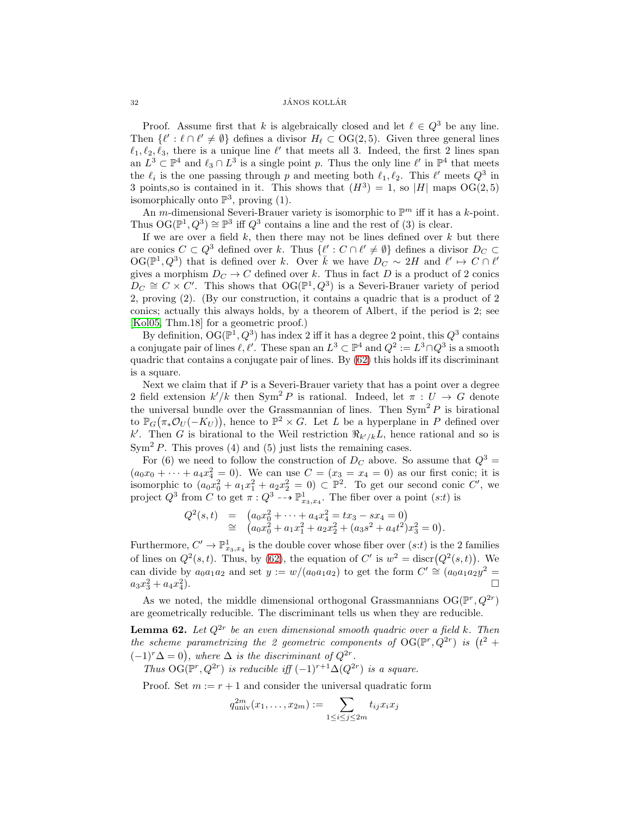#### $32$  JÁNOS KOLLÁR

Proof. Assume first that k is algebraically closed and let  $\ell \in Q^3$  be any line. Then  $\{\ell': \ell \cap \ell' \neq \emptyset\}$  defines a divisor  $H_{\ell} \subset \mathrm{OG}(2, 5)$ . Given three general lines  $\ell_1, \ell_2, \ell_3$ , there is a unique line  $\ell'$  that meets all 3. Indeed, the first 2 lines span an  $L^3 \subset \mathbb{P}^4$  and  $\ell_3 \cap L^3$  is a single point p. Thus the only line  $\ell'$  in  $\mathbb{P}^4$  that meets the  $\ell_i$  is the one passing through p and meeting both  $\ell_1, \ell_2$ . This  $\ell'$  meets  $Q^3$  in 3 points, so is contained in it. This shows that  $(H^3) = 1$ , so |H| maps OG(2,5) isomorphically onto  $\mathbb{P}^3$ , proving (1).

An *m*-dimensional Severi-Brauer variety is isomorphic to  $\mathbb{P}^m$  iff it has a *k*-point. Thus  $\mathrm{OG}(\mathbb{P}^1, Q^3) \cong \mathbb{P}^3$  iff  $Q^3$  contains a line and the rest of (3) is clear.

If we are over a field  $k$ , then there may not be lines defined over  $k$  but there are conics  $C \subset Q^3$  defined over k. Thus  $\{\ell : C \cap \ell' \neq \emptyset\}$  defines a divisor  $D_C \subset$  $\mathrm{OG}(\mathbb{P}^1, Q^3)$  that is defined over k. Over  $\bar{k}$  we have  $D_C \sim 2H$  and  $\ell' \mapsto C \cap \ell'$ gives a morphism  $D<sub>C</sub> \to C$  defined over k. Thus in fact D is a product of 2 conics  $D_C \cong C \times C'$ . This shows that  $OG(\mathbb{P}^1, Q^3)$  is a Severi-Brauer variety of period 2, proving (2). (By our construction, it contains a quadric that is a product of 2 conics; actually this always holds, by a theorem of Albert, if the period is 2; see [\[Kol05,](#page-36-24) Thm.18] for a geometric proof.)

By definition,  $\mathrm{OG}(\mathbb{P}^1, Q^3)$  has index 2 iff it has a degree 2 point, this  $Q^3$  contains a conjugate pair of lines  $\ell, \ell'$ . These span an  $L^3 \subset \mathbb{P}^4$  and  $Q^2 := L^3 \cap Q^3$  is a smooth quadric that contains a conjugate pair of lines. By  $(62)$  this holds iff its discriminant is a square.

Next we claim that if  $P$  is a Severi-Brauer variety that has a point over a degree 2 field extension  $k'/k$  then  $Sym^2 P$  is rational. Indeed, let  $\pi: U \to G$  denote the universal bundle over the Grassmannian of lines. Then  $Sym^2 P$  is birational to  $\mathbb{P}_G(\pi_*\mathcal{O}_U(-K_U))$ , hence to  $\mathbb{P}^2 \times G$ . Let L be a hyperplane in P defined over k'. Then G is birational to the Weil restriction  $\Re_{k'/k}L$ , hence rational and so is  $Sym<sup>2</sup> P$ . This proves (4) and (5) just lists the remaining cases.

For (6) we need to follow the construction of  $D<sub>C</sub>$  above. So assume that  $Q<sup>3</sup>$  =  $(a_0x_0 + \cdots + a_4x_4^2 = 0)$ . We can use  $C = (x_3 = x_4 = 0)$  as our first conic; it is isomorphic to  $(a_0x_0^2 + a_1x_1^2 + a_2x_2^2 = 0) \subset \mathbb{P}^2$ . To get our second conic C', we project  $Q^3$  from C to get  $\pi: Q^3 \dashrightarrow \mathbb{P}^1_{x_3,x_4}$ . The fiber over a point  $(s:t)$  is

$$
Q^{2}(s,t) = (a_{0}x_{0}^{2} + \cdots + a_{4}x_{4}^{2} = tx_{3} - sx_{4} = 0)
$$
  
\n
$$
\cong (a_{0}x_{0}^{2} + a_{1}x_{1}^{2} + a_{2}x_{2}^{2} + (a_{3}s^{2} + a_{4}t^{2})x_{3}^{2} = 0).
$$

Furthermore,  $C' \to \mathbb{P}^1_{x_3,x_4}$  is the double cover whose fiber over  $(s:t)$  is the 2 families of lines on  $Q^2(s,t)$ . Thus, by [\(62\)](#page-31-0), the equation of C' is  $w^2 = \text{discr}(Q^2(s,t))$ . We can divide by  $a_0a_1a_2$  and set  $y := w/(a_0a_1a_2)$  to get the form  $C' \cong (a_0a_1a_2y^2 =$  $a_3x_3^2 + a_4x_4^2$ ).

As we noted, the middle dimensional orthogonal Grassmannians  $OG(\mathbb{P}^r, Q^{2r})$ are geometrically reducible. The discriminant tells us when they are reducible.

<span id="page-31-0"></span>**Lemma 62.** Let  $Q^{2r}$  be an even dimensional smooth quadric over a field k. Then the scheme parametrizing the 2 geometric components of  $\mathrm{OG}(\mathbb{P}^r, Q^{2r})$  is  $(t^2 +$  $(-1)^r \Delta = 0$ , where  $\Delta$  is the discriminant of  $Q^{2r}$ .

Thus  $OG(\mathbb{P}^r, Q^{2r})$  is reducible iff  $(-1)^{r+1}\Delta(Q^{2r})$  is a square.

Proof. Set  $m := r + 1$  and consider the universal quadratic form

$$
q_{\text{univ}}^{2m}(x_1,\ldots,x_{2m}):=\sum_{1\leq i\leq j\leq 2m}t_{ij}x_ix_j
$$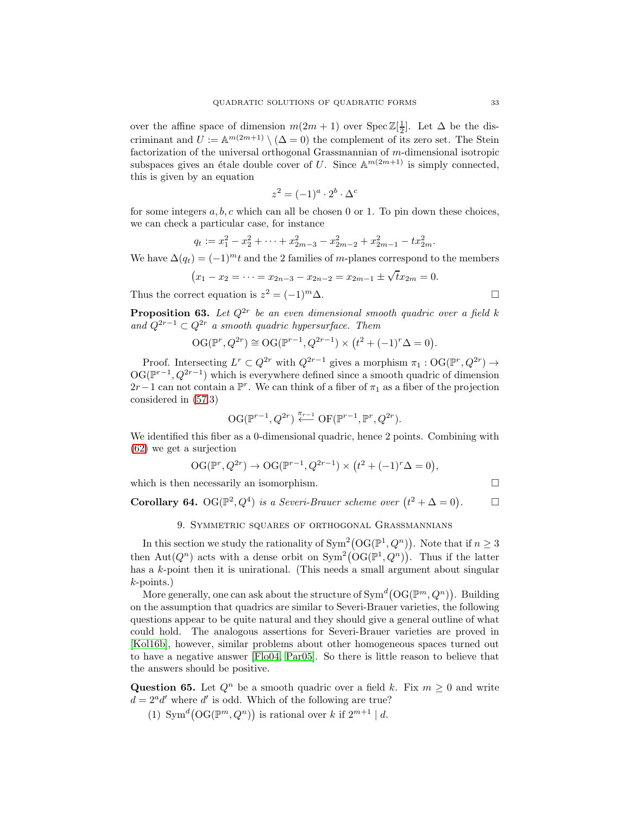over the affine space of dimension  $m(2m + 1)$  over  $\text{Spec } \mathbb{Z}[\frac{1}{2}]$ . Let  $\Delta$  be the discriminant and  $U := \mathbb{A}^{m(2m+1)} \setminus (\Delta = 0)$  the complement of its zero set. The Stein factorization of the universal orthogonal Grassmannian of m-dimensional isotropic subspaces gives an étale double cover of U. Since  $\mathbb{A}^{m(2m+1)}$  is simply connected, this is given by an equation

$$
z^2 = (-1)^a \cdot 2^b \cdot \Delta^c
$$

for some integers  $a, b, c$  which can all be chosen 0 or 1. To pin down these choices, we can check a particular case, for instance

$$
q_t := x_1^2 - x_2^2 + \dots + x_{2m-3}^2 - x_{2m-2}^2 + x_{2m-1}^2 - x_{2m}^2.
$$

We have  $\Delta(q_t) = (-1)^m t$  and the 2 families of m-planes correspond to the members

$$
(x_1 - x_2 = \dots = x_{2n-3} - x_{2n-2} = x_{2m-1} \pm \sqrt{t}x_{2m} = 0.
$$

Thus the correct equation is  $z^2 = (-1)^m \Delta$ .

**Proposition 63.** Let  $Q^{2r}$  be an even dimensional smooth quadric over a field k and  $Q^{2r-1} \subset Q^{2r}$  a smooth quadric hypersurface. Them

$$
OG(\mathbb{P}^r, Q^{2r}) \cong OG(\mathbb{P}^{r-1}, Q^{2r-1}) \times (t^2 + (-1)^r \Delta = 0).
$$

Proof. Intersecting  $L^r \subset Q^{2r}$  with  $Q^{2r-1}$  gives a morphism  $\pi_1 : \mathrm{OG}(\mathbb{P}^r, Q^{2r}) \to$  $OG(\mathbb{P}^{r-1}, Q^{2r-1})$  which is everywhere defined since a smooth quadric of dimension 2r − 1 can not contain a  $\mathbb{P}^r$ . We can think of a fiber of  $\pi_1$  as a fiber of the projection considered in [\(57.](#page-28-1)3)

$$
\mathrm{OG}({\mathbb P}^{r-1},Q^{2r})\stackrel{\pi_{r-1}}{\longleftarrow}\mathrm{OF}({\mathbb P}^{r-1},{\mathbb P}^r,Q^{2r}).
$$

We identified this fiber as a 0-dimensional quadric, hence 2 points. Combining with [\(62\)](#page-31-0) we get a surjection

$$
OG(\mathbb{P}^r, Q^{2r}) \to OG(\mathbb{P}^{r-1}, Q^{2r-1}) \times (t^2 + (-1)^r \Delta = 0),
$$

which is then necessarily an isomorphism.

**Corollary 64.** OG( $\mathbb{P}^2$ ,  $Q^4$ ) is a Severi-Brauer scheme over  $(t^2 + \Delta = 0)$  $\Box$ 

# 9. Symmetric squares of orthogonal Grassmannians

In this section we study the rationality of  $\text{Sym}^2(\text{OG}(\mathbb{P}^1, Q^n))$ . Note that if  $n \geq 3$ then Aut $(Q^n)$  acts with a dense orbit on  $Sym^2(OG(\mathbb{P}^1, Q^n))$ . Thus if the latter has a k-point then it is unirational. (This needs a small argument about singular k-points.)

More generally, one can ask about the structure of  $\text{Sym}^d(\text{OG}(\mathbb{P}^m, Q^n))$ . Building on the assumption that quadrics are similar to Severi-Brauer varieties, the following questions appear to be quite natural and they should give a general outline of what could hold. The analogous assertions for Severi-Brauer varieties are proved in [\[Kol16b\]](#page-36-22), however, similar problems about other homogeneous spaces turned out to have a negative answer [\[Flo04,](#page-35-15) [Par05\]](#page-36-25). So there is little reason to believe that the answers should be positive.

<span id="page-32-0"></span>Question 65. Let  $Q^n$  be a smooth quadric over a field k. Fix  $m \geq 0$  and write  $d = 2^a d'$  where d' is odd. Which of the following are true?

(1)  $\text{Sym}^d\big(\text{OG}(\mathbb{P}^m, Q^n)\big)$  is rational over k if  $2^{m+1} \mid d$ .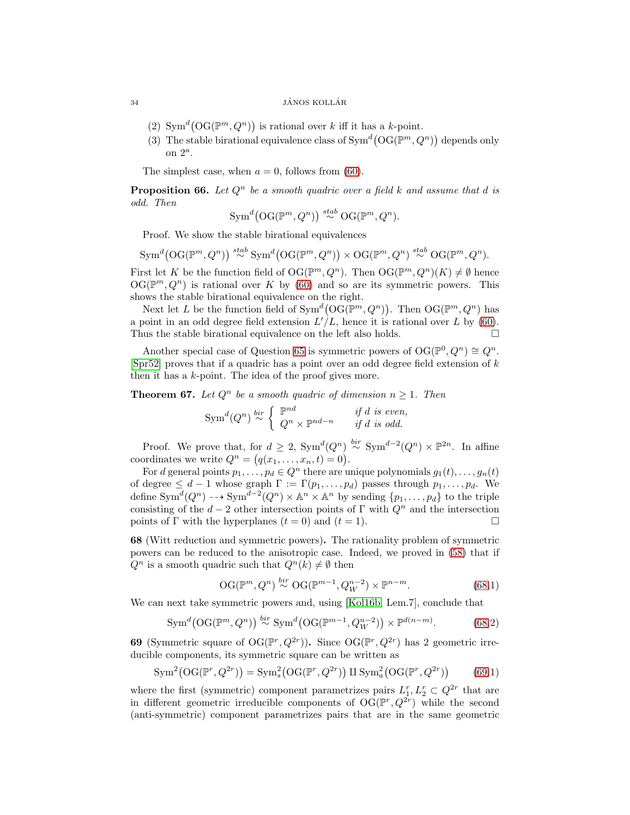- (2)  $\text{Sym}^d(\text{OG}(\mathbb{P}^m, Q^n))$  is rational over k iff it has a k-point.
- (3) The stable birational equivalence class of  $Sym^d(\mathcal{O}(\mathbb{P}^m, Q^n))$  depends only on  $2^a$ .

The simplest case, when  $a = 0$ , follows from [\(60\)](#page-30-0).

**Proposition 66.** Let  $Q^n$  be a smooth quadric over a field k and assume that d is odd. Then

$$
\text{Sym}^d\big(\text{OG}(\mathbb{P}^m, Q^n)\big) \stackrel{stab}{\sim} \text{OG}(\mathbb{P}^m, Q^n).
$$

Proof. We show the stable birational equivalences

 $\text{Sym}^d\big(\text{OG}(\mathbb{P}^m, Q^n)\big) \stackrel{stab}{\sim} \text{Sym}^d\big(\text{OG}(\mathbb{P}^m, Q^n)\big) \times \text{OG}(\mathbb{P}^m, Q^n) \stackrel{stab}{\sim} \text{OG}(\mathbb{P}^m, Q^n).$ 

First let K be the function field of  $\mathrm{OG}(\mathbb{P}^m, Q^n)$ . Then  $\mathrm{OG}(\mathbb{P}^m, Q^n)(K) \neq \emptyset$  hence  $OG(\mathbb{P}^m, Q^n)$  is rational over K by [\(60\)](#page-30-0) and so are its symmetric powers. This shows the stable birational equivalence on the right.

Next let L be the function field of  $Sym^d(\mathcal{O}(\mathbb{P}^m, Q^n))$ . Then  $\mathcal{O}(\mathbb{P}^m, Q^n)$  has a point in an odd degree field extension  $L'/L$ , hence it is rational over L by [\(60\)](#page-30-0). Thus the stable birational equivalence on the left also holds.  $\Box$ 

Another special case of Question [65](#page-32-0) is symmetric powers of  $\mathrm{OG}(\mathbb{P}^0, Q^n) \cong Q^n$ . [\[Spr52\]](#page-36-21) proves that if a quadric has a point over an odd degree field extension of  $k$ then it has a k-point. The idea of the proof gives more.

<span id="page-33-2"></span>**Theorem 67.** Let  $Q^n$  be a smooth quadric of dimension  $n \geq 1$ . Then

$$
\text{Sym}^d(Q^n) \stackrel{bir}{\sim} \left\{ \begin{array}{ll} \mathbb{P}^{nd} & \text{if } d \text{ is even,} \\ Q^n \times \mathbb{P}^{nd-n} & \text{if } d \text{ is odd.} \end{array} \right.
$$

Proof. We prove that, for  $d \geq 2$ ,  $Sym^d(Q^n) \stackrel{bir}{\sim} Sym^{d-2}(Q^n) \times \mathbb{P}^{2n}$ . In affine coordinates we write  $Q^n = (q(x_1, \ldots, x_n, t) = 0).$ 

For d general points  $p_1, \ldots, p_d \in Q^n$  there are unique polynomials  $g_1(t), \ldots, g_n(t)$ of degree  $\leq d-1$  whose graph  $\Gamma := \Gamma(p_1, \ldots, p_d)$  passes through  $p_1, \ldots, p_d$ . We define  $\text{Sym}^d(Q^n) \dashrightarrow \text{Sym}^{d-2}(Q^n) \times \mathbb{A}^n \times \mathbb{A}^n$  by sending  $\{p_1, \ldots, p_d\}$  to the triple consisting of the  $d-2$  other intersection points of  $\Gamma$  with  $Q^n$  and the intersection points of  $\Gamma$  with the hyperplanes  $(t=0)$  and  $(t=1)$ . points of  $\Gamma$  with the hyperplanes  $(t = 0)$  and  $(t = 1)$ .

<span id="page-33-0"></span>68 (Witt reduction and symmetric powers). The rationality problem of symmetric powers can be reduced to the anisotropic case. Indeed, we proved in [\(58\)](#page-29-0) that if  $Q^n$  is a smooth quadric such that  $Q^n(k) \neq \emptyset$  then

$$
\mathrm{OG}(\mathbb{P}^m, Q^n) \stackrel{bir}{\sim} \mathrm{OG}(\mathbb{P}^{m-1}, Q_W^{n-2}) \times \mathbb{P}^{n-m}.\tag{68.1}
$$

We can next take symmetric powers and, using [\[Kol16b,](#page-36-22) Lem.7], conclude that

$$
\text{Sym}^d\big(\text{OG}(\mathbb{P}^m, Q^n)\big) \stackrel{bir}{\sim} \text{Sym}^d\big(\text{OG}(\mathbb{P}^{m-1}, Q_W^{n-2})\big) \times \mathbb{P}^{d(n-m)}.\tag{68.2}
$$

<span id="page-33-1"></span>**69** (Symmetric square of  $\mathrm{OG}(\mathbb{P}^r, Q^{2r})$ ). Since  $\mathrm{OG}(\mathbb{P}^r, Q^{2r})$  has 2 geometric irreducible components, its symmetric square can be written as

$$
\operatorname{Sym}^2(\operatorname{OG}(\mathbb{P}^r, Q^{2r})) = \operatorname{Sym}_s^2(\operatorname{OG}(\mathbb{P}^r, Q^{2r})) \amalg \operatorname{Sym}_a^2(\operatorname{OG}(\mathbb{P}^r, Q^{2r})) \tag{69.1}
$$

where the first (symmetric) component parametrizes pairs  $L_1^r, L_2^r \subset Q^{2r}$  that are in different geometric irreducible components of  $\mathrm{OG}(\mathbb{P}^r, Q^{2r})$  while the second (anti-symmetric) component parametrizes pairs that are in the same geometric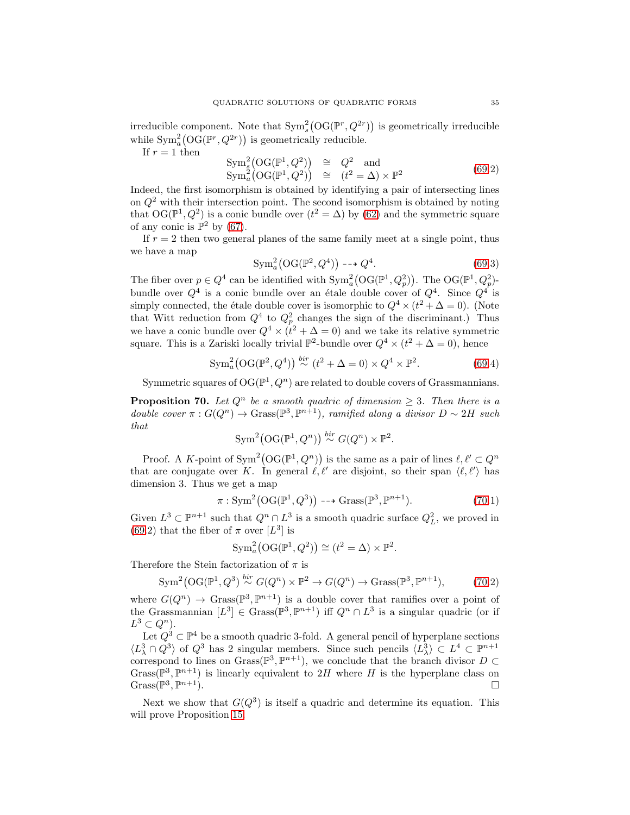irreducible component. Note that  $\text{Sym}_s^2(\text{OG}(\mathbb{P}^r, Q^{2r}))$  is geometrically irreducible while  $\text{Sym}_a^2(\text{OG}(\mathbb{P}^r, Q^{2r}))$  is geometrically reducible.

If  $r = 1$  then

$$
\begin{array}{rcl}\n\text{Sym}_s^2(\text{OG}(\mathbb{P}^1, Q^2)) & \cong & Q^2 \quad \text{and} \\
\text{Sym}_a^2(\text{OG}(\mathbb{P}^1, Q^2)) & \cong & (t^2 = \Delta) \times \mathbb{P}^2\n\end{array} \tag{69.2}
$$

Indeed, the first isomorphism is obtained by identifying a pair of intersecting lines on  $Q<sup>2</sup>$  with their intersection point. The second isomorphism is obtained by noting that  $\text{OG}(\mathbb{P}^1, Q^2)$  is a conic bundle over  $(t^2 = \Delta)$  by  $(62)$  and the symmetric square of any conic is  $\mathbb{P}^2$  by [\(67\)](#page-33-2).

If  $r = 2$  then two general planes of the same family meet at a single point, thus we have a map

$$
\text{Sym}_a^2\big(\text{OG}(\mathbb{P}^2, Q^4)\big) \dashrightarrow Q^4. \tag{69.3}
$$

The fiber over  $p \in Q^4$  can be identified with  $\text{Sym}_a^2(\text{OG}(\mathbb{P}^1, Q_p^2))$ . The  $\text{OG}(\mathbb{P}^1, Q_p^2)$ bundle over  $Q^4$  is a conic bundle over an étale double cover of  $Q^4$ . Since  $Q^4$  is simply connected, the étale double cover is isomorphic to  $Q^4 \times (t^2 + \Delta = 0)$ . (Note that Witt reduction from  $Q^4$  to  $Q_p^2$  changes the sign of the discriminant.) Thus we have a conic bundle over  $Q^4 \times (t^2 + \Delta = 0)$  and we take its relative symmetric square. This is a Zariski locally trivial  $\mathbb{P}^2$ -bundle over  $Q^4 \times (t^2 + \Delta = 0)$ , hence

$$
\text{Sym}_a^2\big(\text{OG}(\mathbb{P}^2, Q^4)\big) \stackrel{bir}{\sim} (t^2 + \Delta = 0) \times Q^4 \times \mathbb{P}^2. \tag{69.4}
$$

Symmetric squares of  $\mathrm{OG}(\mathbb{P}^1, Q^n)$  are related to double covers of Grassmannians.

<span id="page-34-0"></span>**Proposition 70.** Let  $Q^n$  be a smooth quadric of dimension  $\geq 3$ . Then there is a double cover  $\pi: G(Q^n) \to \operatorname{Grass}(\mathbb{P}^3, \mathbb{P}^{n+1})$ , ramified along a divisor  $D \sim 2H$  such that

$$
\text{Sym}^2(\text{OG}(\mathbb{P}^1, Q^n)) \stackrel{bir}{\sim} G(Q^n) \times \mathbb{P}^2.
$$

Proof. A K-point of  $\text{Sym}^2(\text{OG}(\mathbb{P}^1, Q^n))$  is the same as a pair of lines  $\ell, \ell' \subset Q^n$ that are conjugate over K. In general  $\ell, \ell'$  are disjoint, so their span  $\langle \ell, \ell' \rangle$  has dimension 3. Thus we get a map

$$
\pi: \operatorname{Sym}^2(\mathcal{O}(\mathbb{P}^1, Q^3)) \dashrightarrow \operatorname{Grass}(\mathbb{P}^3, \mathbb{P}^{n+1}).
$$
\n(70.1)

Given  $L^3 \subset \mathbb{P}^{n+1}$  such that  $Q^n \cap L^3$  is a smooth quadric surface  $Q_L^2$ , we proved in [\(69.](#page-33-1)2) that the fiber of  $\pi$  over [L<sup>3</sup>] is

$$
\operatorname{Sym}_a^2(\operatorname{OG}(\mathbb{P}^1, Q^2)) \cong (t^2 = \Delta) \times \mathbb{P}^2.
$$

Therefore the Stein factorization of  $\pi$  is

$$
\text{Sym}^2\big(\text{OG}(\mathbb{P}^1, Q^3) \stackrel{bir}{\sim} G(Q^n) \times \mathbb{P}^2 \to G(Q^n) \to \text{Grass}(\mathbb{P}^3, \mathbb{P}^{n+1}),\tag{70.2}
$$

where  $G(Q^n) \to \text{Grass}(\mathbb{P}^3, \mathbb{P}^{n+1})$  is a double cover that ramifies over a point of the Grassmannian  $[L^3] \in \text{Grass}(\mathbb{P}^3, \mathbb{P}^{n+1})$  iff  $Q^n \cap L^3$  is a singular quadric (or if  $L^3 \subset Q^n$ ).

Let  $Q^3 \subset \mathbb{P}^4$  be a smooth quadric 3-fold. A general pencil of hyperplane sections  $\langle L_{\lambda}^3 \cap Q^3 \rangle$  of  $Q^3$  has 2 singular members. Since such pencils  $\langle L_{\lambda}^3 \rangle \subset L^4 \subset \mathbb{P}^{n+1}$ correspond to lines on  $Grass(\mathbb{P}^3, \mathbb{P}^{n+1})$ , we conclude that the branch divisor  $D \subset$ Grass( $\mathbb{P}^3$ ,  $\mathbb{P}^{n+1}$ ) is linearly equivalent to 2H where H is the hyperplane class on  $Grass(\mathbb{P}^3, \mathbb{P})$  $n+1$ ).

Next we show that  $G(Q^3)$  is itself a quadric and determine its equation. This will prove Proposition [15.](#page-5-0)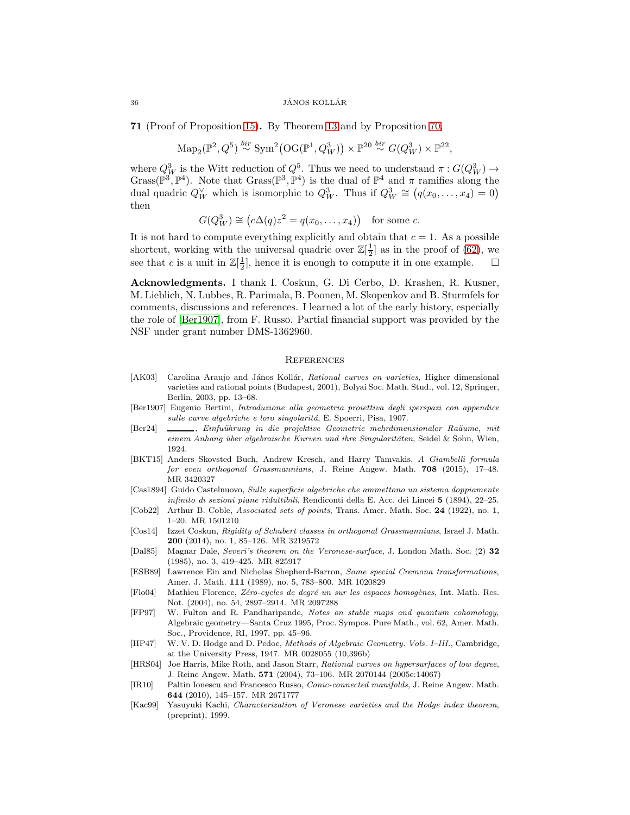#### 36 JÁNOS KOLLÁR

<span id="page-35-9"></span>71 (Proof of Proposition [15\)](#page-5-0). By Theorem [13](#page-4-0) and by Proposition [70,](#page-34-0)

$$
\mathrm{Map}_2(\mathbb{P}^2, Q^5) \stackrel{bir}{\sim} \mathrm{Sym}^2(\mathrm{OG}(\mathbb{P}^1, Q_W^3)) \times \mathbb{P}^{20} \stackrel{bir}{\sim} G(Q_W^3) \times \mathbb{P}^{22},
$$

where  $Q_W^3$  is the Witt reduction of  $Q^5$ . Thus we need to understand  $\pi: G(Q_W^3) \to$ Grass( $\mathbb{P}^3$ ,  $\mathbb{P}^4$ ). Note that Grass( $\mathbb{P}^3$ ,  $\mathbb{P}^4$ ) is the dual of  $\mathbb{P}^4$  and  $\pi$  ramifies along the dual quadric  $Q_W^{\vee}$  which is isomorphic to  $Q_W^3$ . Thus if  $Q_W^3 \cong (q(x_0, \ldots, x_4) = 0)$ then

$$
G(Q_W^3) \cong (c\Delta(q)z^2 = q(x_0, \dots, x_4)) \text{ for some } c.
$$

It is not hard to compute everything explicitly and obtain that  $c = 1$ . As a possible shortcut, working with the universal quadric over  $\mathbb{Z}[\frac{1}{2}]$  as in the proof of [\(62\)](#page-31-0), we see that c is a unit in  $\mathbb{Z}[\frac{1}{2}]$ , hence it is enough to compute it in one example.  $\Box$ 

Acknowledgments. I thank I. Coskun, G. Di Cerbo, D. Krashen, R. Kusner, M. Lieblich, N. Lubbes, R. Parimala, B. Poonen, M. Skopenkov and B. Sturmfels for comments, discussions and references. I learned a lot of the early history, especially the role of [\[Ber1907\]](#page-35-5), from F. Russo. Partial financial support was provided by the NSF under grant number DMS-1362960.

#### **REFERENCES**

- <span id="page-35-1"></span>[AK03] Carolina Araujo and János Kollár, Rational curves on varieties, Higher dimensional varieties and rational points (Budapest, 2001), Bolyai Soc. Math. Stud., vol. 12, Springer, Berlin, 2003, pp. 13–68.
- <span id="page-35-5"></span>[Ber1907] Eugenio Bertini, Introduzione alla geometria proiettiva degli iperspazi con appendice sulle curve algebriche e loro singolaritá, E. Spoerri, Pisa, 1907.
- <span id="page-35-6"></span>[Ber24]  $\_\_\_\_\$ n, Einfuührung in die projektive Geometrie mehrdimensionaler Raäume, mit einem Anhang über algebraische Kurven und ihre Singularitäten, Seidel & Sohn, Wien, 1924.
- <span id="page-35-14"></span>[BKT15] Anders Skovsted Buch, Andrew Kresch, and Harry Tamvakis, A Giambelli formula for even orthogonal Grassmannians, J. Reine Angew. Math. 708 (2015), 17–48. MR 3420327
- <span id="page-35-3"></span>[Cas1894] Guido Castelnuovo, Sulle superficie algebriche che ammettono un sistema doppiamente infinito di sezioni piane riduttibili, Rendiconti della E. Acc. dei Lincei 5 (1894), 22–25.
- <span id="page-35-7"></span>[Cob22] Arthur B. Coble, Associated sets of points, Trans. Amer. Math. Soc. 24 (1922), no. 1, 1–20. MR 1501210
- <span id="page-35-13"></span>[Cos14] Izzet Coskun, Rigidity of Schubert classes in orthogonal Grassmannians, Israel J. Math. 200 (2014), no. 1, 85–126. MR 3219572
- <span id="page-35-4"></span>[Dal85] Magnar Dale, Severi's theorem on the Veronese-surface, J. London Math. Soc. (2) 32 (1985), no. 3, 419–425. MR 825917
- <span id="page-35-8"></span>[ESB89] Lawrence Ein and Nicholas Shepherd-Barron, Some special Cremona transformations, Amer. J. Math. 111 (1989), no. 5, 783–800. MR 1020829
- <span id="page-35-15"></span>[Flo04] Mathieu Florence, Zéro-cycles de degré un sur les espaces homogènes, Int. Math. Res. Not. (2004), no. 54, 2897–2914. MR 2097288
- <span id="page-35-12"></span>[FP97] W. Fulton and R. Pandharipande, Notes on stable maps and quantum cohomology, Algebraic geometry—Santa Cruz 1995, Proc. Sympos. Pure Math., vol. 62, Amer. Math. Soc., Providence, RI, 1997, pp. 45–96.
- <span id="page-35-2"></span>[HP47] W. V. D. Hodge and D. Pedoe, Methods of Algebraic Geometry. Vols. I–III., Cambridge, at the University Press, 1947. MR 0028055 (10,396b)
- <span id="page-35-0"></span>[HRS04] Joe Harris, Mike Roth, and Jason Starr, Rational curves on hypersurfaces of low degree, J. Reine Angew. Math. 571 (2004), 73–106. MR 2070144 (2005e:14067)
- <span id="page-35-11"></span>[IR10] Paltin Ionescu and Francesco Russo, Conic-connected manifolds, J. Reine Angew. Math. 644 (2010), 145–157. MR 2671777
- <span id="page-35-10"></span>[Kac99] Yasuyuki Kachi, Characterization of Veronese varieties and the Hodge index theorem, (preprint), 1999.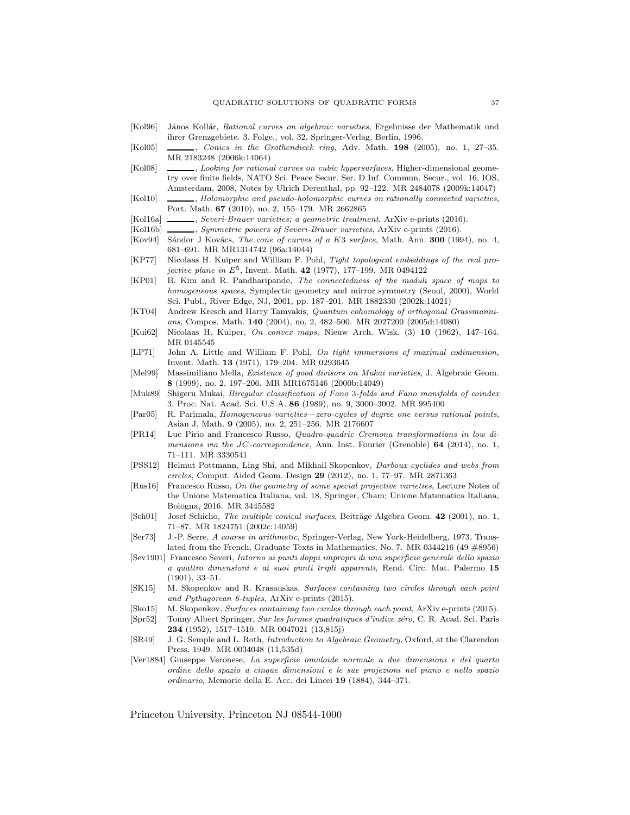- <span id="page-36-2"></span>[Kol96] János Kollár, Rational curves on algebraic varieties, Ergebnisse der Mathematik und ihrer Grenzgebiete. 3. Folge., vol. 32, Springer-Verlag, Berlin, 1996.
- <span id="page-36-24"></span>[Kol05] , Conics in the Grothendieck ring, Adv. Math. 198 (2005), no. 1, 27–35. MR 2183248 (2006k:14064)
- <span id="page-36-3"></span>[Kol08] , Looking for rational curves on cubic hypersurfaces, Higher-dimensional geometry over finite fields, NATO Sci. Peace Secur. Ser. D Inf. Commun. Secur., vol. 16, IOS, Amsterdam, 2008, Notes by Ulrich Derenthal, pp. 92–122. MR 2484078 (2009k:14047)
- <span id="page-36-1"></span>[Kol10] , Holomorphic and pseudo-holomorphic curves on rationally connected varieties, Port. Math. 67 (2010), no. 2, 155–179. MR 2662865
- <span id="page-36-23"></span>[Kol16a] , Severi-Brauer varieties; a geometric treatment, ArXiv e-prints (2016).
- <span id="page-36-22"></span>[Kol16b] , Symmetric powers of Severi-Brauer varieties, ArXiv e-prints (2016).
- <span id="page-36-19"></span>[Kov94] Sándor J Kovács, The cone of curves of a K3 surface, Math. Ann. 300 (1994), no. 4, 681–691. MR MR1314742 (96a:14044)
- <span id="page-36-7"></span>[KP77] Nicolaas H. Kuiper and William F. Pohl, Tight topological embeddings of the real pro*jective plane in*  $E^5$ , Invent. Math. 42 (1977), 177–199. MR 0494122
- <span id="page-36-0"></span>[KP01] B. Kim and R. Pandharipande, The connectedness of the moduli space of maps to homogeneous spaces, Symplectic geometry and mirror symmetry (Seoul, 2000), World Sci. Publ., River Edge, NJ, 2001, pp. 187–201. MR 1882330 (2002k:14021)
- <span id="page-36-20"></span>[KT04] Andrew Kresch and Harry Tamvakis, Quantum cohomology of orthogonal Grassmannians, Compos. Math. 140 (2004), no. 2, 482–500. MR 2027200 (2005d:14080)
- <span id="page-36-6"></span>[Kui62] Nicolaas H. Kuiper, On convex maps, Nieuw Arch. Wisk. (3) 10 (1962), 147–164. MR 0145545
- <span id="page-36-18"></span>[LP71] John A. Little and William F. Pohl, On tight immersions of maximal codimension, Invent. Math. 13 (1971), 179–204. MR 0293645
- <span id="page-36-17"></span>[Mel99] Massimiliano Mella, Existence of good divisors on Mukai varieties, J. Algebraic Geom. 8 (1999), no. 2, 197–206. MR MR1675146 (2000b:14049)
- <span id="page-36-16"></span>[Muk89] Shigeru Mukai, Biregular classification of Fano 3-folds and Fano manifolds of coindex 3, Proc. Nat. Acad. Sci. U.S.A. 86 (1989), no. 9, 3000–3002. MR 995400
- <span id="page-36-25"></span>[Par05] R. Parimala, Homogeneous varieties—zero-cycles of degree one versus rational points, Asian J. Math. 9 (2005), no. 2, 251–256. MR 2176607
- <span id="page-36-9"></span>[PR14] Luc Pirio and Francesco Russo, Quadro-quadric Cremona transformations in low dimensions via the JC-correspondence, Ann. Inst. Fourier (Grenoble) 64 (2014), no. 1, 71–111. MR 3330541
- <span id="page-36-15"></span>[PSS12] Helmut Pottmann, Ling Shi, and Mikhail Skopenkov, Darboux cyclides and webs from circles, Comput. Aided Geom. Design 29 (2012), no. 1, 77–97. MR 2871363
- <span id="page-36-10"></span>[Rus16] Francesco Russo, On the geometry of some special projective varieties, Lecture Notes of the Unione Matematica Italiana, vol. 18, Springer, Cham; Unione Matematica Italiana, Bologna, 2016. MR 3445582
- <span id="page-36-14"></span>[Sch01] Josef Schicho, The multiple conical surfaces, Beiträge Algebra Geom. 42 (2001), no. 1, 71–87. MR 1824751 (2002c:14059)
- <span id="page-36-11"></span>[Ser73] J.-P. Serre, A course in arithmetic, Springer-Verlag, New York-Heidelberg, 1973, Translated from the French, Graduate Texts in Mathematics, No. 7. MR 0344216 (49 #8956)
- <span id="page-36-5"></span>[Sev1901] Francesco Severi, Intorno ai punti doppi impropri di una superficie generale dello spazio a quattro dimensioni e ai suoi punti tripli apparenti, Rend. Circ. Mat. Palermo 15 (1901), 33–51.
- <span id="page-36-12"></span>[SK15] M. Skopenkov and R. Krasauskas, Surfaces containing two circles through each point and Pythagorean 6-tuples, ArXiv e-prints (2015).
- <span id="page-36-13"></span>[Sko15] M. Skopenkov, Surfaces containing two circles through each point, ArXiv e-prints (2015).
- <span id="page-36-21"></span>[Spr52] Tonny Albert Springer, Sur les formes quadratiques d'indice zéro, C. R. Acad. Sci. Paris 234 (1952), 1517–1519. MR 0047021 (13,815j)
- <span id="page-36-8"></span>[SR49] J. G. Semple and L. Roth, Introduction to Algebraic Geometry, Oxford, at the Clarendon Press, 1949. MR 0034048 (11,535d)
- <span id="page-36-4"></span>[Ver1884] Giuseppe Veronese, La superficie omaloide normale a due dimensioni e del quarto ordine dello spazio a cinque dimensioni e le sue projezioni nel piano e nello spazio ordinario, Memorie della E. Acc. dei Lincei 19 (1884), 344–371.

Princeton University, Princeton NJ 08544-1000